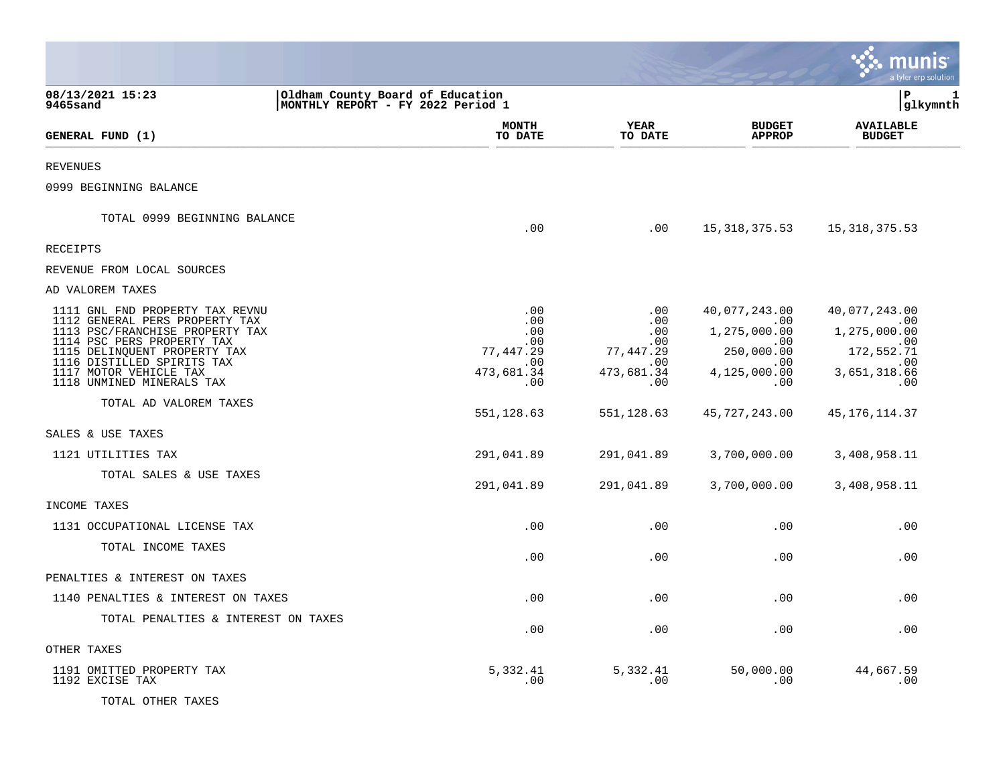|                                                                                                                                                                                                                                                         |                                                                       |                                                                         |                                                                                                   | a tyler erp solution                                                                    |
|---------------------------------------------------------------------------------------------------------------------------------------------------------------------------------------------------------------------------------------------------------|-----------------------------------------------------------------------|-------------------------------------------------------------------------|---------------------------------------------------------------------------------------------------|-----------------------------------------------------------------------------------------|
| 08/13/2021 15:23<br>9465sand                                                                                                                                                                                                                            | Oldham County Board of Education<br>MONTHLY REPORT - FY 2022 Period 1 |                                                                         |                                                                                                   | l P<br>1<br> glkymnth                                                                   |
| GENERAL FUND (1)                                                                                                                                                                                                                                        | <b>MONTH</b><br>TO DATE                                               | YEAR<br>TO DATE                                                         | <b>BUDGET</b><br><b>APPROP</b>                                                                    | <b>AVAILABLE</b><br><b>BUDGET</b>                                                       |
| <b>REVENUES</b>                                                                                                                                                                                                                                         |                                                                       |                                                                         |                                                                                                   |                                                                                         |
| 0999 BEGINNING BALANCE                                                                                                                                                                                                                                  |                                                                       |                                                                         |                                                                                                   |                                                                                         |
| TOTAL 0999 BEGINNING BALANCE                                                                                                                                                                                                                            | .00                                                                   | .00                                                                     | 15,318,375.53                                                                                     | 15,318,375.53                                                                           |
| RECEIPTS                                                                                                                                                                                                                                                |                                                                       |                                                                         |                                                                                                   |                                                                                         |
| REVENUE FROM LOCAL SOURCES                                                                                                                                                                                                                              |                                                                       |                                                                         |                                                                                                   |                                                                                         |
| AD VALOREM TAXES                                                                                                                                                                                                                                        |                                                                       |                                                                         |                                                                                                   |                                                                                         |
| 1111 GNL FND PROPERTY TAX REVNU<br>1112 GENERAL PERS PROPERTY TAX<br>1113 PSC/FRANCHISE PROPERTY TAX<br>1114 PSC PERS PROPERTY TAX<br>1115 DELINQUENT PROPERTY TAX<br>1116 DISTILLED SPIRITS TAX<br>1117 MOTOR VEHICLE TAX<br>1118 UNMINED MINERALS TAX | .00<br>.00<br>.00<br>.00<br>77,447.29<br>.00<br>473,681.34<br>.00     | $.00 \,$<br>.00<br>.00<br>.00.<br>77,447.29<br>.00<br>473,681.34<br>.00 | 40,077,243.00<br>$.00 \,$<br>1,275,000.00<br>$.00 \,$<br>250,000.00<br>.00<br>4,125,000.00<br>.00 | 40,077,243.00<br>.00<br>1,275,000.00<br>.00<br>172,552.71<br>.00<br>3,651,318.66<br>.00 |
| TOTAL AD VALOREM TAXES                                                                                                                                                                                                                                  | 551,128.63                                                            | 551,128.63                                                              | 45, 727, 243.00                                                                                   | 45, 176, 114.37                                                                         |
| SALES & USE TAXES                                                                                                                                                                                                                                       |                                                                       |                                                                         |                                                                                                   |                                                                                         |
| 1121 UTILITIES TAX                                                                                                                                                                                                                                      | 291,041.89                                                            | 291,041.89                                                              | 3,700,000.00                                                                                      | 3,408,958.11                                                                            |
| TOTAL SALES & USE TAXES                                                                                                                                                                                                                                 | 291,041.89                                                            | 291,041.89                                                              | 3,700,000.00                                                                                      | 3,408,958.11                                                                            |
| INCOME TAXES                                                                                                                                                                                                                                            |                                                                       |                                                                         |                                                                                                   |                                                                                         |
| 1131 OCCUPATIONAL LICENSE TAX                                                                                                                                                                                                                           | .00                                                                   | .00                                                                     | .00                                                                                               | .00                                                                                     |
| TOTAL INCOME TAXES                                                                                                                                                                                                                                      | .00                                                                   | .00                                                                     | .00.                                                                                              | .00                                                                                     |
| PENALTIES & INTEREST ON TAXES                                                                                                                                                                                                                           |                                                                       |                                                                         |                                                                                                   |                                                                                         |
| 1140 PENALTIES & INTEREST ON TAXES                                                                                                                                                                                                                      | .00                                                                   | .00                                                                     | .00                                                                                               | .00                                                                                     |
| TOTAL PENALTIES & INTEREST ON TAXES                                                                                                                                                                                                                     | .00                                                                   | .00                                                                     | .00                                                                                               | .00                                                                                     |
| OTHER TAXES                                                                                                                                                                                                                                             |                                                                       |                                                                         |                                                                                                   |                                                                                         |
| 1191 OMITTED PROPERTY TAX<br>1192 EXCISE TAX<br>TOTAL OTHER TAXES                                                                                                                                                                                       | 5,332.41<br>.00                                                       | 5,332.41<br>.00                                                         | 50,000.00<br>.00                                                                                  | 44,667.59<br>.00                                                                        |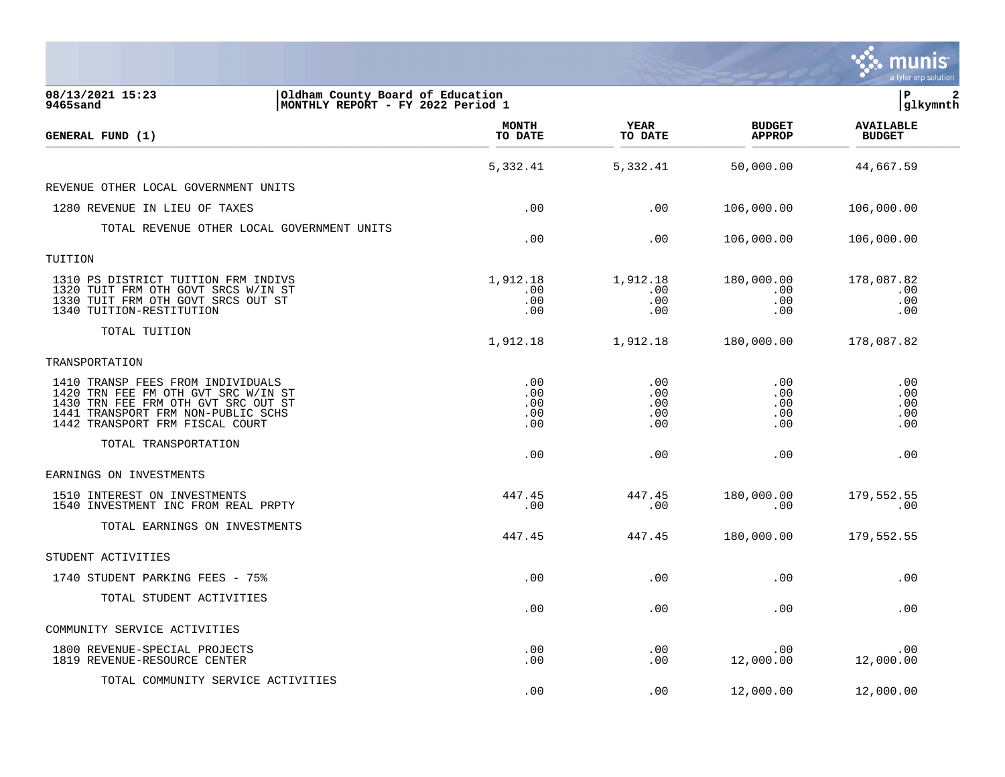|                                                                                                                                                                                          |                                 |                                 |                                 | munis<br>a tyler erp solution     |
|------------------------------------------------------------------------------------------------------------------------------------------------------------------------------------------|---------------------------------|---------------------------------|---------------------------------|-----------------------------------|
| 08/13/2021 15:23<br>Oldham County Board of Education<br>9465sand<br>MONTHLY REPORT - FY 2022 Period 1                                                                                    |                                 |                                 |                                 | lР<br>$\mathbf{2}$<br> glkymnth   |
| GENERAL FUND (1)                                                                                                                                                                         | <b>MONTH</b><br>TO DATE         | YEAR<br>TO DATE                 | <b>BUDGET</b><br><b>APPROP</b>  | <b>AVAILABLE</b><br><b>BUDGET</b> |
|                                                                                                                                                                                          | 5,332.41                        | 5,332.41                        | 50,000.00                       | 44,667.59                         |
| REVENUE OTHER LOCAL GOVERNMENT UNITS                                                                                                                                                     |                                 |                                 |                                 |                                   |
| 1280 REVENUE IN LIEU OF TAXES                                                                                                                                                            | .00                             | .00                             | 106,000.00                      | 106,000.00                        |
| TOTAL REVENUE OTHER LOCAL GOVERNMENT UNITS                                                                                                                                               | .00                             | .00                             | 106,000.00                      | 106,000.00                        |
| TUITION                                                                                                                                                                                  |                                 |                                 |                                 |                                   |
| 1310 PS DISTRICT TUITION FRM INDIVS<br>1320 TUIT FRM OTH GOVT SRCS W/IN ST<br>1330 TUIT FRM OTH GOVT SRCS OUT ST<br>1340 TUITION-RESTITUTION                                             | 1,912.18<br>.00<br>.00<br>.00   | 1,912.18<br>.00<br>.00<br>.00   | 180,000.00<br>.00<br>.00<br>.00 | 178,087.82<br>.00<br>.00<br>.00   |
| TOTAL TUITION                                                                                                                                                                            | 1,912.18                        | 1,912.18                        | 180,000.00                      | 178,087.82                        |
| TRANSPORTATION                                                                                                                                                                           |                                 |                                 |                                 |                                   |
| 1410 TRANSP FEES FROM INDIVIDUALS<br>1420 TRN FEE FM OTH GVT SRC W/IN ST<br>1430 TRN FEE FRM OTH GVT SRC OUT ST<br>1441 TRANSPORT FRM NON-PUBLIC SCHS<br>1442 TRANSPORT FRM FISCAL COURT | .00<br>.00<br>.00<br>.00<br>.00 | .00<br>.00<br>.00<br>.00<br>.00 | .00<br>.00<br>.00<br>.00<br>.00 | .00<br>.00<br>.00<br>.00<br>.00   |
| TOTAL TRANSPORTATION                                                                                                                                                                     | .00                             | .00                             | .00                             | .00                               |
| EARNINGS ON INVESTMENTS                                                                                                                                                                  |                                 |                                 |                                 |                                   |
| 1510 INTEREST ON INVESTMENTS<br>1540 INVESTMENT INC FROM REAL PRPTY                                                                                                                      | 447.45<br>.00                   | 447.45<br>.00                   | 180,000.00<br>.00               | 179,552.55<br>.00                 |
| TOTAL EARNINGS ON INVESTMENTS                                                                                                                                                            | 447.45                          | 447.45                          | 180,000.00                      | 179,552.55                        |
| STUDENT ACTIVITIES                                                                                                                                                                       |                                 |                                 |                                 |                                   |
| 1740 STUDENT PARKING FEES - 75%                                                                                                                                                          | .00                             | .00                             | .00                             | .00                               |
| TOTAL STUDENT ACTIVITIES                                                                                                                                                                 | .00                             | .00                             | .00                             | .00                               |
| COMMUNITY SERVICE ACTIVITIES                                                                                                                                                             |                                 |                                 |                                 |                                   |
| 1800 REVENUE-SPECIAL PROJECTS<br>1819 REVENUE-RESOURCE CENTER                                                                                                                            | .00<br>.00                      | .00<br>.00                      | .00<br>12,000.00                | .00<br>12,000.00                  |
| TOTAL COMMUNITY SERVICE ACTIVITIES                                                                                                                                                       | .00                             | .00                             | 12,000.00                       | 12,000.00                         |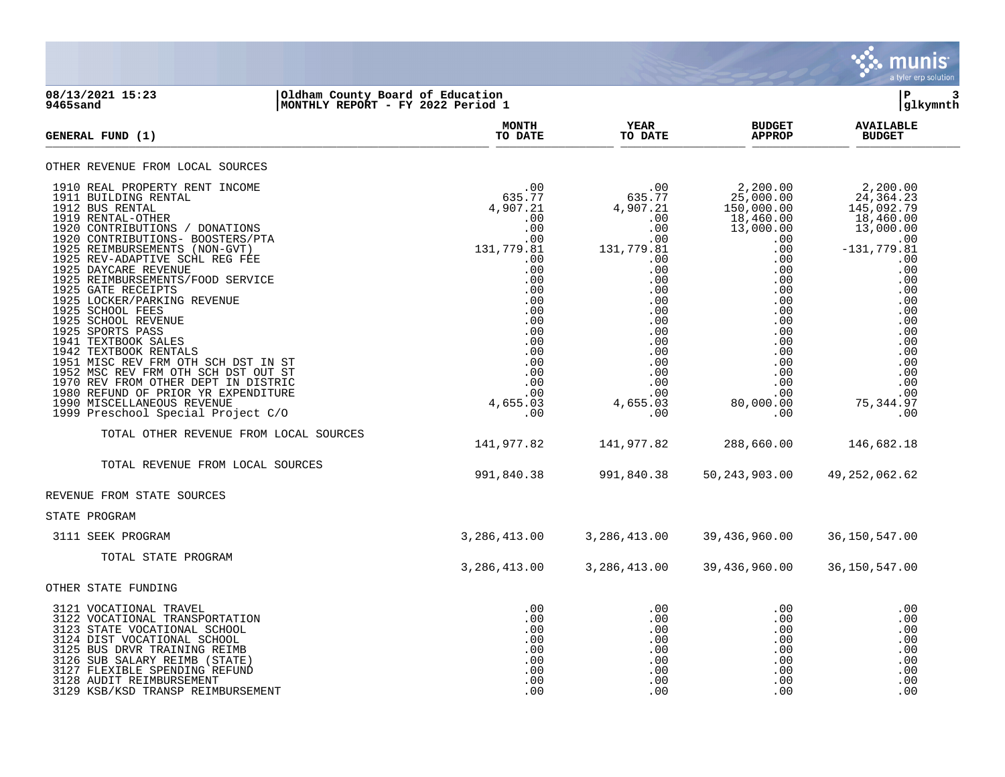

#### **08/13/2021 15:23 |Oldham County Board of Education |P 3 9465sand |MONTHLY REPORT - FY 2022 Period 1 |glkymnth**

| <b>GENERAL FUND (1)</b>                                                                                                                                                                                                                                                                                                                                                                                                                                                                                        | <b>MONTH</b><br>TO DATE                                                                                                                   | YEAR<br>TO DATE                                                                                                                            | <b>BUDGET</b><br><b>APPROP</b>                                                                              | <b>AVAILABLE</b><br><b>BUDGET</b>                                                                                                                                       |
|----------------------------------------------------------------------------------------------------------------------------------------------------------------------------------------------------------------------------------------------------------------------------------------------------------------------------------------------------------------------------------------------------------------------------------------------------------------------------------------------------------------|-------------------------------------------------------------------------------------------------------------------------------------------|--------------------------------------------------------------------------------------------------------------------------------------------|-------------------------------------------------------------------------------------------------------------|-------------------------------------------------------------------------------------------------------------------------------------------------------------------------|
| OTHER REVENUE FROM LOCAL SOURCES                                                                                                                                                                                                                                                                                                                                                                                                                                                                               |                                                                                                                                           |                                                                                                                                            |                                                                                                             |                                                                                                                                                                         |
| 1910 REAL PROPERTY RENT INCOME<br>1911 BUILDING RENTAL<br>1912 BUS RENTAL<br>1919 RENTAL-OTHER<br>1920 CONTRIBUTIONS / DONATIONS<br>1920 CONTRIBUTIONS- BOOSTERS/PTA<br>1925 REIMBURSEMENTS (NON-GVT)<br>1925 REV-ADAPTIVE SCHL REG FEE<br>1925 DAYCARE REVENUE<br>1925 REIMBURSEMENTS/FOOD SERVICE<br>1925 GATE RECEIPTS<br>1925 LOCKER/PARKING REVENUE<br>1925 SCHOOL FEES<br>1925 SCHOOL REVENUE<br>1925 SPORTS PASS<br>1941 TEXTBOOK SALES<br>1942 TEXTBOOK RENTALS<br>1951 MISC REV FRM OTH SCH DST IN ST | .00<br>635.77<br>4,907.21<br>.00<br>.00<br>.00<br>131,779.81<br>.00<br>.00<br>.00<br>.00<br>.00<br>.00<br>.00<br>.00<br>.00<br>.00<br>.00 | 00 .<br>635.77 .<br>4,907.21<br>.00<br>.00<br>.00<br>131,779.81<br>$.00 \,$<br>.00<br>.00<br>.00<br>.00<br>.00<br>.00<br>.00<br>.00<br>.00 | 2,200.00<br>25,000.00<br>150,000.00<br>$18,460.00$<br>$13,000.00$<br>.00<br>.00<br>.00<br>.00<br>.00<br>.00 | 2,200.00<br>24, 364. 23<br>145, 092. 79<br>18,460.00<br>13,000.00<br>.00<br>$-131, 779.81$<br>.00<br>.00<br>.00<br>.00<br>.00<br>.00<br>.00<br>.00<br>.00<br>.00<br>.00 |
| 1952 MSC REV FRM OTH SCH DST OUT ST<br>1970 REV FROM OTHER DEPT IN DISTRIC<br>1980 REFUND OF PRIOR YR EXPENDITURE<br>1990 MISCELLANEOUS REVENUE<br>1999 Preschool Special Project C/O                                                                                                                                                                                                                                                                                                                          | .00<br>.00<br>00 .<br>00 .<br>4 , 655 . 03<br>.00                                                                                         | $0.00$<br>.00<br>.00<br>.00<br>4,655.03<br>.00                                                                                             | .00<br>.00<br>.00<br>80,000.00<br>.00                                                                       | .00<br>.00<br>.00<br>75, 344.97<br>.00                                                                                                                                  |
| TOTAL OTHER REVENUE FROM LOCAL SOURCES                                                                                                                                                                                                                                                                                                                                                                                                                                                                         | 141,977.82                                                                                                                                | 141,977.82                                                                                                                                 | 288,660.00                                                                                                  | 146,682.18                                                                                                                                                              |
| TOTAL REVENUE FROM LOCAL SOURCES                                                                                                                                                                                                                                                                                                                                                                                                                                                                               | 991,840.38                                                                                                                                | 991,840.38                                                                                                                                 | 50, 243, 903.00                                                                                             | 49, 252, 062.62                                                                                                                                                         |
| REVENUE FROM STATE SOURCES                                                                                                                                                                                                                                                                                                                                                                                                                                                                                     |                                                                                                                                           |                                                                                                                                            |                                                                                                             |                                                                                                                                                                         |
| STATE PROGRAM                                                                                                                                                                                                                                                                                                                                                                                                                                                                                                  |                                                                                                                                           |                                                                                                                                            |                                                                                                             |                                                                                                                                                                         |
| 3111 SEEK PROGRAM                                                                                                                                                                                                                                                                                                                                                                                                                                                                                              | 3,286,413.00                                                                                                                              | 3,286,413.00                                                                                                                               | 39,436,960.00                                                                                               | 36,150,547.00                                                                                                                                                           |
| TOTAL STATE PROGRAM                                                                                                                                                                                                                                                                                                                                                                                                                                                                                            | 3,286,413.00                                                                                                                              | 3,286,413.00                                                                                                                               | 39,436,960.00                                                                                               | 36,150,547.00                                                                                                                                                           |
| OTHER STATE FUNDING                                                                                                                                                                                                                                                                                                                                                                                                                                                                                            |                                                                                                                                           |                                                                                                                                            |                                                                                                             |                                                                                                                                                                         |
| 3121 VOCATIONAL TRAVEL<br>3122 VOCATIONAL TRANSPORTATION<br>3123 STATE VOCATIONAL SCHOOL<br>3124 DIST VOCATIONAL SCHOOL<br>3125 BUS DRVR TRAINING REIMB<br>3126 SUB SALARY REIMB (STATE)<br>3127 FLEXIBLE SPENDING REFUND<br>3128 AUDIT REIMBURSEMENT<br>3129 KSB/KSD TRANSP REIMBURSEMENT                                                                                                                                                                                                                     | .00<br>.00<br>.00<br>.00<br>.00<br>.00<br>.00<br>.00<br>.00                                                                               | .00<br>.00<br>.00<br>.00<br>.00<br>.00<br>.00<br>.00<br>.00                                                                                | .00<br>.00<br>.00<br>.00<br>.00<br>.00<br>.00<br>.00<br>.00                                                 | .00<br>.00<br>.00<br>.00<br>.00<br>.00<br>.00<br>.00<br>.00                                                                                                             |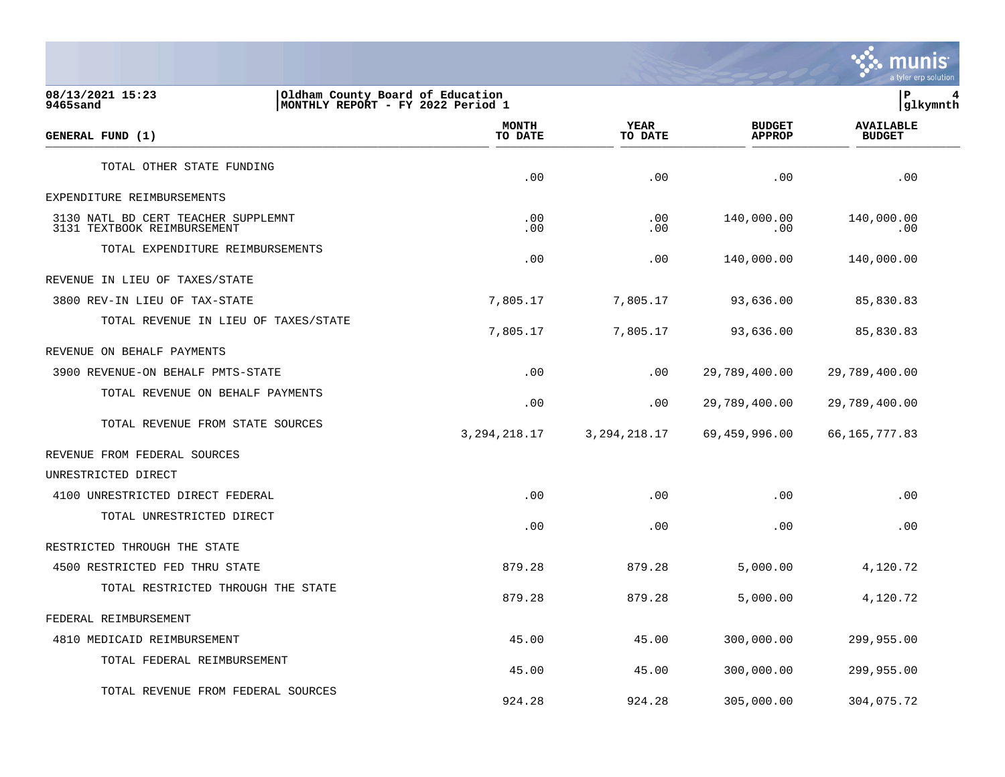

### **08/13/2021 15:23 |Oldham County Board of Education |P 4 9465sand |MONTHLY REPORT - FY 2022 Period 1 |glkymnth**

| GENERAL FUND (1)                                                   | <b>MONTH</b><br>TO DATE | <b>YEAR</b><br>TO DATE | <b>BUDGET</b><br><b>APPROP</b> | <b>AVAILABLE</b><br><b>BUDGET</b> |  |
|--------------------------------------------------------------------|-------------------------|------------------------|--------------------------------|-----------------------------------|--|
| TOTAL OTHER STATE FUNDING                                          | .00                     | .00                    | .00                            | .00                               |  |
| EXPENDITURE REIMBURSEMENTS                                         |                         |                        |                                |                                   |  |
| 3130 NATL BD CERT TEACHER SUPPLEMNT<br>3131 TEXTBOOK REIMBURSEMENT | .00<br>.00              | .00<br>.00             | 140,000.00<br>.00              | 140,000.00<br>.00                 |  |
| TOTAL EXPENDITURE REIMBURSEMENTS                                   | .00                     | .00                    | 140,000.00                     | 140,000.00                        |  |
| REVENUE IN LIEU OF TAXES/STATE                                     |                         |                        |                                |                                   |  |
| 3800 REV-IN LIEU OF TAX-STATE                                      | 7,805.17                | 7,805.17               | 93,636.00                      | 85,830.83                         |  |
| TOTAL REVENUE IN LIEU OF TAXES/STATE                               | 7,805.17                | 7,805.17               | 93,636.00                      | 85,830.83                         |  |
| REVENUE ON BEHALF PAYMENTS                                         |                         |                        |                                |                                   |  |
| 3900 REVENUE-ON BEHALF PMTS-STATE                                  | .00                     | .00                    | 29,789,400.00                  | 29,789,400.00                     |  |
| TOTAL REVENUE ON BEHALF PAYMENTS                                   | .00                     | .00                    | 29,789,400.00                  | 29,789,400.00                     |  |
| TOTAL REVENUE FROM STATE SOURCES                                   | 3, 294, 218.17          | 3, 294, 218.17         | 69,459,996.00                  | 66,165,777.83                     |  |
| REVENUE FROM FEDERAL SOURCES                                       |                         |                        |                                |                                   |  |
| UNRESTRICTED DIRECT                                                |                         |                        |                                |                                   |  |
| 4100 UNRESTRICTED DIRECT FEDERAL                                   | .00                     | .00                    | .00                            | .00                               |  |
| TOTAL UNRESTRICTED DIRECT                                          | .00                     | .00                    | .00                            | .00                               |  |
| RESTRICTED THROUGH THE STATE                                       |                         |                        |                                |                                   |  |
| 4500 RESTRICTED FED THRU STATE                                     | 879.28                  | 879.28                 | 5,000.00                       | 4,120.72                          |  |
| TOTAL RESTRICTED THROUGH THE STATE                                 | 879.28                  | 879.28                 | 5,000.00                       | 4,120.72                          |  |
| FEDERAL REIMBURSEMENT                                              |                         |                        |                                |                                   |  |
| 4810 MEDICAID REIMBURSEMENT                                        | 45.00                   | 45.00                  | 300,000.00                     | 299,955.00                        |  |
| TOTAL FEDERAL REIMBURSEMENT                                        | 45.00                   | 45.00                  | 300,000.00                     | 299,955.00                        |  |
| TOTAL REVENUE FROM FEDERAL SOURCES                                 | 924.28                  | 924.28                 | 305,000.00                     | 304,075.72                        |  |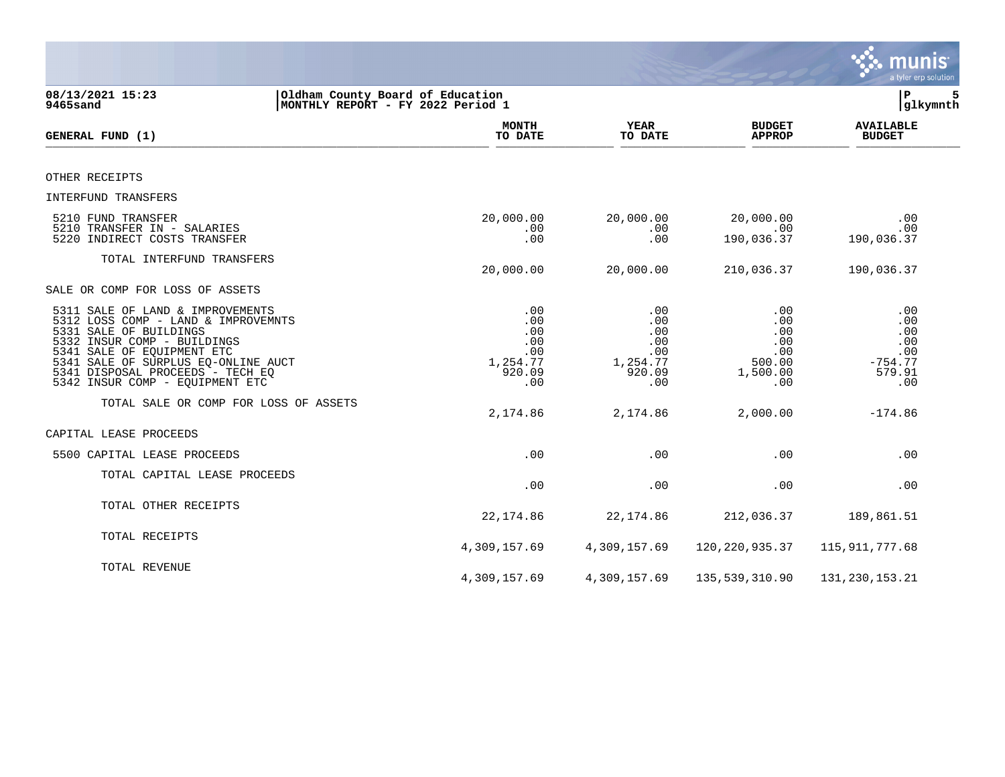|                                                                                                                                                                                                                                                                              |                                                                       |                                                              |                                                              | munis<br>a tyler erp solution                                 |
|------------------------------------------------------------------------------------------------------------------------------------------------------------------------------------------------------------------------------------------------------------------------------|-----------------------------------------------------------------------|--------------------------------------------------------------|--------------------------------------------------------------|---------------------------------------------------------------|
| 08/13/2021 15:23<br>9465sand                                                                                                                                                                                                                                                 | Oldham County Board of Education<br>MONTHLY REPORT - FY 2022 Period 1 |                                                              |                                                              | ΙP<br>5<br>glkymnth                                           |
| GENERAL FUND (1)                                                                                                                                                                                                                                                             | <b>MONTH</b><br>TO DATE                                               | <b>YEAR</b><br>TO DATE                                       | <b>BUDGET</b><br><b>APPROP</b>                               | <b>AVAILABLE</b><br><b>BUDGET</b>                             |
| OTHER RECEIPTS                                                                                                                                                                                                                                                               |                                                                       |                                                              |                                                              |                                                               |
| INTERFUND TRANSFERS                                                                                                                                                                                                                                                          |                                                                       |                                                              |                                                              |                                                               |
| 5210 FUND TRANSFER<br>5210 TRANSFER IN - SALARIES<br>5220 INDIRECT COSTS TRANSFER                                                                                                                                                                                            | 20,000.00<br>.00<br>.00                                               | 20,000.00<br>.00<br>.00                                      | 20,000.00<br>.00<br>190,036.37                               | .00<br>.00<br>190,036.37                                      |
| TOTAL INTERFUND TRANSFERS                                                                                                                                                                                                                                                    | 20,000.00                                                             | 20,000.00                                                    | 210,036.37                                                   | 190,036.37                                                    |
| SALE OR COMP FOR LOSS OF ASSETS                                                                                                                                                                                                                                              |                                                                       |                                                              |                                                              |                                                               |
| 5311 SALE OF LAND & IMPROVEMENTS<br>5312 LOSS COMP - LAND & IMPROVEMNTS<br>5331 SALE OF BUILDINGS<br>5332 INSUR COMP - BUILDINGS<br>5341 SALE OF EQUIPMENT ETC<br>5341 SALE OF SURPLUS EQ-ONLINE AUCT<br>5341 DISPOSAL PROCEEDS - TECH EQ<br>5342 INSUR COMP - EQUIPMENT ETC | .00<br>.00<br>.00<br>.00<br>.00<br>1,254.77<br>920.09<br>.00          | .00<br>.00<br>.00<br>.00<br>.00<br>1,254.77<br>920.09<br>.00 | .00<br>.00<br>.00<br>.00<br>.00<br>500.00<br>1,500.00<br>.00 | .00<br>.00<br>.00<br>.00<br>.00<br>$-754.77$<br>579.91<br>.00 |
| TOTAL SALE OR COMP FOR LOSS OF ASSETS                                                                                                                                                                                                                                        | 2,174.86                                                              | 2,174.86                                                     | 2,000.00                                                     | $-174.86$                                                     |
| CAPITAL LEASE PROCEEDS                                                                                                                                                                                                                                                       |                                                                       |                                                              |                                                              |                                                               |
| 5500 CAPITAL LEASE PROCEEDS                                                                                                                                                                                                                                                  | .00                                                                   | .00                                                          | .00                                                          | .00                                                           |
| TOTAL CAPITAL LEASE PROCEEDS                                                                                                                                                                                                                                                 | .00                                                                   | .00                                                          | .00                                                          | .00                                                           |
| TOTAL OTHER RECEIPTS                                                                                                                                                                                                                                                         | 22, 174.86                                                            | 22, 174.86                                                   | 212,036.37                                                   | 189,861.51                                                    |
| TOTAL RECEIPTS                                                                                                                                                                                                                                                               | 4,309,157.69                                                          | 4,309,157.69                                                 | 120, 220, 935.37                                             | 115, 911, 777.68                                              |
| TOTAL REVENUE                                                                                                                                                                                                                                                                | 4,309,157.69                                                          | 4,309,157.69                                                 | 135,539,310.90                                               | 131, 230, 153. 21                                             |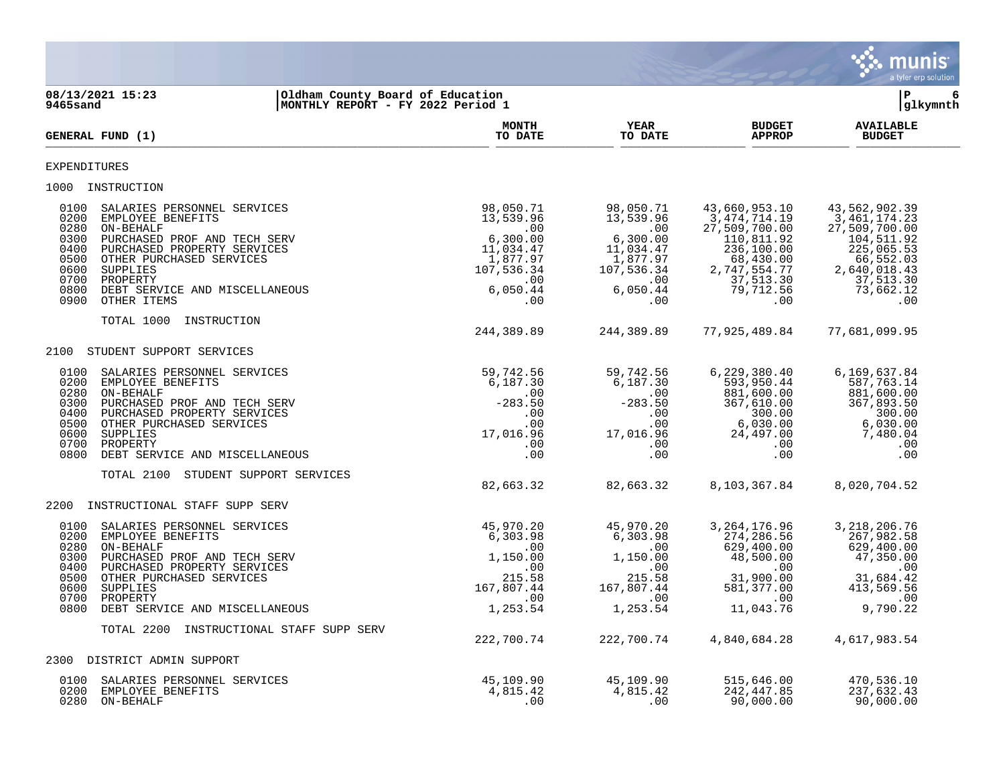

**08/13/2021 15:23 |Oldham County Board of Education |P 6 9465sand |MONTHLY REPORT - FY 2022 Period 1 |glkymnth MONTH AVAILABLE YEAR BUDGET** AVAILABLE **GENERAL FUND (1) TO DATE TO DATE APPROP BUDGET**   $\frac{10 \text{ Bheb}}{10 \text{ Bheb}}$ EXPENDITURES 1000 INSTRUCTION 0100 SALARIES PERSONNEL SERVICES 98,050.71 98,050.71 43,660,953.10 43,562,902.39 0200 EMPLOYEE BENEFITS 13,539.96 13,539.96 3,474,714.19 3,461,174.23 0280 ON-BEHALF .00 .00 27,509,700.00 27,509,700.00 0300 PURCHASED PROF AND TECH SERV  $6,300.00$   $6,300.00$   $110,811.92$  104,511.92 0400 PURCHASED PROPERTY SERVICES 65.53 (100.00 225,065.53 ) 225,065.53 (100.00 225,065.53 0500 OTHER PURCHASED SERVICES 1,877.97 1,877.97 68,430.00 66,552.03 0600 SUPPLIES 107,536.34 107,536.34 2,747,554.77 2,640,018.43 0700 PROPERTY .00 .00 37,513.30 37,513.30 0800 DEBT SERVICE AND MISCELLANEOUS 6,050.44 6,050.44 79,712.56 73,662.12 0900 OTHER ITEMS .00 .00 .00 .00 TOTAL 1000 INSTRUCTION 244,389.89 244,389.89 77,925,489.84 77,681,099.95 2100 STUDENT SUPPORT SERVICES 0100 SALARIES PERSONNEL SERVICES 59,742.56 59,742.56 6,229,380.40 6,169,637.84 0200 EMPLOYEE BENEFITS 6,187.30 6,187.30 593,950.44 587,763.14 0280 ON-BEHALF .00 .00 881,600.00 881,600.00 0300 PURCHASED PROF AND TECH SERV -283.50 -283.50 367,610.00 367,893.50 0400 PURCHASED PROPERTY SERVICES .00 .00 300.00 300.00 0500 OTHER PURCHASED SERVICES .00 .00 6,030.00 6,030.00 0600 SUPPLIES 17,016.96 17,016.96 24,497.00 7,480.04 0700 PROPERTY .00 .00 .00 .00 0800 DEBT SERVICE AND MISCELLANEOUS .00 .00 .00 .00 TOTAL 2100 STUDENT SUPPORT SERVICES 82,663.32 82,663.32 8,103,367.84 8,020,704.52 2200 INSTRUCTIONAL STAFF SUPP SERV 0100 SALARIES PERSONNEL SERVICES 45,970.20 45,970.20 3,264,176.96 3,218,206.76 0200 EMPLOYEE BENEFITS 6,303.98 6,303.98 274,286.56 267,982.58 0280 ON-BEHALF .00 .00 629,400.00 629,400.00 0300 PURCHASED PROF AND TECH SERV  $1,150.00$   $1,150.00$   $48,500.00$   $47,350.00$  0400 PURCHASED PROPERTY SERVICES .00 .00 .00 .00 0500 OTHER PURCHASED SERVICES 215.58 215.58 31,900.00 31,684.42 0600 SUPPLIES 167,807.44 167,807.44 581,377.00 413,569.56 0700 PROPERTY .00 .00 .00 .00 0800 DEBT SERVICE AND MISCELLANEOUS 1,253.54 1,253.54 11,043.76 9,790.22 TOTAL 2200 INSTRUCTIONAL STAFF SUPP SERV 222,700.74 222,700.74 4,840,684.28 4,617,983.54 2300 DISTRICT ADMIN SUPPORT 0100 SALARIES PERSONNEL SERVICES 45,109.90 45,109.90 515,646.00 470,536.10 0200 EMPLOYEE BENEFITS 632.43 (1,815.42 4,815.42 4,815.42 242,447.85 237,632.43

0280 ON-BEHALF .00 .00 90,000.00 90,000.00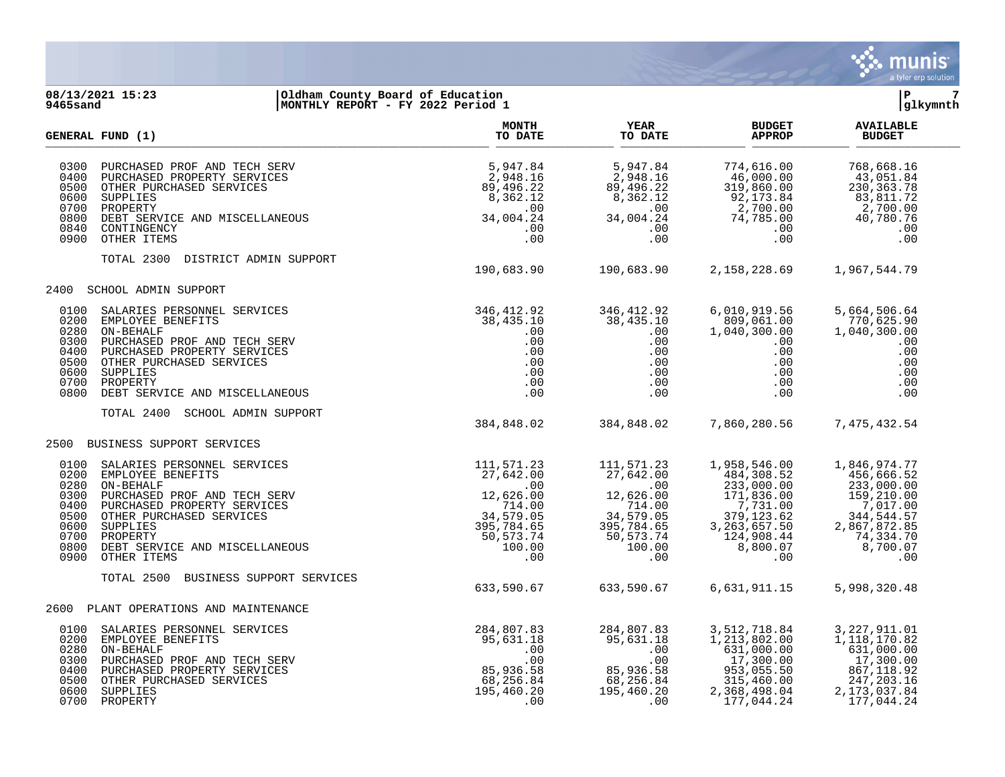

#### **08/13/2021 15:23 |Oldham County Board of Education |P 7 9465sand |MONTHLY REPORT - FY 2022 Period 1 |glkymnth**

|                                                                              | GENERAL FUND (1)                                                                                                                                                                                                                                                                                                                                                                                                                                           | <b>MONTH</b><br>TO DATE                                                                  | YEAR<br>TO DATE                                                                                                                                                                                             | <b>BUDGET</b><br><b>APPROP</b>                                                                                                                                                                                                                                                          | <b>AVAILABLE</b><br><b>BUDGET</b>                                                                                      |
|------------------------------------------------------------------------------|------------------------------------------------------------------------------------------------------------------------------------------------------------------------------------------------------------------------------------------------------------------------------------------------------------------------------------------------------------------------------------------------------------------------------------------------------------|------------------------------------------------------------------------------------------|-------------------------------------------------------------------------------------------------------------------------------------------------------------------------------------------------------------|-----------------------------------------------------------------------------------------------------------------------------------------------------------------------------------------------------------------------------------------------------------------------------------------|------------------------------------------------------------------------------------------------------------------------|
| 0300<br>0400<br>0500<br>0600<br>0700<br>0800<br>0840<br>0900                 | PURCHASED PROF AND TECH SERV<br>PURCHASED PROPERTY SERVICES<br>OTHER PURCHASED SERVICES<br>SUPPLIES SERVICES<br>SUPPLIES SERVICES<br>SUPPLIES SERVICES<br>SUPPLIES SERVICES<br>SUPPLIES SERVICES<br>2,948.16<br>2,948.16<br>2,948.16<br>2,948.16<br>2                                                                                                                                                                                                      |                                                                                          |                                                                                                                                                                                                             |                                                                                                                                                                                                                                                                                         |                                                                                                                        |
|                                                                              | TOTAL 2300<br>DISTRICT ADMIN SUPPORT                                                                                                                                                                                                                                                                                                                                                                                                                       | 190,683.90 190,683.90 2,158,228.69 1,967,544.79                                          |                                                                                                                                                                                                             |                                                                                                                                                                                                                                                                                         |                                                                                                                        |
| 2400                                                                         | SCHOOL ADMIN SUPPORT                                                                                                                                                                                                                                                                                                                                                                                                                                       |                                                                                          |                                                                                                                                                                                                             |                                                                                                                                                                                                                                                                                         |                                                                                                                        |
| 0100<br>0200<br>0280<br>0300<br>0400<br>0500<br>0600<br>0700<br>0800         | $\begin{tabular}{llllllll} \multicolumn{4}{c}{\textbf{SALARIES PERSONNEL} & \textbf{SERVICES}} & & & 346,412.92 \\ \multicolumn{4}{c}{\textbf{EMPLOYEE} & \textbf{BENREFITS}} & & 38,435.10 \\ \multicolumn{4}{c}{\textbf{ON-BEHALE}} & & 00 \\ \multicolumn{4}{c}{\textbf{DURCHASED} & \textbf{POP} & \textbf{AND} & \textbf{TECH} & \textbf{SERV} & & 00 \\ \multicolumn{4}{c}{\textbf{PURCHASED} & \textbf{PROPERTY} & \textbf{SERVICES}} & & 0.0 \\ \$ |                                                                                          | 346,412.92<br>38,435.10<br>$\frac{1}{2}$<br>$\begin{array}{cccc} .00 & & & .00 \ .00 & & & .00 \ .00 & & & .00 \ .00 & & & .00 \ .00 & & & .00 \ .00 & & & .00 \ .00 & & & .00 \ .00 & & & .00 \end{array}$ | 6,010,919.56<br>809,061.00<br>1,040,300.00<br>.00<br>.00<br>$\begin{array}{c} .00\ .00\ .00\ .00\ .00 \end{array}$                                                                                                                                                                      | 5,664,506.64<br>770,625.90<br>1,040,300.00<br>.00<br>.00<br>.00<br>.00<br>.00<br>.00                                   |
|                                                                              | TOTAL 2400 SCHOOL ADMIN SUPPORT                                                                                                                                                                                                                                                                                                                                                                                                                            | 384,848.02 384,848.02 7,860,280.56                                                       |                                                                                                                                                                                                             |                                                                                                                                                                                                                                                                                         | 7,475,432.54                                                                                                           |
|                                                                              | 2500 BUSINESS SUPPORT SERVICES                                                                                                                                                                                                                                                                                                                                                                                                                             |                                                                                          |                                                                                                                                                                                                             |                                                                                                                                                                                                                                                                                         |                                                                                                                        |
| 0100<br>0200<br>0280<br>0300<br>0400<br>0500<br>0600<br>0700<br>0800<br>0900 |                                                                                                                                                                                                                                                                                                                                                                                                                                                            |                                                                                          |                                                                                                                                                                                                             | $\begin{array}{cccc} 111\, ,571\, .23 & 1\, ,958\, ,546\, .00 & 1\, ,846\, ,974\, .77\, \\ 27\, ,642\, .00 & 233\, ,000\, .00 & 233\, ,000\, .00 & 233\, ,000\, .00 \\ 12\, ,626\, .00 & 171\, ,836\, .00 & 159\, ,210\, .00 \\ 714\, .00 & 7\, ,731\, .00 & 7\, ,017\, .00 \\ 34\, ,5$ |                                                                                                                        |
|                                                                              | TOTAL 2500<br>BUSINESS SUPPORT SERVICES                                                                                                                                                                                                                                                                                                                                                                                                                    | 633,590.67                                                                               |                                                                                                                                                                                                             | 633,590.67 6,631,911.15                                                                                                                                                                                                                                                                 | 5,998,320.48                                                                                                           |
|                                                                              | 2600 PLANT OPERATIONS AND MAINTENANCE                                                                                                                                                                                                                                                                                                                                                                                                                      |                                                                                          |                                                                                                                                                                                                             |                                                                                                                                                                                                                                                                                         |                                                                                                                        |
| 0100<br>0200<br>0280<br>0300<br>0400<br>0500<br>0600                         | ON-BEHALF<br>PURCHASED PROF AND TECH SERV<br>PURCHASED PROF AND TECH SERV<br>OTHER PURCHASED SERVICES<br>OTHER PURCHASED SERVICES<br>``UPPLIES<br>ROPERTY<br>0700 PROPERTY                                                                                                                                                                                                                                                                                 | 284,807.83<br>95,631.18<br>$\frac{00}{2}$<br>85,936.58<br>68,256.84<br>195,460.20<br>.00 | .00                                                                                                                                                                                                         | 3, 512, 718.84<br>1,213,802.00<br>$\begin{array}{r} 2.237,002.000 \\ 631,000.00 \\ 17,300.00 \\ 953,055.50 \\ 315,460.00 \\ 2,368,498.04 \end{array}$<br>177,044.24                                                                                                                     | 3, 227, 911.01<br>1,118,170.82<br>631,000.00<br>17,300.00<br>867,118.92<br>247, 203.16<br>2, 173, 037.84<br>177,044.24 |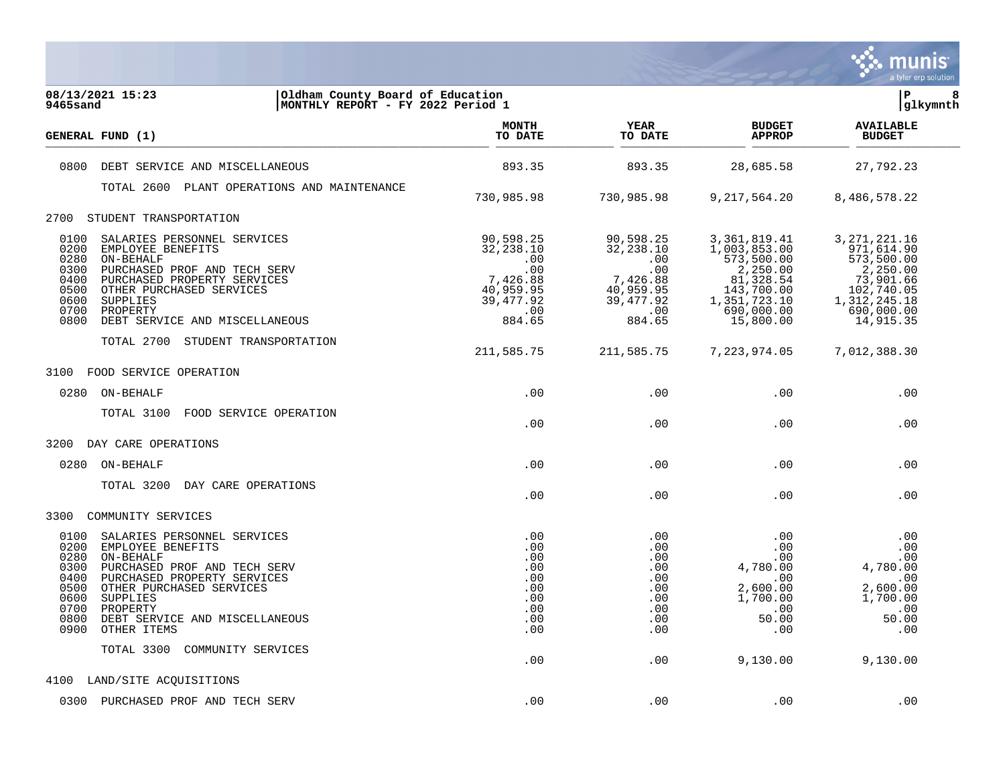

| 08/13/2021 15:23<br>Oldham County Board of Education<br>9465sand<br> MONTHLY REPORT - FY 2022 Period 1                                                                                                                                                                                                            | İР<br>8<br> glkymnth                                                                         |                                                                                             |                                                                                                                                |                                                                                                                              |  |
|-------------------------------------------------------------------------------------------------------------------------------------------------------------------------------------------------------------------------------------------------------------------------------------------------------------------|----------------------------------------------------------------------------------------------|---------------------------------------------------------------------------------------------|--------------------------------------------------------------------------------------------------------------------------------|------------------------------------------------------------------------------------------------------------------------------|--|
| GENERAL FUND (1)                                                                                                                                                                                                                                                                                                  | <b>MONTH</b><br>TO DATE                                                                      | <b>YEAR</b><br>TO DATE                                                                      | <b>BUDGET</b><br><b>APPROP</b>                                                                                                 | <b>AVAILABLE</b><br><b>BUDGET</b>                                                                                            |  |
| 0800<br>DEBT SERVICE AND MISCELLANEOUS                                                                                                                                                                                                                                                                            | 893.35                                                                                       | 893.35                                                                                      | 28,685.58                                                                                                                      | 27,792.23                                                                                                                    |  |
| TOTAL 2600 PLANT OPERATIONS AND MAINTENANCE                                                                                                                                                                                                                                                                       | 730,985.98                                                                                   | 730,985.98                                                                                  | 9, 217, 564. 20                                                                                                                | 8,486,578.22                                                                                                                 |  |
| 2700 STUDENT TRANSPORTATION                                                                                                                                                                                                                                                                                       |                                                                                              |                                                                                             |                                                                                                                                |                                                                                                                              |  |
| 0100<br>SALARIES PERSONNEL SERVICES<br>0200<br>EMPLOYEE BENEFITS<br>0280<br>ON-BEHALF<br>0300<br>PURCHASED PROF AND TECH SERV<br>0400<br>PURCHASED PROPERTY SERVICES<br>0500<br>OTHER PURCHASED SERVICES<br>0600<br>SUPPLIES<br>0700<br>PROPERTY<br>0800<br>DEBT SERVICE AND MISCELLANEOUS                        | 90,598.25<br>32,238.10<br>.00<br>.00<br>7,426.88<br>40,959.95<br>39, 477.92<br>.00<br>884.65 | 90,598.25<br>32,238.10<br>.00<br>.00<br>7,426.88<br>40,959.95<br>39,477.92<br>.00<br>884.65 | 3, 361, 819.41<br>1,003,853.00<br>573,500.00<br>2,250.00<br>81,328.54<br>143,700.00<br>1,351,723.10<br>690,000.00<br>15,800.00 | 3, 271, 221.16<br>971,614.90<br>573,500.00<br>2,250.00<br>73,901.66<br>102,740.05<br>1,312,245.18<br>690,000.00<br>14,915.35 |  |
| TOTAL 2700 STUDENT TRANSPORTATION                                                                                                                                                                                                                                                                                 | 211,585.75                                                                                   | 211,585.75                                                                                  | 7,223,974.05                                                                                                                   | 7,012,388.30                                                                                                                 |  |
| 3100<br>FOOD SERVICE OPERATION                                                                                                                                                                                                                                                                                    |                                                                                              |                                                                                             |                                                                                                                                |                                                                                                                              |  |
| 0280<br>ON-BEHALF                                                                                                                                                                                                                                                                                                 | .00                                                                                          | .00                                                                                         | .00                                                                                                                            | .00                                                                                                                          |  |
| TOTAL 3100<br>FOOD SERVICE OPERATION                                                                                                                                                                                                                                                                              | .00                                                                                          | .00                                                                                         | .00                                                                                                                            | .00                                                                                                                          |  |
| 3200<br>DAY CARE OPERATIONS                                                                                                                                                                                                                                                                                       |                                                                                              |                                                                                             |                                                                                                                                |                                                                                                                              |  |
| ON-BEHALF<br>0280                                                                                                                                                                                                                                                                                                 | .00                                                                                          | .00                                                                                         | .00                                                                                                                            | .00                                                                                                                          |  |
| TOTAL 3200<br>DAY CARE OPERATIONS                                                                                                                                                                                                                                                                                 | .00                                                                                          | .00                                                                                         | .00                                                                                                                            | .00                                                                                                                          |  |
| 3300<br>COMMUNITY SERVICES                                                                                                                                                                                                                                                                                        |                                                                                              |                                                                                             |                                                                                                                                |                                                                                                                              |  |
| 0100<br>SALARIES PERSONNEL SERVICES<br>0200<br>EMPLOYEE BENEFITS<br>0280<br>ON-BEHALF<br>0300<br>PURCHASED PROF AND TECH SERV<br>0400<br>PURCHASED PROPERTY SERVICES<br>0500<br>OTHER PURCHASED SERVICES<br>0600<br>SUPPLIES<br>0700<br>PROPERTY<br>0800<br>DEBT SERVICE AND MISCELLANEOUS<br>0900<br>OTHER ITEMS | .00<br>.00<br>.00<br>.00<br>.00<br>.00<br>.00<br>.00<br>.00<br>.00                           | .00<br>.00<br>.00<br>.00<br>.00<br>.00<br>.00<br>.00<br>.00<br>.00                          | .00<br>.00<br>.00<br>4,780.00<br>.00<br>2,600.00<br>1,700.00<br>.00<br>50.00<br>.00                                            | .00<br>.00<br>.00<br>4,780.00<br>.00<br>2,600.00<br>1,700.00<br>.00<br>50.00<br>.00                                          |  |
| TOTAL 3300<br>COMMUNITY SERVICES                                                                                                                                                                                                                                                                                  | .00                                                                                          | .00                                                                                         | 9,130.00                                                                                                                       | 9,130.00                                                                                                                     |  |
| LAND/SITE ACQUISITIONS<br>4100                                                                                                                                                                                                                                                                                    |                                                                                              |                                                                                             |                                                                                                                                |                                                                                                                              |  |
| 0300 PURCHASED PROF AND TECH SERV                                                                                                                                                                                                                                                                                 | .00                                                                                          | .00                                                                                         | .00                                                                                                                            | .00                                                                                                                          |  |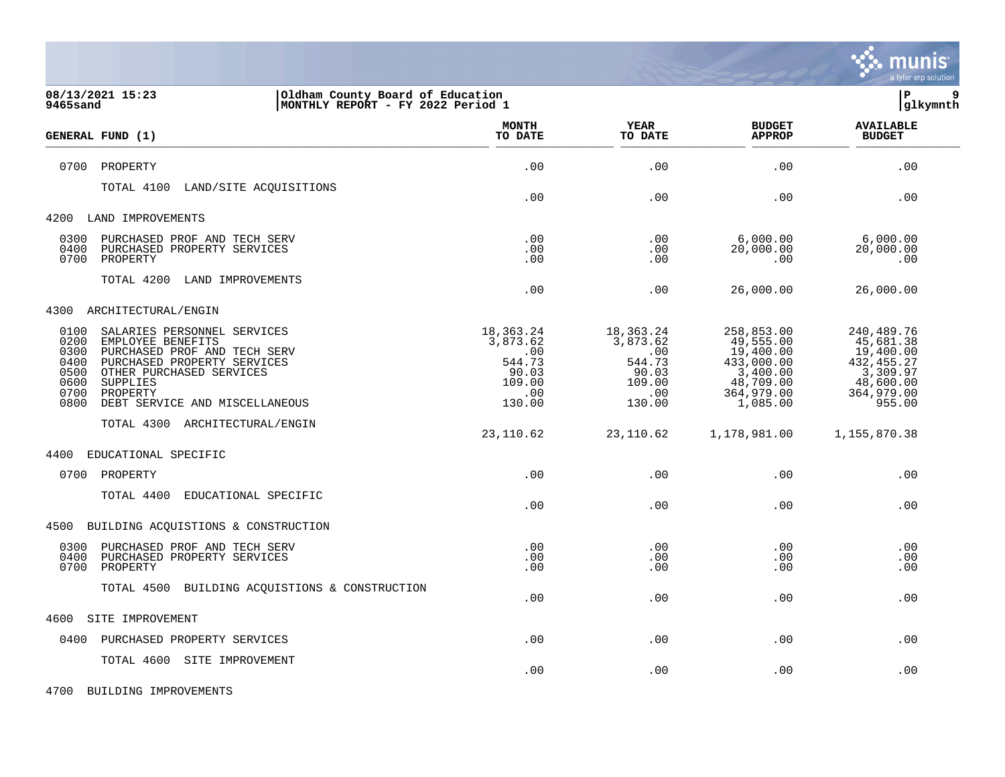

| 08/13/2021 15:23<br>Oldham County Board of Education<br>9465sand<br> MONTHLY REPORT - FY 2022 Period 1                                                                                                                                                                |                                                                            |                                                                            |                                                                                                       | lР<br>9<br> glkymnth                                                                                 |
|-----------------------------------------------------------------------------------------------------------------------------------------------------------------------------------------------------------------------------------------------------------------------|----------------------------------------------------------------------------|----------------------------------------------------------------------------|-------------------------------------------------------------------------------------------------------|------------------------------------------------------------------------------------------------------|
| <b>GENERAL FUND (1)</b>                                                                                                                                                                                                                                               | <b>MONTH</b><br>TO DATE                                                    | <b>YEAR</b><br>TO DATE                                                     | <b>BUDGET</b><br><b>APPROP</b>                                                                        | <b>AVAILABLE</b><br><b>BUDGET</b>                                                                    |
| 0700<br>PROPERTY                                                                                                                                                                                                                                                      | .00                                                                        | .00                                                                        | .00                                                                                                   | .00                                                                                                  |
| TOTAL 4100<br>LAND/SITE ACQUISITIONS                                                                                                                                                                                                                                  | .00                                                                        | .00                                                                        | .00                                                                                                   | .00                                                                                                  |
| 4200<br>LAND IMPROVEMENTS                                                                                                                                                                                                                                             |                                                                            |                                                                            |                                                                                                       |                                                                                                      |
| 0300<br>PURCHASED PROF AND TECH SERV<br>0400<br>PURCHASED PROPERTY SERVICES<br>0700<br>PROPERTY                                                                                                                                                                       | .00.<br>.00<br>.00                                                         | .00<br>.00<br>.00                                                          | 6,000.00<br>20,000.00<br>.00                                                                          | 6,000.00<br>20,000.00<br>.00                                                                         |
| TOTAL 4200<br>LAND IMPROVEMENTS                                                                                                                                                                                                                                       | .00                                                                        | .00                                                                        | 26,000.00                                                                                             | 26,000.00                                                                                            |
| ARCHITECTURAL/ENGIN<br>4300                                                                                                                                                                                                                                           |                                                                            |                                                                            |                                                                                                       |                                                                                                      |
| 0100<br>SALARIES PERSONNEL SERVICES<br>0200<br>EMPLOYEE BENEFITS<br>0300<br>PURCHASED PROF AND TECH SERV<br>0400<br>PURCHASED PROPERTY SERVICES<br>0500<br>OTHER PURCHASED SERVICES<br>0600<br>SUPPLIES<br>0700<br>PROPERTY<br>0800<br>DEBT SERVICE AND MISCELLANEOUS | 18,363.24<br>3,873.62<br>.00<br>544.73<br>90.03<br>109.00<br>.00<br>130.00 | 18,363.24<br>3,873.62<br>.00<br>544.73<br>90.03<br>109.00<br>.00<br>130.00 | 258,853.00<br>49,555.00<br>19,400.00<br>433,000.00<br>3,400.00<br>48,709.00<br>364,979.00<br>1,085.00 | 240,489.76<br>45,681.38<br>19,400.00<br>432, 455.27<br>3,309.97<br>48,600.00<br>364,979.00<br>955.00 |
| TOTAL 4300 ARCHITECTURAL/ENGIN                                                                                                                                                                                                                                        | 23,110.62                                                                  | 23,110.62                                                                  | 1,178,981.00                                                                                          | 1,155,870.38                                                                                         |
| 4400<br>EDUCATIONAL SPECIFIC                                                                                                                                                                                                                                          |                                                                            |                                                                            |                                                                                                       |                                                                                                      |
| 0700<br>PROPERTY                                                                                                                                                                                                                                                      | .00                                                                        | .00                                                                        | .00                                                                                                   | .00                                                                                                  |
| TOTAL 4400<br>EDUCATIONAL SPECIFIC                                                                                                                                                                                                                                    | .00                                                                        | .00                                                                        | .00                                                                                                   | .00                                                                                                  |
| 4500 BUILDING ACQUISTIONS & CONSTRUCTION                                                                                                                                                                                                                              |                                                                            |                                                                            |                                                                                                       |                                                                                                      |
| 0300<br>PURCHASED PROF AND TECH SERV<br>0400<br>PURCHASED PROPERTY SERVICES<br>0700<br>PROPERTY                                                                                                                                                                       | .00<br>.00<br>.00                                                          | .00<br>.00<br>.00                                                          | .00<br>.00<br>.00                                                                                     | .00<br>.00<br>.00                                                                                    |
| TOTAL 4500 BUILDING ACQUISTIONS & CONSTRUCTION                                                                                                                                                                                                                        | .00                                                                        | .00                                                                        | .00                                                                                                   | .00                                                                                                  |
| 4600<br>SITE IMPROVEMENT                                                                                                                                                                                                                                              |                                                                            |                                                                            |                                                                                                       |                                                                                                      |
| 0400<br>PURCHASED PROPERTY SERVICES                                                                                                                                                                                                                                   | .00                                                                        | .00                                                                        | .00                                                                                                   | .00                                                                                                  |
| TOTAL 4600 SITE IMPROVEMENT                                                                                                                                                                                                                                           | .00                                                                        | .00                                                                        | .00                                                                                                   | .00                                                                                                  |

4700 BUILDING IMPROVEMENTS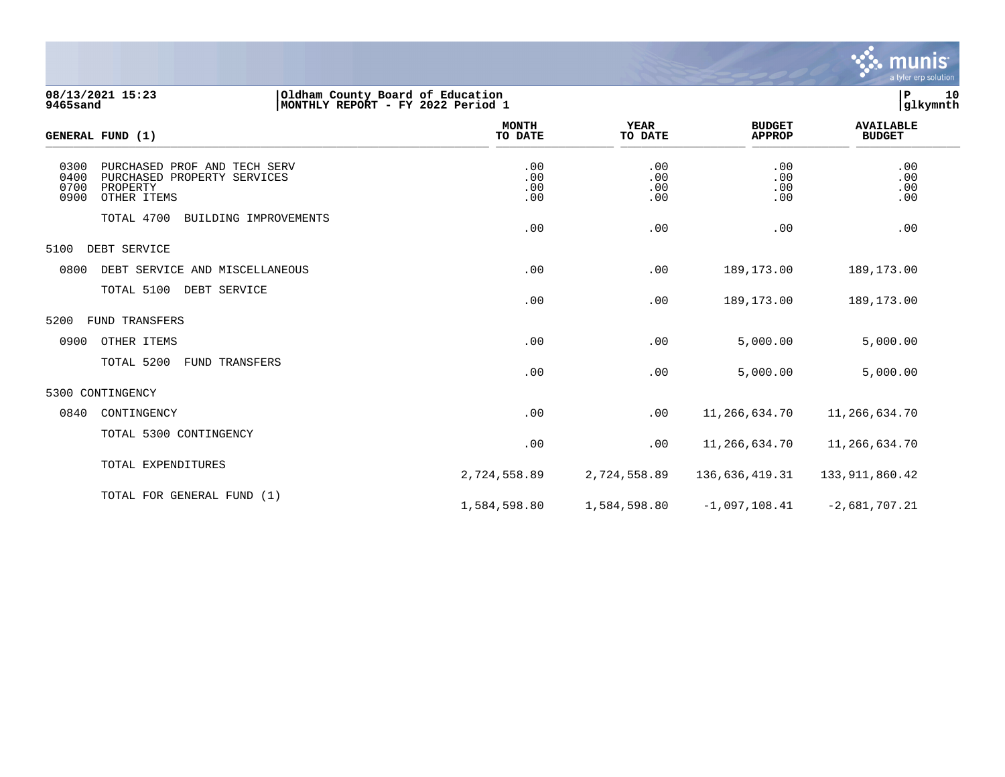

**08/13/2021 15:23 |Oldham County Board of Education |P 10 9465sand |MONTHLY REPORT - FY 2022 Period 1 |glkymnth**

| <b>GENERAL FUND (1)</b>                                                                                                | <b>MONTH</b><br>TO DATE  | <b>YEAR</b><br>TO DATE   | <b>BUDGET</b><br><b>APPROP</b> | <b>AVAILABLE</b><br><b>BUDGET</b> |  |
|------------------------------------------------------------------------------------------------------------------------|--------------------------|--------------------------|--------------------------------|-----------------------------------|--|
| 0300<br>PURCHASED PROF AND TECH SERV<br>0400<br>PURCHASED PROPERTY SERVICES<br>0700<br>PROPERTY<br>0900<br>OTHER ITEMS | .00<br>.00<br>.00<br>.00 | .00<br>.00<br>.00<br>.00 | .00<br>.00<br>.00<br>.00       | .00<br>.00<br>.00<br>.00          |  |
| TOTAL 4700<br>BUILDING IMPROVEMENTS                                                                                    | .00                      | .00                      | .00                            | .00                               |  |
| 5100<br>DEBT SERVICE                                                                                                   |                          |                          |                                |                                   |  |
| 0800<br>DEBT SERVICE AND MISCELLANEOUS                                                                                 | .00                      | .00                      | 189,173.00                     | 189,173.00                        |  |
| TOTAL 5100<br>DEBT SERVICE                                                                                             | .00                      | .00                      | 189,173.00                     | 189,173.00                        |  |
| 5200<br>FUND TRANSFERS                                                                                                 |                          |                          |                                |                                   |  |
| 0900<br>OTHER ITEMS                                                                                                    | .00                      | .00                      | 5,000.00                       | 5,000.00                          |  |
| TOTAL 5200<br><b>FUND TRANSFERS</b>                                                                                    | .00                      | .00                      | 5,000.00                       | 5,000.00                          |  |
| 5300 CONTINGENCY                                                                                                       |                          |                          |                                |                                   |  |
| 0840<br>CONTINGENCY                                                                                                    | .00                      | .00                      | 11,266,634.70                  | 11,266,634.70                     |  |
| TOTAL 5300 CONTINGENCY                                                                                                 | .00                      | .00                      | 11,266,634.70                  | 11,266,634.70                     |  |
| TOTAL EXPENDITURES                                                                                                     | 2,724,558.89             | 2,724,558.89             | 136,636,419.31                 | 133, 911, 860. 42                 |  |
| TOTAL FOR GENERAL FUND (1)                                                                                             | 1,584,598.80             | 1,584,598.80             | $-1,097,108.41$                | $-2,681,707.21$                   |  |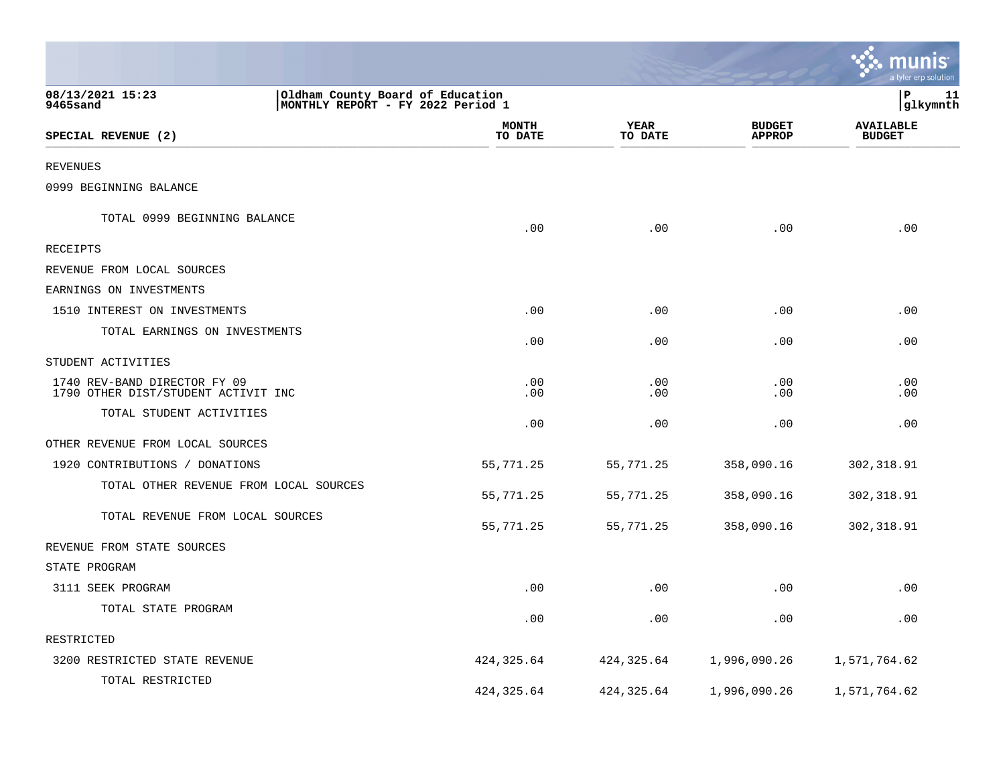|                                                                     |                                                                        |                 |                                | <u>ะ: munis</u><br>a tyler erp solution |
|---------------------------------------------------------------------|------------------------------------------------------------------------|-----------------|--------------------------------|-----------------------------------------|
| 08/13/2021 15:23<br>9465sand                                        | Oldham County Board of Education<br> MONTHLY REPORT - FY 2022 Period 1 |                 |                                | P<br>11<br>glkymnth                     |
| SPECIAL REVENUE (2)                                                 | <b>MONTH</b><br>TO DATE                                                | YEAR<br>TO DATE | <b>BUDGET</b><br><b>APPROP</b> | <b>AVAILABLE</b><br><b>BUDGET</b>       |
| <b>REVENUES</b>                                                     |                                                                        |                 |                                |                                         |
| 0999 BEGINNING BALANCE                                              |                                                                        |                 |                                |                                         |
| TOTAL 0999 BEGINNING BALANCE                                        | .00                                                                    | .00             | .00                            | .00                                     |
| RECEIPTS                                                            |                                                                        |                 |                                |                                         |
| REVENUE FROM LOCAL SOURCES                                          |                                                                        |                 |                                |                                         |
| EARNINGS ON INVESTMENTS                                             |                                                                        |                 |                                |                                         |
| 1510 INTEREST ON INVESTMENTS                                        | .00                                                                    | .00             | .00                            | .00                                     |
| TOTAL EARNINGS ON INVESTMENTS                                       | .00                                                                    | .00             | .00                            | .00                                     |
| STUDENT ACTIVITIES                                                  |                                                                        |                 |                                |                                         |
| 1740 REV-BAND DIRECTOR FY 09<br>1790 OTHER DIST/STUDENT ACTIVIT INC | .00<br>.00                                                             | .00<br>.00      | .00<br>.00                     | .00<br>.00                              |
| TOTAL STUDENT ACTIVITIES                                            | .00                                                                    | .00             | .00                            | .00                                     |
| OTHER REVENUE FROM LOCAL SOURCES                                    |                                                                        |                 |                                |                                         |
| 1920 CONTRIBUTIONS / DONATIONS                                      | 55,771.25                                                              | 55,771.25       | 358,090.16                     | 302, 318.91                             |
| TOTAL OTHER REVENUE FROM LOCAL SOURCES                              | 55,771.25                                                              | 55,771.25       | 358,090.16                     | 302, 318.91                             |
| TOTAL REVENUE FROM LOCAL SOURCES                                    | 55,771.25                                                              | 55,771.25       | 358,090.16                     | 302, 318.91                             |
| REVENUE FROM STATE SOURCES                                          |                                                                        |                 |                                |                                         |
| STATE PROGRAM                                                       |                                                                        |                 |                                |                                         |
| 3111 SEEK PROGRAM                                                   | .00                                                                    | .00             | .00                            | .00                                     |
| TOTAL STATE PROGRAM                                                 | .00                                                                    | .00             | .00                            | .00                                     |
| RESTRICTED                                                          |                                                                        |                 |                                |                                         |
| 3200 RESTRICTED STATE REVENUE                                       | 424,325.64                                                             | 424,325.64      | 1,996,090.26                   | 1,571,764.62                            |
| TOTAL RESTRICTED                                                    | 424, 325.64                                                            | 424, 325.64     | 1,996,090.26                   | 1,571,764.62                            |

and the contract of the contract of the contract of the contract of the contract of the contract of the contract of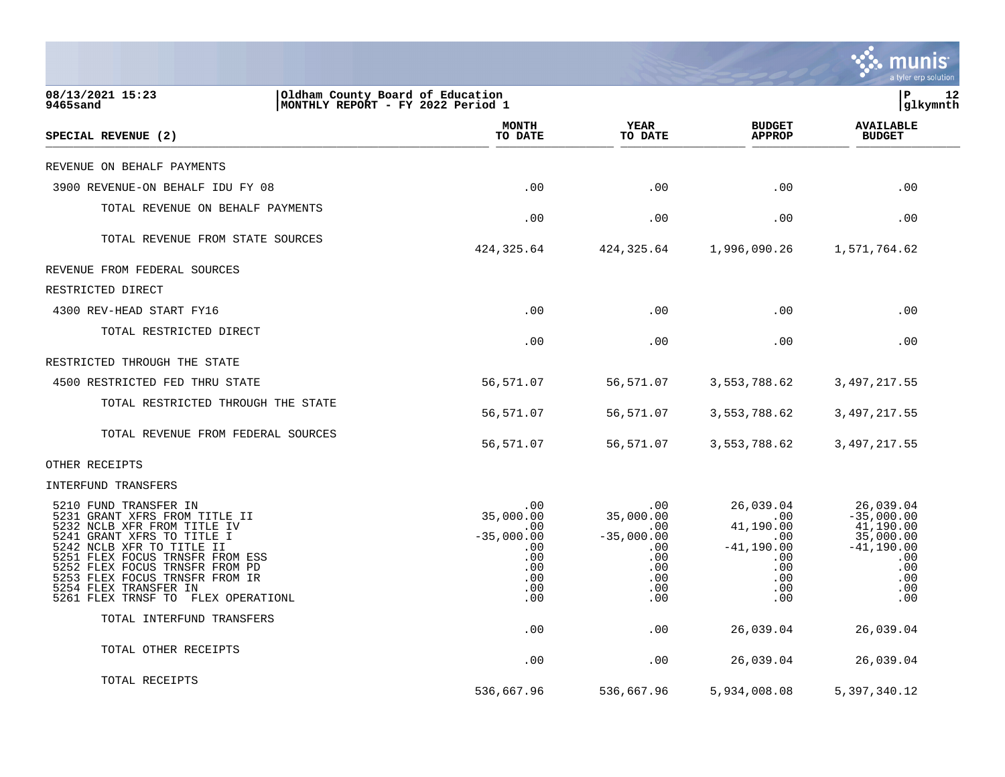|                                                                                                                                                                                                 |                                                                       |                                          |                                                         | munis<br>a tyler erp solution                       |
|-------------------------------------------------------------------------------------------------------------------------------------------------------------------------------------------------|-----------------------------------------------------------------------|------------------------------------------|---------------------------------------------------------|-----------------------------------------------------|
| 08/13/2021 15:23<br>9465sand                                                                                                                                                                    | Oldham County Board of Education<br>MONTHLY REPORT - FY 2022 Period 1 |                                          |                                                         | lР<br>12<br> glkymnth                               |
| SPECIAL REVENUE (2)                                                                                                                                                                             | <b>MONTH</b><br>TO DATE                                               | <b>YEAR</b><br>TO DATE                   | <b>BUDGET</b><br><b>APPROP</b>                          | <b>AVAILABLE</b><br><b>BUDGET</b>                   |
| REVENUE ON BEHALF PAYMENTS                                                                                                                                                                      |                                                                       |                                          |                                                         |                                                     |
| 3900 REVENUE-ON BEHALF IDU FY 08                                                                                                                                                                | .00                                                                   | .00                                      | .00                                                     | .00                                                 |
| TOTAL REVENUE ON BEHALF PAYMENTS                                                                                                                                                                | .00                                                                   | .00                                      | .00                                                     | .00                                                 |
| TOTAL REVENUE FROM STATE SOURCES                                                                                                                                                                | 424, 325.64                                                           | 424,325.64                               | 1,996,090.26                                            | 1,571,764.62                                        |
| REVENUE FROM FEDERAL SOURCES                                                                                                                                                                    |                                                                       |                                          |                                                         |                                                     |
| RESTRICTED DIRECT                                                                                                                                                                               |                                                                       |                                          |                                                         |                                                     |
| 4300 REV-HEAD START FY16                                                                                                                                                                        | .00                                                                   | .00                                      | .00                                                     | .00                                                 |
| TOTAL RESTRICTED DIRECT                                                                                                                                                                         | .00                                                                   | .00                                      | .00                                                     | .00                                                 |
| RESTRICTED THROUGH THE STATE                                                                                                                                                                    |                                                                       |                                          |                                                         |                                                     |
| 4500 RESTRICTED FED THRU STATE                                                                                                                                                                  | 56,571.07                                                             | 56,571.07                                | 3,553,788.62                                            | 3,497,217.55                                        |
| TOTAL RESTRICTED THROUGH THE STATE                                                                                                                                                              | 56,571.07                                                             | 56,571.07                                | 3,553,788.62                                            | 3,497,217.55                                        |
| TOTAL REVENUE FROM FEDERAL SOURCES                                                                                                                                                              | 56,571.07                                                             | 56,571.07                                | 3,553,788.62                                            | 3, 497, 217.55                                      |
| OTHER RECEIPTS                                                                                                                                                                                  |                                                                       |                                          |                                                         |                                                     |
| INTERFUND TRANSFERS                                                                                                                                                                             |                                                                       |                                          |                                                         |                                                     |
| 5210 FUND TRANSFER IN<br>5231 GRANT XFRS FROM TITLE II<br>5232 NCLB XFR FROM TITLE IV<br>5241 GRANT XFRS TO TITLE I                                                                             | .00<br>35,000.00<br>.00<br>$-35,000.00$                               | .00<br>35,000.00<br>.00.<br>$-35,000.00$ | 26,039.04<br>.00<br>41,190.00<br>$.00 \,$               | 26,039.04<br>$-35,000.00$<br>41,190.00<br>35,000.00 |
| 5242 NCLB XFR TO TITLE II<br>5251 FLEX FOCUS TRNSFR FROM ESS<br>5252 FLEX FOCUS TRNSFR FROM PD<br>5253 FLEX FOCUS TRNSFR FROM IR<br>5254 FLEX TRANSFER IN<br>5261 FLEX TRNSF TO FLEX OPERATIONL | .00<br>.00<br>.00<br>.00<br>.00<br>.00                                | .00<br>.00<br>.00<br>.00<br>.00<br>.00   | $-41, 190.00$<br>$.00 \,$<br>.00<br>.00.<br>.00.<br>.00 | $-41,190.00$<br>.00<br>.00<br>.00<br>.00<br>.00     |
| TOTAL INTERFUND TRANSFERS                                                                                                                                                                       | .00                                                                   | .00                                      | 26,039.04                                               | 26,039.04                                           |
| TOTAL OTHER RECEIPTS                                                                                                                                                                            | .00                                                                   | .00                                      | 26,039.04                                               | 26,039.04                                           |
| TOTAL RECEIPTS                                                                                                                                                                                  | 536,667.96                                                            | 536,667.96                               | 5,934,008.08                                            | 5,397,340.12                                        |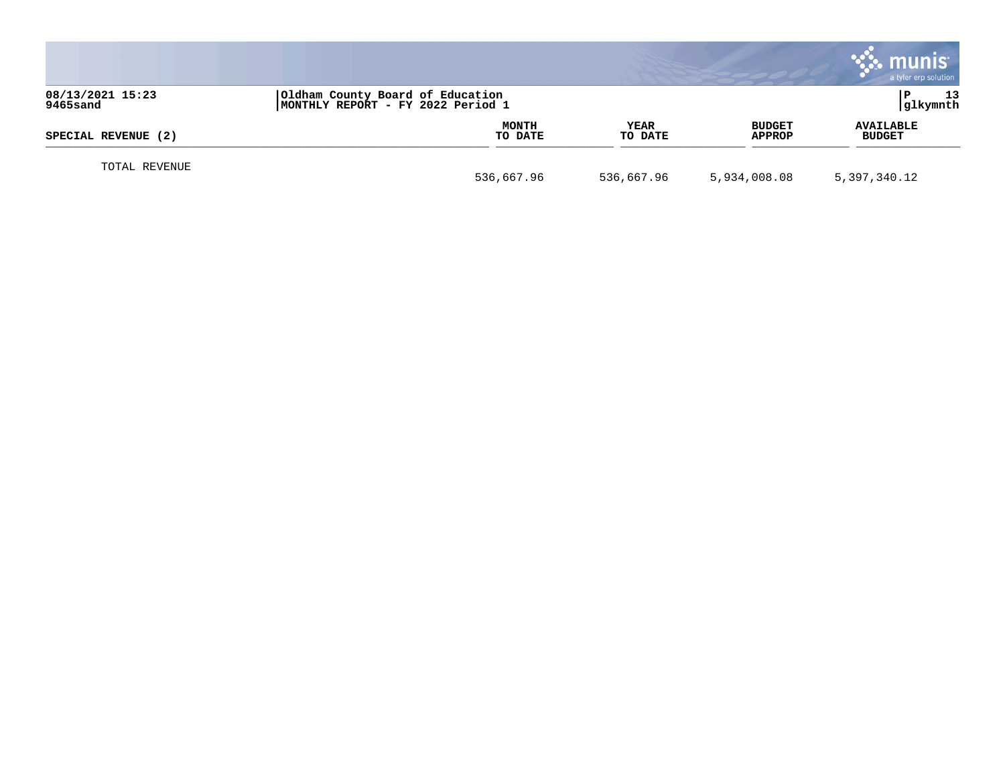|                              |                                                                       |                 |                                | munis<br>a tyler erp solution     |
|------------------------------|-----------------------------------------------------------------------|-----------------|--------------------------------|-----------------------------------|
| 08/13/2021 15:23<br>9465sand | Oldham County Board of Education<br>MONTHLY REPORT - FY 2022 Period 1 |                 |                                | 13<br> glkymnth                   |
| SPECIAL REVENUE (2)          | <b>MONTH</b><br>TO DATE                                               | YEAR<br>TO DATE | <b>BUDGET</b><br><b>APPROP</b> | <b>AVAILABLE</b><br><b>BUDGET</b> |
| TOTAL REVENUE                | 536,667.96                                                            | 536,667.96      | 5,934,008.08                   | 5,397,340.12                      |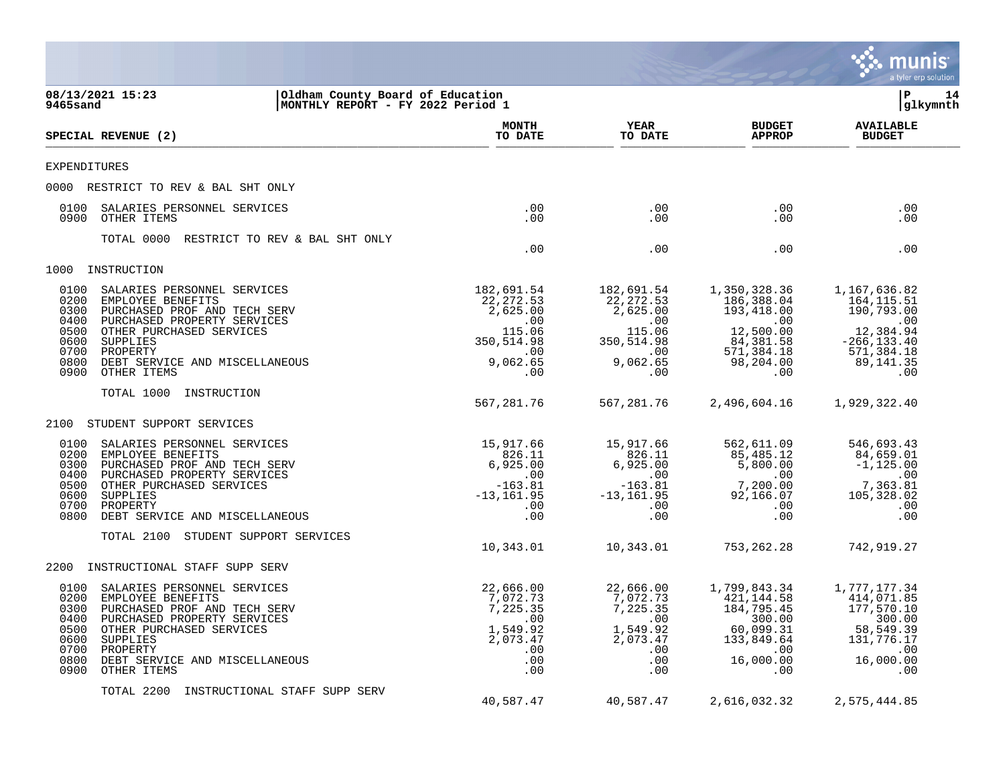|                                                                                                                                                                                                                                                                                              |                                                                                               |                                                                                               |                                                                                                                        | <b>munis</b><br>a tyler erp solution                                                                             |
|----------------------------------------------------------------------------------------------------------------------------------------------------------------------------------------------------------------------------------------------------------------------------------------------|-----------------------------------------------------------------------------------------------|-----------------------------------------------------------------------------------------------|------------------------------------------------------------------------------------------------------------------------|------------------------------------------------------------------------------------------------------------------|
| 08/13/2021 15:23<br>Oldham County Board of Education<br>9465sand<br>MONTHLY REPORT - FY 2022 Period 1                                                                                                                                                                                        |                                                                                               |                                                                                               |                                                                                                                        | lР<br>14<br>glkymnth                                                                                             |
| <b>SPECIAL REVENUE (2)</b>                                                                                                                                                                                                                                                                   | <b>MONTH</b><br>TO DATE                                                                       | YEAR<br>TO DATE                                                                               | <b>BUDGET</b><br><b>APPROP</b>                                                                                         | <b>AVAILABLE</b><br><b>BUDGET</b>                                                                                |
| <b>EXPENDITURES</b>                                                                                                                                                                                                                                                                          |                                                                                               |                                                                                               |                                                                                                                        |                                                                                                                  |
| 0000 RESTRICT TO REV & BAL SHT ONLY                                                                                                                                                                                                                                                          |                                                                                               |                                                                                               |                                                                                                                        |                                                                                                                  |
| SALARIES PERSONNEL SERVICES<br>0100<br>0900<br>OTHER ITEMS                                                                                                                                                                                                                                   | .00<br>.00                                                                                    | $.00 \ \,$<br>$.00 \,$                                                                        | $.00 \,$<br>$.00 \,$                                                                                                   | .00<br>.00                                                                                                       |
| TOTAL 0000<br>RESTRICT TO REV & BAL SHT ONLY                                                                                                                                                                                                                                                 | .00                                                                                           | .00                                                                                           | $.00 \,$                                                                                                               | .00                                                                                                              |
| INSTRUCTION<br>1000                                                                                                                                                                                                                                                                          |                                                                                               |                                                                                               |                                                                                                                        |                                                                                                                  |
| 0100<br>SALARIES PERSONNEL SERVICES<br>0200<br>EMPLOYEE BENEFITS<br>0300<br>PURCHASED PROF AND TECH SERV<br>0400<br>PURCHASED PROPERTY SERVICES<br>0500<br>OTHER PURCHASED SERVICES<br>0600<br>SUPPLIES<br>0700<br>PROPERTY<br>0800<br>DEBT SERVICE AND MISCELLANEOUS<br>0900<br>OTHER ITEMS | 182,691.54<br>22, 272.53<br>2,625.00<br>.00<br>115.06<br>350,514.98<br>.00<br>9,062.65<br>.00 | 182,691.54<br>22, 272.53<br>2,625.00<br>.00<br>115.06<br>350,514.98<br>.00<br>9,062.65<br>.00 | 1,350,328.36<br>186,388.04<br>193,418.00<br>$\sim 00$<br>12,500.00<br>84,381.58<br>571,384.18<br>98,204.00<br>$.00 \,$ | 1,167,636.82<br>164,115.51<br>190,793.00<br>.00<br>12,384.94<br>$-266, 133.40$<br>571,384.18<br>89,141.35<br>.00 |
| TOTAL 1000<br>INSTRUCTION                                                                                                                                                                                                                                                                    | 567,281.76                                                                                    | 567,281.76                                                                                    | 2,496,604.16                                                                                                           | 1,929,322.40                                                                                                     |
| 2100<br>STUDENT SUPPORT SERVICES                                                                                                                                                                                                                                                             |                                                                                               |                                                                                               |                                                                                                                        |                                                                                                                  |
| 0100<br>SALARIES PERSONNEL SERVICES<br>0200<br>EMPLOYEE BENEFITS<br>0300<br>PURCHASED PROF AND TECH SERV<br>PURCHASED PROPERTY SERVICES<br>0400<br>0500<br>OTHER PURCHASED SERVICES<br>0600<br>SUPPLIES<br>PROPERTY<br>0700<br>0800<br>DEBT SERVICE AND MISCELLANEOUS                        | 15,917.66<br>826.11<br>6,925.00<br>.00<br>$-163.81$<br>$-13, 161.95$<br>.00<br>.00            | 15,917.66<br>826.11<br>6,925.00<br>.00<br>$-163.81$<br>$-13, 161.95$<br>$.00 \ \,$<br>.00     | 562,611.09<br>85,485.12<br>5,800.00<br>$.00 \,$<br>7,200.00<br>92,166.07<br>$.00 \ \rm$<br>.00                         | 546,693.43<br>84,659.01<br>$-1, 125.00$<br>.00<br>7,363.81<br>105,328.02<br>.00<br>.00                           |
| TOTAL 2100<br>STUDENT SUPPORT SERVICES                                                                                                                                                                                                                                                       | 10,343.01                                                                                     | 10,343.01                                                                                     | 753, 262. 28                                                                                                           | 742,919.27                                                                                                       |
| 2200<br>INSTRUCTIONAL STAFF SUPP SERV                                                                                                                                                                                                                                                        |                                                                                               |                                                                                               |                                                                                                                        |                                                                                                                  |
| SALARIES PERSONNEL SERVICES<br>0100<br>0200<br>EMPLOYEE BENEFITS<br>0300 PURCHASED PROF AND TECH SERV<br>0400 PURCHASED PROPERTY SERVICES<br>0500 OTHER PURCHASED SERVICES<br>0600 SUPPLIES<br>0700 PROPERTY<br>0800<br>DEBT SERVICE AND MISCELLANEOUS<br>0900<br>OTHER ITEMS                | 22,666.00<br>7,072.73<br>7,225.35<br>.00<br>1,549.92<br>2,073.47<br>.00<br>.00<br>.00         | 22,666.00<br>7,072.73<br>7,225.35<br>.00<br>1,549.92<br>2,073.47<br>.00<br>.00<br>.00         | 1,799,843.34<br>421,144.58<br>184,795.45<br>300.00<br>60,099.31<br>133,849.64<br>$.00 \,$<br>16,000.00<br>.00          | 1,777,177.34<br>414,071.85<br>177,570.10<br>300.00<br>58,549.39<br>131,776.17<br>.00<br>16,000.00<br>.00         |
| TOTAL 2200<br>INSTRUCTIONAL STAFF SUPP SERV                                                                                                                                                                                                                                                  | 40,587.47                                                                                     | 40,587.47                                                                                     | 2,616,032.32                                                                                                           | 2,575,444.85                                                                                                     |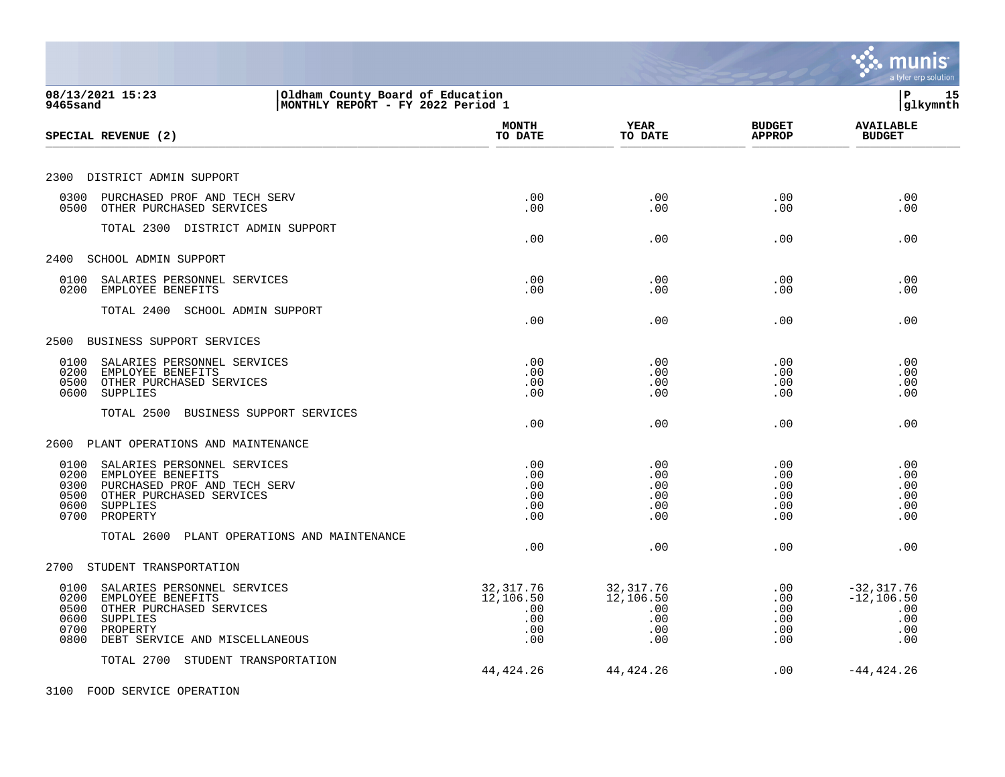|                                                                                                                                                                                        |                                                     |                                                     |                                             | a tyler erp solution                                       |
|----------------------------------------------------------------------------------------------------------------------------------------------------------------------------------------|-----------------------------------------------------|-----------------------------------------------------|---------------------------------------------|------------------------------------------------------------|
| 08/13/2021 15:23<br>Oldham County Board of Education<br>MONTHLY REPORT - FY 2022 Period 1<br>9465sand                                                                                  |                                                     |                                                     |                                             | l P<br>15<br> glkymnth                                     |
| SPECIAL REVENUE (2)                                                                                                                                                                    | <b>MONTH</b><br>TO DATE                             | <b>YEAR</b><br>TO DATE                              | <b>BUDGET</b><br><b>APPROP</b>              | <b>AVAILABLE</b><br><b>BUDGET</b>                          |
| 2300 DISTRICT ADMIN SUPPORT                                                                                                                                                            |                                                     |                                                     |                                             |                                                            |
| 0300<br>PURCHASED PROF AND TECH SERV<br>0500 OTHER PURCHASED SERVICES                                                                                                                  | .00<br>.00                                          | .00<br>.00                                          | .00<br>.00                                  | .00<br>.00                                                 |
| TOTAL 2300 DISTRICT ADMIN SUPPORT                                                                                                                                                      | .00                                                 | .00                                                 | .00                                         | .00                                                        |
| 2400<br>SCHOOL ADMIN SUPPORT                                                                                                                                                           |                                                     |                                                     |                                             |                                                            |
| 0100<br>SALARIES PERSONNEL SERVICES<br>0200<br>EMPLOYEE BENEFITS                                                                                                                       | .00<br>.00                                          | .00<br>.00                                          | .00<br>.00                                  | .00<br>.00                                                 |
| TOTAL 2400 SCHOOL ADMIN SUPPORT                                                                                                                                                        | .00                                                 | .00                                                 | .00                                         | .00                                                        |
| 2500 BUSINESS SUPPORT SERVICES                                                                                                                                                         |                                                     |                                                     |                                             |                                                            |
| 0100<br>SALARIES PERSONNEL SERVICES<br>0200<br>EMPLOYEE BENEFITS<br>OTHER PURCHASED SERVICES<br>0500<br>0600<br><b>SUPPLIES</b>                                                        | .00<br>.00<br>.00<br>.00                            | .00<br>.00<br>.00<br>.00                            | .00<br>.00<br>.00<br>.00                    | .00<br>.00<br>.00<br>.00                                   |
| TOTAL 2500<br>BUSINESS SUPPORT SERVICES                                                                                                                                                | .00                                                 | .00                                                 | .00                                         | .00                                                        |
| PLANT OPERATIONS AND MAINTENANCE<br>2600                                                                                                                                               |                                                     |                                                     |                                             |                                                            |
| 0100<br>SALARIES PERSONNEL SERVICES<br>0200<br>EMPLOYEE BENEFITS<br>PURCHASED PROF AND TECH SERV<br>0300<br>OTHER PURCHASED SERVICES<br>0500<br>0600<br>SUPPLIES<br>PROPERTY<br>0700   | .00<br>.00<br>.00<br>.00<br>.00<br>.00              | .00<br>.00<br>.00<br>.00<br>.00<br>.00              | .00<br>.00<br>$.00 \,$<br>.00<br>.00<br>.00 | .00<br>.00<br>.00<br>.00<br>.00<br>.00                     |
| TOTAL 2600<br>PLANT OPERATIONS AND MAINTENANCE                                                                                                                                         | .00                                                 | .00                                                 | .00                                         | .00                                                        |
| STUDENT TRANSPORTATION<br>2700                                                                                                                                                         |                                                     |                                                     |                                             |                                                            |
| 0100<br>SALARIES PERSONNEL SERVICES<br>0200<br>EMPLOYEE BENEFITS<br>OTHER PURCHASED SERVICES<br>0500<br>0600<br>SUPPLIES<br>0700<br>PROPERTY<br>DEBT SERVICE AND MISCELLANEOUS<br>0800 | 32, 317.76<br>12,106.50<br>.00<br>.00<br>.00<br>.00 | 32, 317.76<br>12,106.50<br>.00<br>.00<br>.00<br>.00 | .00<br>.00<br>.00<br>.00<br>.00<br>.00      | $-32, 317.76$<br>$-12, 106.50$<br>.00<br>.00<br>.00<br>.00 |
| TOTAL 2700 STUDENT TRANSPORTATION                                                                                                                                                      | 44, 424. 26                                         | 44, 424. 26                                         | .00                                         | $-44, 424.26$                                              |
| 3100 FOOD SERVICE OPERATION                                                                                                                                                            |                                                     |                                                     |                                             |                                                            |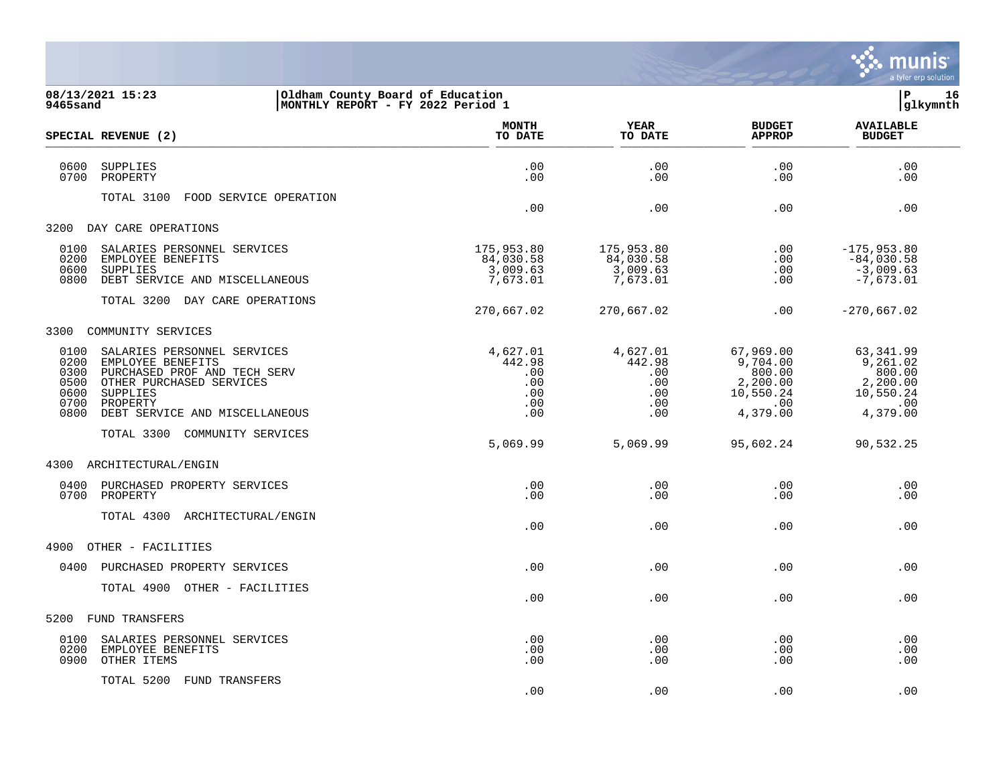

| 9465sand                                             | 08/13/2021 15:23                                                                                                                                                       | Oldham County Board of Education<br>MONTHLY REPORT - FY 2022 Period 1 |                                                            |                                                                             | lР<br>16<br>glkymnth                                                        |
|------------------------------------------------------|------------------------------------------------------------------------------------------------------------------------------------------------------------------------|-----------------------------------------------------------------------|------------------------------------------------------------|-----------------------------------------------------------------------------|-----------------------------------------------------------------------------|
|                                                      | SPECIAL REVENUE (2)                                                                                                                                                    | <b>MONTH</b><br>TO DATE                                               | YEAR<br>TO DATE                                            | <b>BUDGET</b><br><b>APPROP</b>                                              | <b>AVAILABLE</b><br><b>BUDGET</b>                                           |
| 0600<br>0700                                         | <b>SUPPLIES</b><br>PROPERTY                                                                                                                                            | .00<br>.00                                                            | .00<br>.00                                                 | .00<br>.00.                                                                 | .00<br>.00                                                                  |
|                                                      | TOTAL 3100<br>FOOD SERVICE OPERATION                                                                                                                                   | .00                                                                   | .00                                                        | .00                                                                         | .00                                                                         |
| 3200                                                 | DAY CARE OPERATIONS                                                                                                                                                    |                                                                       |                                                            |                                                                             |                                                                             |
| 0100<br>0200<br>0600<br>0800                         | SALARIES PERSONNEL SERVICES<br>EMPLOYEE BENEFITS<br>SUPPLIES<br>DEBT SERVICE AND MISCELLANEOUS                                                                         | 175,953.80<br>84,030.58<br>3,009.63<br>7,673.01                       | 175,953.80<br>84,030.58<br>3,009.63<br>7,673.01            | .00<br>.00<br>.00<br>.00                                                    | $-175,953.80$<br>$-84,030.58$<br>$-3,009.63$<br>$-7,673.01$                 |
|                                                      | TOTAL 3200 DAY CARE OPERATIONS                                                                                                                                         | 270,667.02                                                            | 270,667.02                                                 | .00                                                                         | $-270,667.02$                                                               |
| 3300                                                 | COMMUNITY SERVICES                                                                                                                                                     |                                                                       |                                                            |                                                                             |                                                                             |
| 0100<br>0200<br>0300<br>0500<br>0600<br>0700<br>0800 | SALARIES PERSONNEL SERVICES<br>EMPLOYEE BENEFITS<br>PURCHASED PROF AND TECH SERV<br>OTHER PURCHASED SERVICES<br>SUPPLIES<br>PROPERTY<br>DEBT SERVICE AND MISCELLANEOUS | 4,627.01<br>442.98<br>.00<br>.00<br>.00<br>.00<br>.00                 | 4,627.01<br>442.98<br>.00<br>$.00 \,$<br>.00<br>.00<br>.00 | 67,969.00<br>9,704.00<br>800.00<br>2,200.00<br>10,550.24<br>.00<br>4,379.00 | 63,341.99<br>9,261.02<br>800.00<br>2,200.00<br>10,550.24<br>.00<br>4,379.00 |
|                                                      | TOTAL 3300 COMMUNITY SERVICES                                                                                                                                          | 5,069.99                                                              | 5,069.99                                                   | 95,602.24                                                                   | 90,532.25                                                                   |
| 4300                                                 | ARCHITECTURAL/ENGIN                                                                                                                                                    |                                                                       |                                                            |                                                                             |                                                                             |
| 0400<br>0700                                         | PURCHASED PROPERTY SERVICES<br>PROPERTY                                                                                                                                | .00<br>.00                                                            | .00<br>.00                                                 | .00<br>.00                                                                  | .00<br>.00                                                                  |
|                                                      | TOTAL 4300 ARCHITECTURAL/ENGIN                                                                                                                                         | .00                                                                   | .00                                                        | .00                                                                         | .00                                                                         |
| 4900                                                 | OTHER - FACILITIES                                                                                                                                                     |                                                                       |                                                            |                                                                             |                                                                             |
| 0400                                                 | PURCHASED PROPERTY SERVICES                                                                                                                                            | .00                                                                   | .00                                                        | .00                                                                         | .00                                                                         |
|                                                      | TOTAL 4900 OTHER - FACILITIES                                                                                                                                          | .00                                                                   | .00                                                        | .00                                                                         | .00                                                                         |
| 5200                                                 | FUND TRANSFERS                                                                                                                                                         |                                                                       |                                                            |                                                                             |                                                                             |
| 0100<br>0200<br>0900                                 | SALARIES PERSONNEL SERVICES<br>EMPLOYEE BENEFITS<br>OTHER ITEMS                                                                                                        | .00<br>.00<br>.00                                                     | .00<br>.00<br>.00                                          | .00<br>.00<br>.00                                                           | .00<br>.00<br>.00                                                           |

TOTAL 5200 FUND TRANSFERS

 $.00$  .  $.00$  .  $.00$  .  $.00$  .  $.00$  .  $.00$  .  $.00$  .  $.00$  .  $.00$  .  $.00$  .  $.00$  .  $.00$  .  $.00$  .  $.00$  .  $.00$  .  $.00$  .  $.00$  .  $.00$  .  $.00$  .  $.00$  .  $.00$  .  $.00$  .  $.00$  .  $.00$  .  $.00$  .  $.00$  .  $.00$  .  $.00$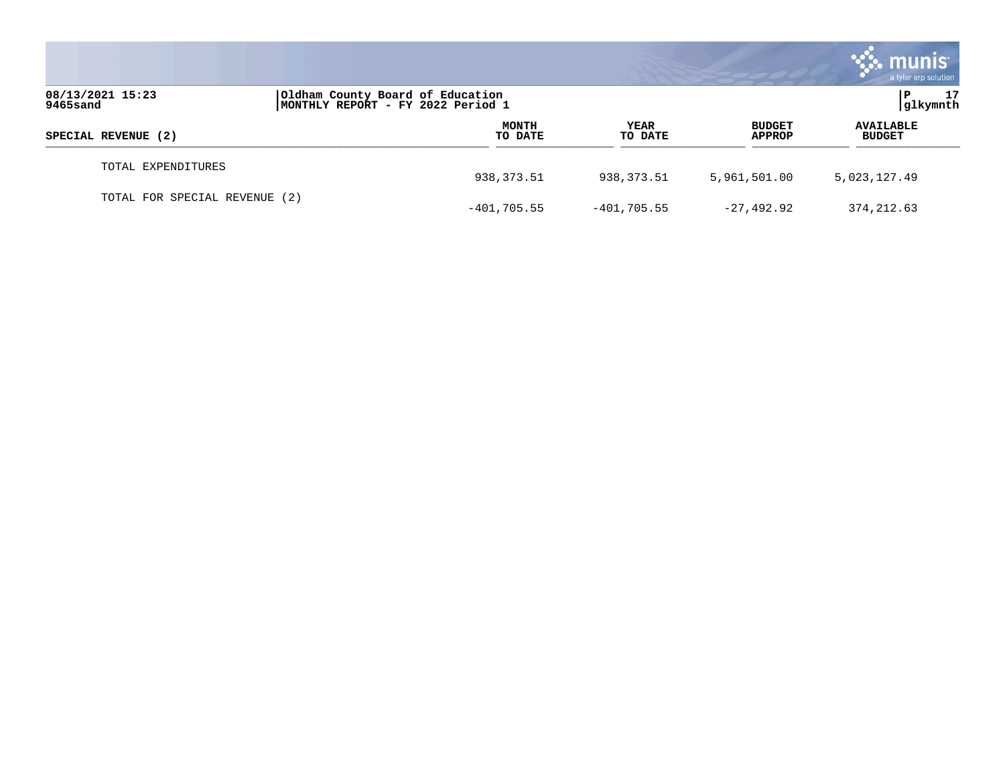|                               |                                                                       |                         |                        |                         | munis<br>a tyler erp solution     |
|-------------------------------|-----------------------------------------------------------------------|-------------------------|------------------------|-------------------------|-----------------------------------|
| 08/13/2021 15:23<br>9465sand  | Oldham County Board of Education<br>MONTHLY REPORT - FY 2022 Period 1 |                         |                        |                         | 17<br> glkymnth                   |
| SPECIAL REVENUE (2)           |                                                                       | <b>MONTH</b><br>TO DATE | <b>YEAR</b><br>TO DATE | <b>BUDGET</b><br>APPROP | <b>AVAILABLE</b><br><b>BUDGET</b> |
| TOTAL EXPENDITURES            |                                                                       | 938,373.51              | 938,373.51             | 5,961,501.00            | 5,023,127.49                      |
| TOTAL FOR SPECIAL REVENUE (2) |                                                                       | $-401,705.55$           | $-401,705.55$          | $-27,492.92$            | 374, 212.63                       |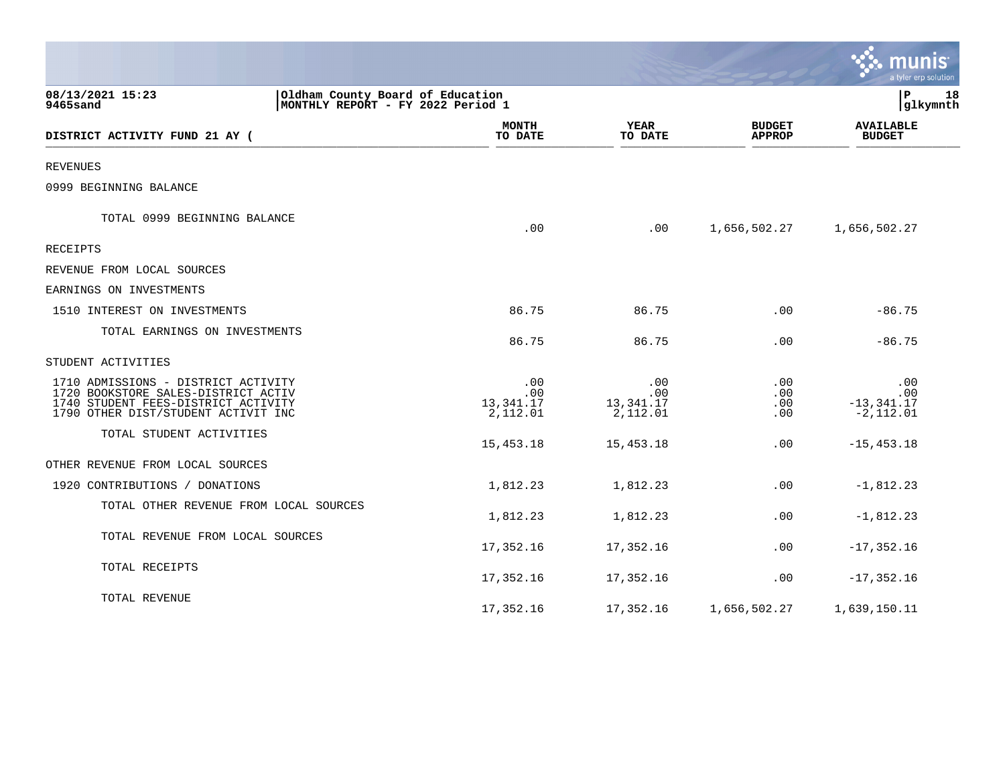|                                                                                                                                                          |                                                                       |                                     |                                | munis<br>a tyler erp solution               |
|----------------------------------------------------------------------------------------------------------------------------------------------------------|-----------------------------------------------------------------------|-------------------------------------|--------------------------------|---------------------------------------------|
| 08/13/2021 15:23<br>9465sand                                                                                                                             | Oldham County Board of Education<br>MONTHLY REPORT - FY 2022 Period 1 |                                     |                                | lР<br>18<br>glkymnth                        |
| DISTRICT ACTIVITY FUND 21 AY (                                                                                                                           | <b>MONTH</b><br>TO DATE                                               | <b>YEAR</b><br>TO DATE              | <b>BUDGET</b><br><b>APPROP</b> | <b>AVAILABLE</b><br><b>BUDGET</b>           |
| <b>REVENUES</b>                                                                                                                                          |                                                                       |                                     |                                |                                             |
| 0999 BEGINNING BALANCE                                                                                                                                   |                                                                       |                                     |                                |                                             |
| TOTAL 0999 BEGINNING BALANCE                                                                                                                             | .00                                                                   | .00                                 | 1,656,502.27                   | 1,656,502.27                                |
| RECEIPTS                                                                                                                                                 |                                                                       |                                     |                                |                                             |
| REVENUE FROM LOCAL SOURCES                                                                                                                               |                                                                       |                                     |                                |                                             |
| EARNINGS ON INVESTMENTS                                                                                                                                  |                                                                       |                                     |                                |                                             |
| 1510 INTEREST ON INVESTMENTS                                                                                                                             | 86.75                                                                 | 86.75                               | .00                            | $-86.75$                                    |
| TOTAL EARNINGS ON INVESTMENTS                                                                                                                            | 86.75                                                                 | 86.75                               | .00                            | $-86.75$                                    |
| STUDENT ACTIVITIES                                                                                                                                       |                                                                       |                                     |                                |                                             |
| 1710 ADMISSIONS - DISTRICT ACTIVITY<br>1720 BOOKSTORE SALES-DISTRICT ACTIV<br>1740 STUDENT FEES-DISTRICT ACTIVITY<br>1790 OTHER DIST/STUDENT ACTIVIT INC | .00<br>.00<br>13,341.17<br>2,112.01                                   | .00<br>.00<br>13,341.17<br>2,112.01 | .00<br>.00<br>$.00 \,$<br>.00  | .00<br>.00<br>$-13, 341.17$<br>$-2, 112.01$ |
| TOTAL STUDENT ACTIVITIES                                                                                                                                 | 15,453.18                                                             | 15,453.18                           | .00                            | $-15, 453.18$                               |
| OTHER REVENUE FROM LOCAL SOURCES                                                                                                                         |                                                                       |                                     |                                |                                             |
| 1920 CONTRIBUTIONS / DONATIONS                                                                                                                           | 1,812.23                                                              | 1,812.23                            | .00                            | $-1,812.23$                                 |
| TOTAL OTHER REVENUE FROM LOCAL SOURCES                                                                                                                   | 1,812.23                                                              | 1,812.23                            | .00                            | $-1,812.23$                                 |
| TOTAL REVENUE FROM LOCAL SOURCES                                                                                                                         | 17,352.16                                                             | 17,352.16                           | .00                            | $-17, 352.16$                               |
| TOTAL RECEIPTS                                                                                                                                           | 17,352.16                                                             | 17,352.16                           | .00                            | $-17, 352.16$                               |
| TOTAL REVENUE                                                                                                                                            | 17,352.16                                                             | 17,352.16                           | 1,656,502.27                   | 1,639,150.11                                |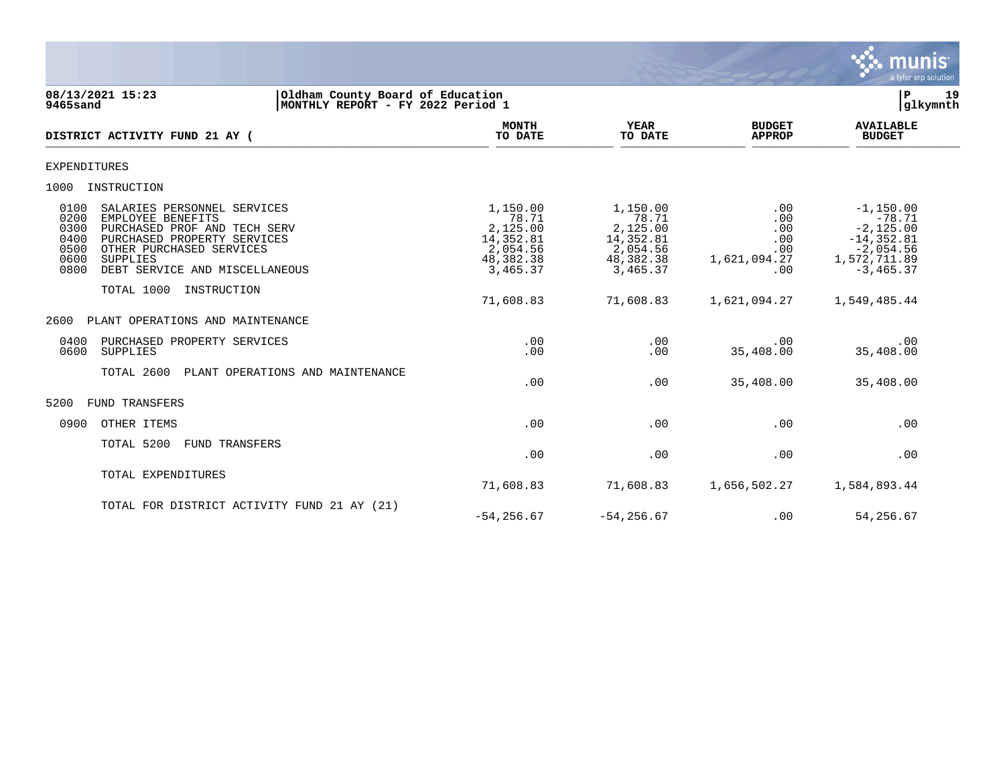

### **08/13/2021 15:23 |Oldham County Board of Education |P 19 9465sand |MONTHLY REPORT - FY 2022 Period 1 |glkymnth**

| DISTRICT ACTIVITY FUND 21 AY (                                                                                                                                                                                                                    | <b>MONTH</b><br>TO DATE                                                         | <b>YEAR</b><br>TO DATE                                                          | <b>BUDGET</b><br><b>APPROP</b>                         | <b>AVAILABLE</b><br><b>BUDGET</b>                                                                       |  |
|---------------------------------------------------------------------------------------------------------------------------------------------------------------------------------------------------------------------------------------------------|---------------------------------------------------------------------------------|---------------------------------------------------------------------------------|--------------------------------------------------------|---------------------------------------------------------------------------------------------------------|--|
| <b>EXPENDITURES</b>                                                                                                                                                                                                                               |                                                                                 |                                                                                 |                                                        |                                                                                                         |  |
| 1000<br>INSTRUCTION                                                                                                                                                                                                                               |                                                                                 |                                                                                 |                                                        |                                                                                                         |  |
| 0100<br>SALARIES PERSONNEL SERVICES<br>EMPLOYEE BENEFITS<br>0200<br>0300<br>PURCHASED PROF AND TECH SERV<br>0400<br>PURCHASED PROPERTY SERVICES<br>0500<br>OTHER PURCHASED SERVICES<br>0600<br>SUPPLIES<br>DEBT SERVICE AND MISCELLANEOUS<br>0800 | 1,150.00<br>78.71<br>2,125.00<br>14,352.81<br>2,054.56<br>48,382.38<br>3,465.37 | 1,150.00<br>78.71<br>2,125.00<br>14,352.81<br>2,054.56<br>48,382.38<br>3,465.37 | .00<br>.00<br>.00<br>.00<br>.00<br>1,621,094.27<br>.00 | $-1,150.00$<br>$-78.71$<br>$-2, 125.00$<br>$-14, 352.81$<br>$-2,054.56$<br>1,572,711.89<br>$-3, 465.37$ |  |
| TOTAL 1000<br>INSTRUCTION                                                                                                                                                                                                                         | 71,608.83                                                                       | 71,608.83                                                                       | 1,621,094.27                                           | 1,549,485.44                                                                                            |  |
| PLANT OPERATIONS AND MAINTENANCE<br>2600                                                                                                                                                                                                          |                                                                                 |                                                                                 |                                                        |                                                                                                         |  |
| 0400<br>PURCHASED PROPERTY SERVICES<br>0600<br>SUPPLIES                                                                                                                                                                                           | .00<br>.00                                                                      | .00<br>.00                                                                      | .00<br>35,408.00                                       | .00<br>35,408.00                                                                                        |  |
| TOTAL 2600<br>PLANT OPERATIONS AND MAINTENANCE                                                                                                                                                                                                    | .00                                                                             | .00                                                                             | 35,408.00                                              | 35,408.00                                                                                               |  |
| 5200<br><b>FUND TRANSFERS</b>                                                                                                                                                                                                                     |                                                                                 |                                                                                 |                                                        |                                                                                                         |  |
| OTHER ITEMS<br>0900                                                                                                                                                                                                                               | .00                                                                             | .00.                                                                            | .00                                                    | .00                                                                                                     |  |
| TOTAL 5200<br><b>FUND TRANSFERS</b>                                                                                                                                                                                                               | .00                                                                             | .00                                                                             | .00                                                    | .00                                                                                                     |  |
| TOTAL EXPENDITURES                                                                                                                                                                                                                                | 71,608.83                                                                       | 71,608.83                                                                       | 1,656,502.27                                           | 1,584,893.44                                                                                            |  |
| TOTAL FOR DISTRICT ACTIVITY FUND 21 AY (21)                                                                                                                                                                                                       | $-54, 256.67$                                                                   | $-54, 256.67$                                                                   | .00                                                    | 54,256.67                                                                                               |  |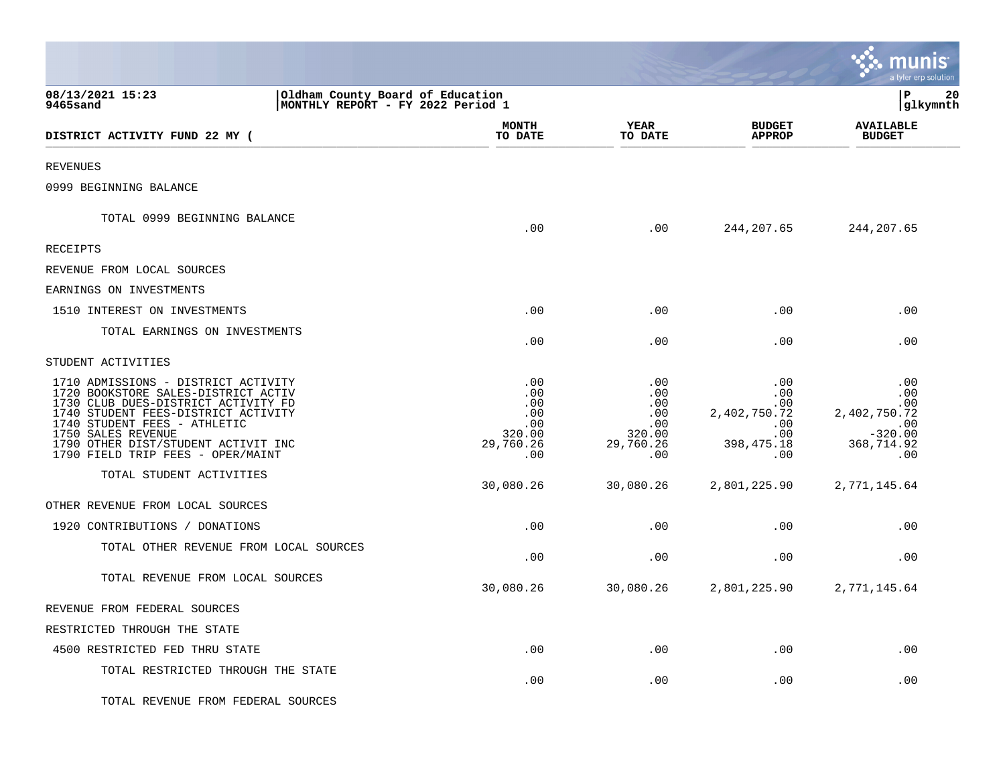|                                                                                                                                                                                                                                                                                            |                                                               |                                                               |                                                                                        | <b>INUMIS</b><br>a tyler erp solution                                      |    |
|--------------------------------------------------------------------------------------------------------------------------------------------------------------------------------------------------------------------------------------------------------------------------------------------|---------------------------------------------------------------|---------------------------------------------------------------|----------------------------------------------------------------------------------------|----------------------------------------------------------------------------|----|
| 08/13/2021 15:23<br>Oldham County Board of Education<br>9465sand<br>MONTHLY REPORT - FY 2022 Period 1                                                                                                                                                                                      |                                                               |                                                               |                                                                                        | l P<br> glkymnth                                                           | 20 |
| DISTRICT ACTIVITY FUND 22 MY (                                                                                                                                                                                                                                                             | <b>MONTH</b><br>TO DATE                                       | YEAR<br>TO DATE                                               | <b>BUDGET</b><br><b>APPROP</b>                                                         | <b>AVAILABLE</b><br><b>BUDGET</b>                                          |    |
| <b>REVENUES</b>                                                                                                                                                                                                                                                                            |                                                               |                                                               |                                                                                        |                                                                            |    |
| 0999 BEGINNING BALANCE                                                                                                                                                                                                                                                                     |                                                               |                                                               |                                                                                        |                                                                            |    |
| TOTAL 0999 BEGINNING BALANCE                                                                                                                                                                                                                                                               | .00                                                           | .00                                                           | 244, 207.65                                                                            | 244, 207.65                                                                |    |
| RECEIPTS                                                                                                                                                                                                                                                                                   |                                                               |                                                               |                                                                                        |                                                                            |    |
| REVENUE FROM LOCAL SOURCES                                                                                                                                                                                                                                                                 |                                                               |                                                               |                                                                                        |                                                                            |    |
| EARNINGS ON INVESTMENTS                                                                                                                                                                                                                                                                    |                                                               |                                                               |                                                                                        |                                                                            |    |
| 1510 INTEREST ON INVESTMENTS                                                                                                                                                                                                                                                               | .00                                                           | .00                                                           | .00                                                                                    | .00                                                                        |    |
| TOTAL EARNINGS ON INVESTMENTS                                                                                                                                                                                                                                                              | .00                                                           | .00                                                           | .00                                                                                    | .00                                                                        |    |
| STUDENT ACTIVITIES                                                                                                                                                                                                                                                                         |                                                               |                                                               |                                                                                        |                                                                            |    |
| 1710 ADMISSIONS - DISTRICT ACTIVITY<br>1720 BOOKSTORE SALES-DISTRICT ACTIV<br>1730 CLUB DUES-DISTRICT ACTIVITY FD<br>1740 STUDENT FEES-DISTRICT ACTIVITY<br>1740 STUDENT FEES - ATHLETIC<br>1750 SALES REVENUE<br>1790 OTHER DIST/STUDENT ACTIVIT INC<br>1790 FIELD TRIP FEES - OPER/MAINT | .00<br>.00<br>.00<br>.00<br>.00<br>320.00<br>29,760.26<br>.00 | .00<br>.00<br>.00<br>.00<br>.00<br>320.00<br>29,760.26<br>.00 | .00<br>$.00 \,$<br>$.00 \,$<br>2,402,750.72<br>.00<br>$.00 \ \rm$<br>398,475.18<br>.00 | .00<br>.00<br>.00<br>2,402,750.72<br>.00<br>$-320.00$<br>368,714.92<br>.00 |    |
| TOTAL STUDENT ACTIVITIES                                                                                                                                                                                                                                                                   | 30,080.26                                                     | 30,080.26                                                     | 2,801,225.90                                                                           | 2,771,145.64                                                               |    |
| OTHER REVENUE FROM LOCAL SOURCES                                                                                                                                                                                                                                                           |                                                               |                                                               |                                                                                        |                                                                            |    |
| 1920 CONTRIBUTIONS / DONATIONS                                                                                                                                                                                                                                                             | .00                                                           | .00                                                           | .00                                                                                    | .00                                                                        |    |
| TOTAL OTHER REVENUE FROM LOCAL SOURCES                                                                                                                                                                                                                                                     | .00                                                           | .00                                                           | .00                                                                                    | .00                                                                        |    |
| TOTAL REVENUE FROM LOCAL SOURCES                                                                                                                                                                                                                                                           | 30,080.26                                                     | 30,080.26                                                     | 2,801,225.90                                                                           | 2,771,145.64                                                               |    |
| REVENUE FROM FEDERAL SOURCES                                                                                                                                                                                                                                                               |                                                               |                                                               |                                                                                        |                                                                            |    |
| RESTRICTED THROUGH THE STATE                                                                                                                                                                                                                                                               |                                                               |                                                               |                                                                                        |                                                                            |    |
| 4500 RESTRICTED FED THRU STATE                                                                                                                                                                                                                                                             | .00                                                           | .00                                                           | .00                                                                                    | .00                                                                        |    |
| TOTAL RESTRICTED THROUGH THE STATE                                                                                                                                                                                                                                                         | .00                                                           | .00                                                           | .00                                                                                    | .00                                                                        |    |
| TOTAL REVENUE FROM FEDERAL SOURCES                                                                                                                                                                                                                                                         |                                                               |                                                               |                                                                                        |                                                                            |    |

 $\mathcal{L}$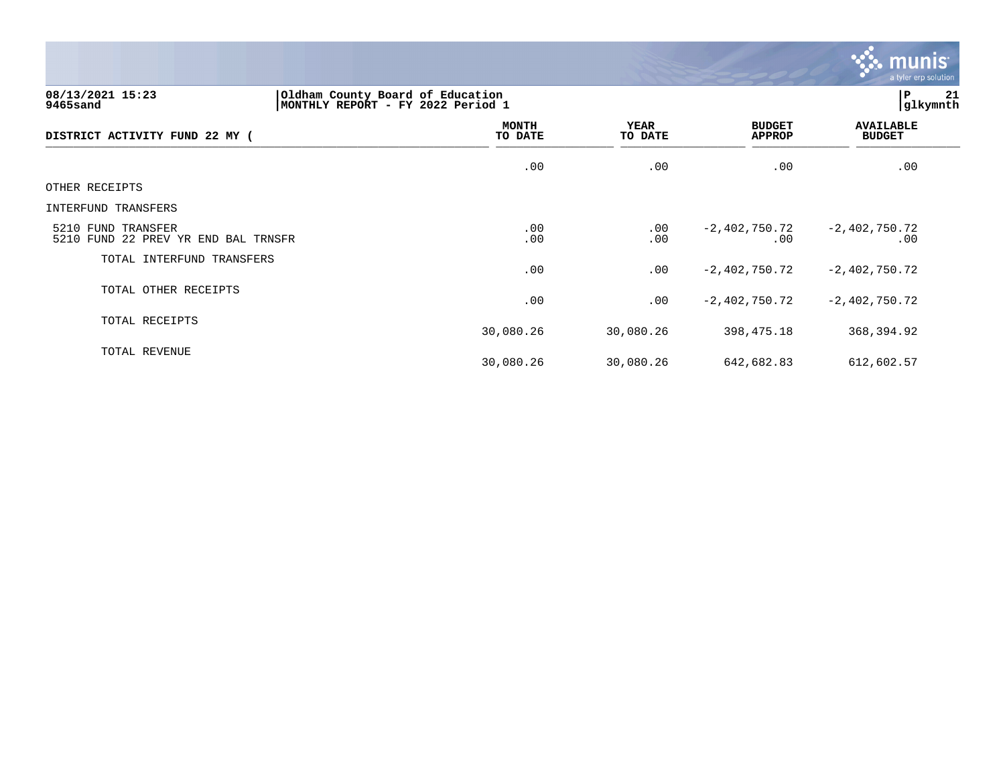

## **08/13/2021 15:23 |Oldham County Board of Education |P 21 9465sand |MONTHLY REPORT - FY 2022 Period 1 |glkymnth**

| DISTRICT ACTIVITY FUND 22 MY (                            | <b>MONTH</b><br>TO DATE | <b>YEAR</b><br>TO DATE | <b>BUDGET</b><br><b>APPROP</b> | <b>AVAILABLE</b><br><b>BUDGET</b> |
|-----------------------------------------------------------|-------------------------|------------------------|--------------------------------|-----------------------------------|
|                                                           | .00                     | .00                    | .00                            | .00                               |
| OTHER RECEIPTS                                            |                         |                        |                                |                                   |
| INTERFUND TRANSFERS                                       |                         |                        |                                |                                   |
| 5210 FUND TRANSFER<br>5210 FUND 22 PREV YR END BAL TRNSFR | .00<br>.00              | $.00 \,$<br>.00        | -2,402,750.72<br>.00           | $-2,402,750.72$<br>.00            |
| TOTAL INTERFUND TRANSFERS                                 | .00                     | .00                    | $-2,402,750.72$                | $-2,402,750.72$                   |
| TOTAL OTHER RECEIPTS                                      | .00                     | .00                    | $-2,402,750.72$                | $-2,402,750.72$                   |
| TOTAL RECEIPTS                                            | 30,080.26               | 30,080.26              | 398,475.18                     | 368,394.92                        |
| TOTAL REVENUE                                             | 30,080.26               | 30,080.26              | 642,682.83                     | 612,602.57                        |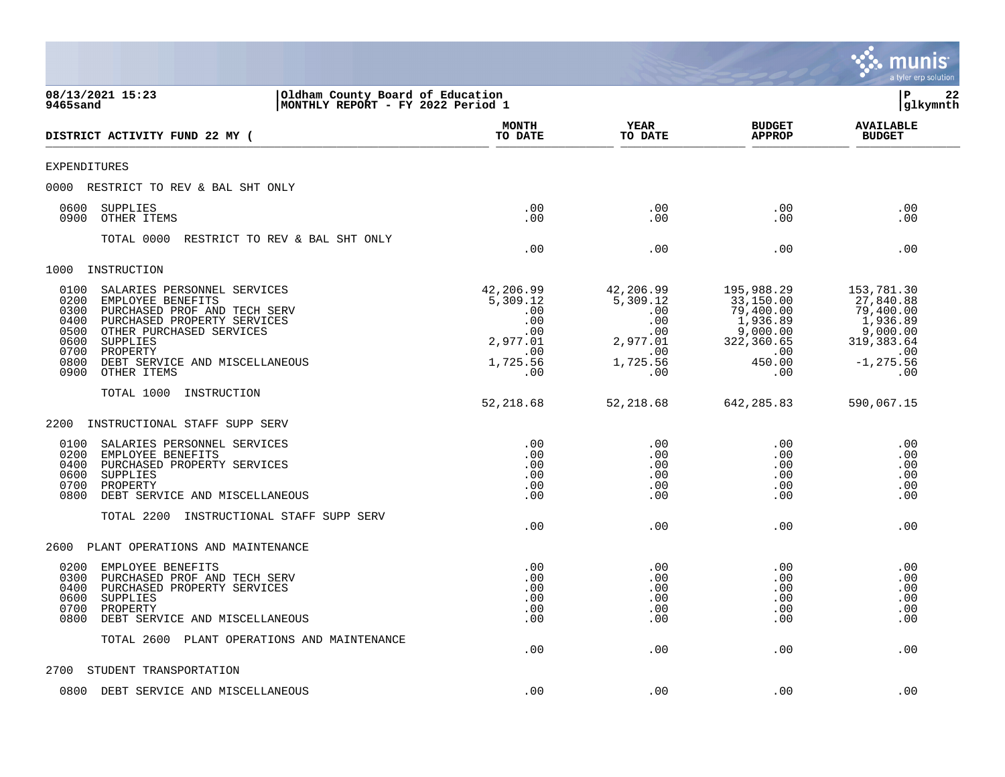|                                                                                                                                                                                                                                                                                              |                                                                                  |                                                                                                          |                                                                                                    | a tyler erp solution                                                                                     |
|----------------------------------------------------------------------------------------------------------------------------------------------------------------------------------------------------------------------------------------------------------------------------------------------|----------------------------------------------------------------------------------|----------------------------------------------------------------------------------------------------------|----------------------------------------------------------------------------------------------------|----------------------------------------------------------------------------------------------------------|
| 08/13/2021 15:23<br>9465sand                                                                                                                                                                                                                                                                 | Oldham County Board of Education<br>MONTHLY REPORT - FY 2022 Period 1            |                                                                                                          |                                                                                                    | ΙP<br>22<br>glkymnth                                                                                     |
| DISTRICT ACTIVITY FUND 22 MY (                                                                                                                                                                                                                                                               | <b>MONTH</b><br>TO DATE                                                          | <b>YEAR</b><br>TO DATE                                                                                   | <b>BUDGET</b><br><b>APPROP</b>                                                                     | <b>AVAILABLE</b><br><b>BUDGET</b>                                                                        |
| <b>EXPENDITURES</b>                                                                                                                                                                                                                                                                          |                                                                                  |                                                                                                          |                                                                                                    |                                                                                                          |
| 0000<br>RESTRICT TO REV & BAL SHT ONLY                                                                                                                                                                                                                                                       |                                                                                  |                                                                                                          |                                                                                                    |                                                                                                          |
| 0600<br>SUPPLIES<br>0900<br>OTHER ITEMS                                                                                                                                                                                                                                                      | .00<br>.00                                                                       | .00<br>.00                                                                                               | .00<br>.00                                                                                         | .00<br>.00                                                                                               |
| TOTAL 0000<br>RESTRICT TO REV & BAL SHT ONLY                                                                                                                                                                                                                                                 | .00                                                                              | .00                                                                                                      | .00                                                                                                | .00                                                                                                      |
| 1000<br>INSTRUCTION                                                                                                                                                                                                                                                                          |                                                                                  |                                                                                                          |                                                                                                    |                                                                                                          |
| 0100<br>SALARIES PERSONNEL SERVICES<br>0200<br>EMPLOYEE BENEFITS<br>0300<br>PURCHASED PROF AND TECH SERV<br>0400<br>PURCHASED PROPERTY SERVICES<br>0500<br>OTHER PURCHASED SERVICES<br>0600<br>SUPPLIES<br>0700<br>PROPERTY<br>0800<br>DEBT SERVICE AND MISCELLANEOUS<br>0900<br>OTHER ITEMS | 42,206.99<br>5,309.12<br>.00<br>.00<br>.00<br>2,977.01<br>.00<br>1,725.56<br>.00 | 42,206.99<br>5,309.12<br>.00<br>$\boldsymbol{\mathsf{.00}}$<br>.00<br>2,977.01<br>.00<br>1,725.56<br>.00 | 195,988.29<br>33,150.00<br>79,400.00<br>1,936.89<br>9,000.00<br>322,360.65<br>.00<br>450.00<br>.00 | 153,781.30<br>27,840.88<br>79,400.00<br>1,936.89<br>9,000.00<br>319,383.64<br>.00<br>$-1, 275.56$<br>.00 |
| TOTAL 1000<br>INSTRUCTION                                                                                                                                                                                                                                                                    |                                                                                  |                                                                                                          |                                                                                                    |                                                                                                          |
|                                                                                                                                                                                                                                                                                              | 52,218.68                                                                        | 52,218.68                                                                                                | 642, 285.83                                                                                        | 590,067.15                                                                                               |
| 2200<br>INSTRUCTIONAL STAFF SUPP SERV                                                                                                                                                                                                                                                        |                                                                                  |                                                                                                          |                                                                                                    |                                                                                                          |
| 0100<br>SALARIES PERSONNEL SERVICES<br>0200<br>EMPLOYEE BENEFITS<br>0400<br>PURCHASED PROPERTY SERVICES<br>0600<br>SUPPLIES<br>0700<br>PROPERTY<br>0800<br>DEBT SERVICE AND MISCELLANEOUS<br>TOTAL 2200<br>INSTRUCTIONAL STAFF SUPP SERV                                                     | .00<br>.00<br>.00<br>.00<br>.00<br>.00                                           | .00<br>.00<br>.00<br>.00<br>.00<br>.00                                                                   | .00<br>.00<br>.00<br>.00<br>.00<br>.00                                                             | .00<br>.00<br>.00<br>.00<br>.00<br>.00                                                                   |
|                                                                                                                                                                                                                                                                                              | .00                                                                              | .00                                                                                                      | .00                                                                                                | .00                                                                                                      |
| 2600<br>PLANT OPERATIONS AND MAINTENANCE                                                                                                                                                                                                                                                     |                                                                                  |                                                                                                          |                                                                                                    |                                                                                                          |
| 0200<br>EMPLOYEE BENEFITS<br>0300<br>PURCHASED PROF AND TECH SERV<br>PURCHASED PROPERTY SERVICES<br>0400<br>0600<br>SUPPLIES<br>0700<br>PROPERTY<br>0800<br>DEBT SERVICE AND MISCELLANEOUS                                                                                                   | .00<br>.00<br>.00<br>.00<br>.00<br>.00                                           | .00<br>.00<br>.00<br>.00<br>.00<br>.00                                                                   | .00<br>.00<br>.00<br>.00<br>.00<br>.00                                                             | .00<br>.00<br>.00<br>.00<br>.00<br>.00                                                                   |
| TOTAL 2600 PLANT OPERATIONS AND MAINTENANCE                                                                                                                                                                                                                                                  | .00                                                                              | .00                                                                                                      | .00                                                                                                | .00                                                                                                      |
| STUDENT TRANSPORTATION<br>2700                                                                                                                                                                                                                                                               |                                                                                  |                                                                                                          |                                                                                                    |                                                                                                          |
| 0800 DEBT SERVICE AND MISCELLANEOUS                                                                                                                                                                                                                                                          | .00                                                                              | .00                                                                                                      | .00                                                                                                | .00                                                                                                      |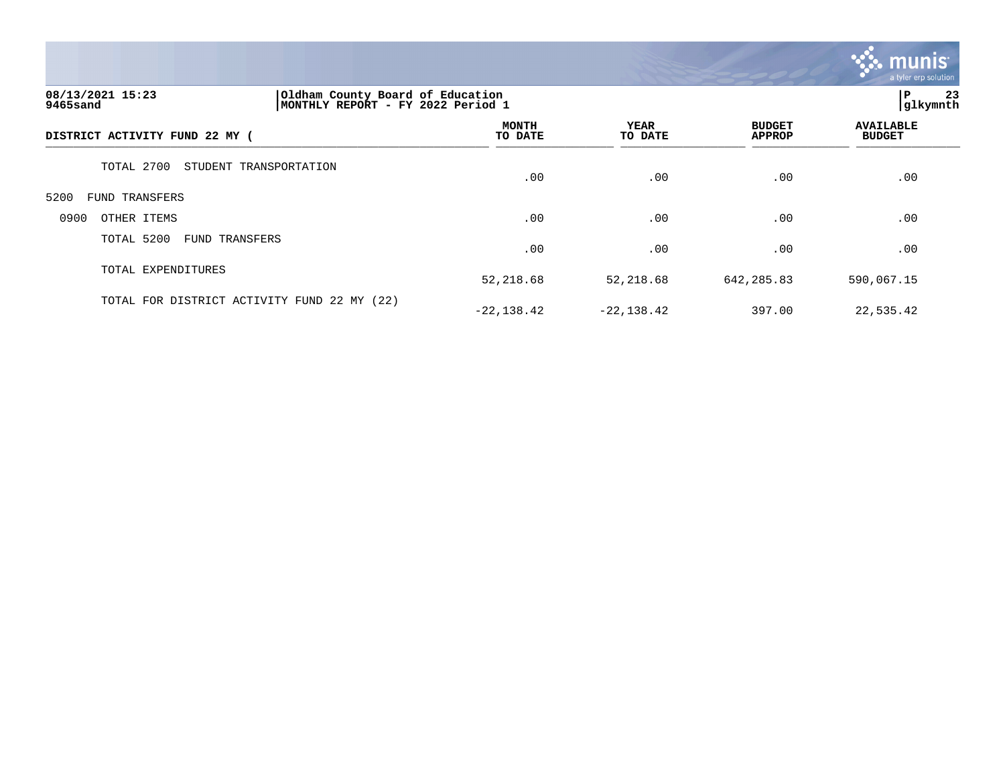

### **08/13/2021 15:23 |Oldham County Board of Education |P 23 9465sand |MONTHLY REPORT - FY 2022 Period 1 |glkymnth**

| DISTRICT ACTIVITY FUND 22 MY (              | MONTH<br>TO DATE | <b>YEAR</b><br>TO DATE | <b>BUDGET</b><br><b>APPROP</b> | <b>AVAILABLE</b><br><b>BUDGET</b> |  |
|---------------------------------------------|------------------|------------------------|--------------------------------|-----------------------------------|--|
| TOTAL 2700<br>STUDENT TRANSPORTATION        | .00              | .00                    | .00                            | .00                               |  |
| 5200<br>FUND TRANSFERS                      |                  |                        |                                |                                   |  |
| 0900<br>OTHER ITEMS                         | .00              | .00                    | .00                            | .00                               |  |
| TOTAL 5200<br>FUND TRANSFERS                | .00              | .00                    | .00                            | .00                               |  |
| TOTAL EXPENDITURES                          | 52,218.68        | 52,218.68              | 642, 285.83                    | 590,067.15                        |  |
| TOTAL FOR DISTRICT ACTIVITY FUND 22 MY (22) | $-22, 138.42$    | $-22, 138.42$          | 397.00                         | 22,535.42                         |  |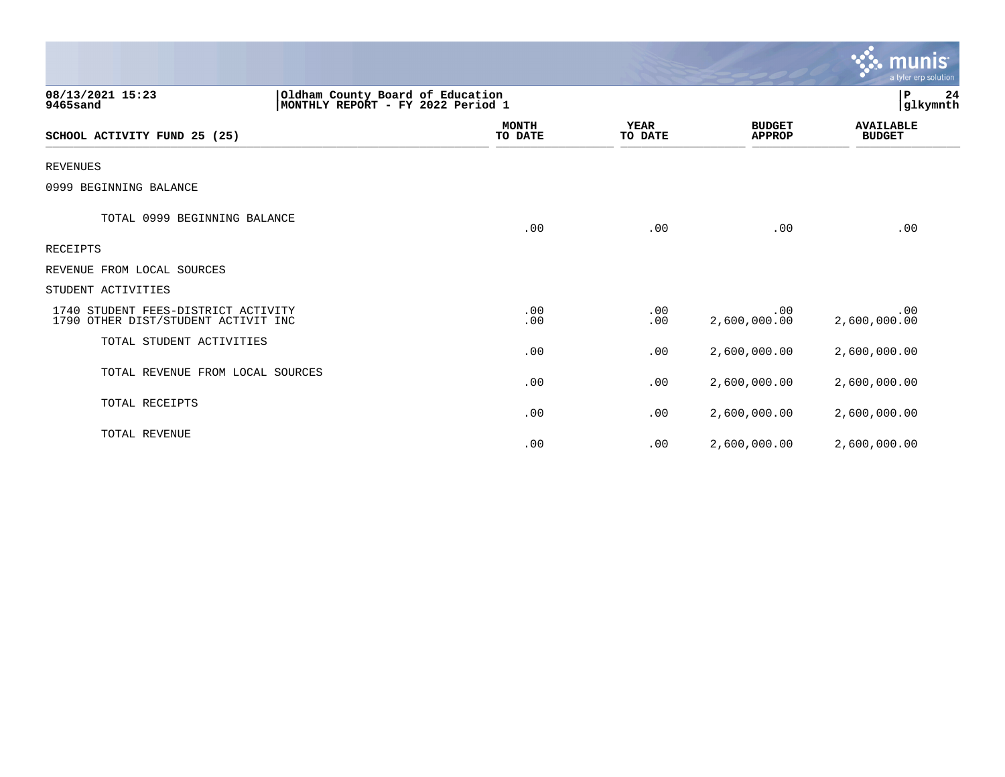|                                                                            |                                                                       |                        |                                | $\sim$ munis<br>a tyler erp solution |
|----------------------------------------------------------------------------|-----------------------------------------------------------------------|------------------------|--------------------------------|--------------------------------------|
| 08/13/2021 15:23<br>9465sand                                               | Oldham County Board of Education<br>MONTHLY REPORT - FY 2022 Period 1 |                        |                                | P<br>24<br>glkymnth                  |
| SCHOOL ACTIVITY FUND 25 (25)                                               | <b>MONTH</b><br>TO DATE                                               | <b>YEAR</b><br>TO DATE | <b>BUDGET</b><br><b>APPROP</b> | <b>AVAILABLE</b><br><b>BUDGET</b>    |
| <b>REVENUES</b>                                                            |                                                                       |                        |                                |                                      |
| 0999 BEGINNING BALANCE                                                     |                                                                       |                        |                                |                                      |
| TOTAL 0999 BEGINNING BALANCE                                               | .00                                                                   | .00                    | .00                            | .00                                  |
| RECEIPTS                                                                   |                                                                       |                        |                                |                                      |
| REVENUE FROM LOCAL SOURCES                                                 |                                                                       |                        |                                |                                      |
| STUDENT ACTIVITIES                                                         |                                                                       |                        |                                |                                      |
| 1740 STUDENT FEES-DISTRICT ACTIVITY<br>1790 OTHER DIST/STUDENT ACTIVIT INC | .00<br>.00                                                            | .00<br>.00             | .00<br>2,600,000.00            | .00<br>2,600,000.00                  |
| TOTAL STUDENT ACTIVITIES                                                   | .00                                                                   | .00                    | 2,600,000.00                   | 2,600,000.00                         |
| TOTAL REVENUE FROM LOCAL SOURCES                                           | .00                                                                   | .00                    | 2,600,000.00                   | 2,600,000.00                         |
| TOTAL RECEIPTS                                                             | .00                                                                   | .00                    | 2,600,000.00                   | 2,600,000.00                         |
| TOTAL REVENUE                                                              | .00                                                                   | .00                    | 2,600,000.00                   | 2,600,000.00                         |

 $\mathcal{L}$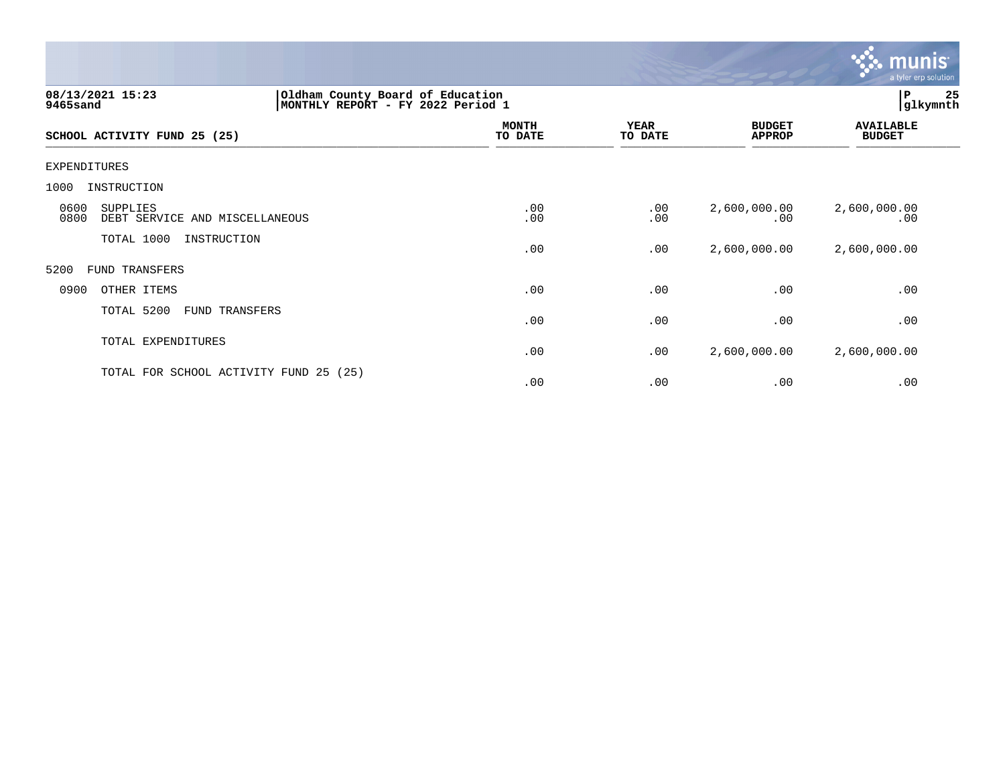

| 08/13/2021 15:23<br>9465sand                               |                                        | Oldham County Board of Education<br> MONTHLY REPORT - FY 2022 Period 1 |                        |                                |                                   |
|------------------------------------------------------------|----------------------------------------|------------------------------------------------------------------------|------------------------|--------------------------------|-----------------------------------|
| SCHOOL ACTIVITY FUND 25 (25)                               |                                        | <b>MONTH</b><br>TO DATE                                                | <b>YEAR</b><br>TO DATE | <b>BUDGET</b><br><b>APPROP</b> | <b>AVAILABLE</b><br><b>BUDGET</b> |
| EXPENDITURES                                               |                                        |                                                                        |                        |                                |                                   |
| 1000<br>INSTRUCTION                                        |                                        |                                                                        |                        |                                |                                   |
| 0600<br>SUPPLIES<br>0800<br>DEBT SERVICE AND MISCELLANEOUS |                                        | .00<br>.00                                                             | .00<br>.00             | 2,600,000.00<br>.00            | 2,600,000.00<br>.00               |
| TOTAL 1000                                                 | INSTRUCTION                            | .00                                                                    | .00                    | 2,600,000.00                   | 2,600,000.00                      |
| 5200<br>FUND TRANSFERS                                     |                                        |                                                                        |                        |                                |                                   |
| 0900<br>OTHER ITEMS                                        |                                        | .00                                                                    | .00                    | .00                            | .00                               |
| TOTAL 5200                                                 | FUND TRANSFERS                         | .00                                                                    | .00                    | .00                            | .00                               |
| TOTAL EXPENDITURES                                         |                                        | .00                                                                    | .00                    | 2,600,000.00                   | 2,600,000.00                      |
|                                                            | TOTAL FOR SCHOOL ACTIVITY FUND 25 (25) | .00                                                                    | .00                    | .00                            | .00                               |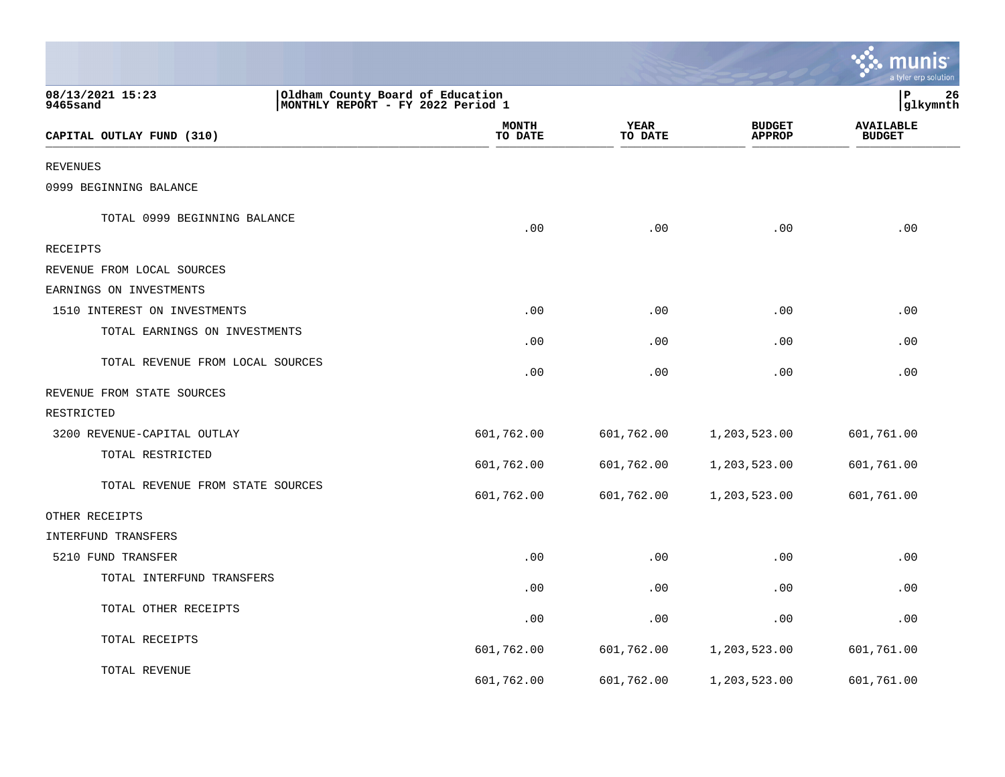|                                  |                                                                       |                 |                                | <b>W. munis</b><br>a tyler erp solution |
|----------------------------------|-----------------------------------------------------------------------|-----------------|--------------------------------|-----------------------------------------|
| 08/13/2021 15:23<br>9465sand     | Oldham County Board of Education<br>MONTHLY REPORT - FY 2022 Period 1 |                 |                                | lР<br>26<br>glkymnth                    |
| CAPITAL OUTLAY FUND (310)        | <b>MONTH</b><br>TO DATE                                               | YEAR<br>TO DATE | <b>BUDGET</b><br><b>APPROP</b> | <b>AVAILABLE</b><br><b>BUDGET</b>       |
| <b>REVENUES</b>                  |                                                                       |                 |                                |                                         |
| 0999 BEGINNING BALANCE           |                                                                       |                 |                                |                                         |
| TOTAL 0999 BEGINNING BALANCE     | .00                                                                   | .00             | .00                            | .00                                     |
| <b>RECEIPTS</b>                  |                                                                       |                 |                                |                                         |
| REVENUE FROM LOCAL SOURCES       |                                                                       |                 |                                |                                         |
| EARNINGS ON INVESTMENTS          |                                                                       |                 |                                |                                         |
| 1510 INTEREST ON INVESTMENTS     | .00                                                                   | .00             | .00                            | .00                                     |
| TOTAL EARNINGS ON INVESTMENTS    | .00                                                                   | .00             | .00                            | .00                                     |
| TOTAL REVENUE FROM LOCAL SOURCES | .00                                                                   | .00             | .00                            | .00                                     |
| REVENUE FROM STATE SOURCES       |                                                                       |                 |                                |                                         |
| RESTRICTED                       |                                                                       |                 |                                |                                         |
| 3200 REVENUE-CAPITAL OUTLAY      | 601,762.00                                                            | 601,762.00      | 1,203,523.00                   | 601,761.00                              |
| TOTAL RESTRICTED                 | 601,762.00                                                            | 601,762.00      | 1,203,523.00                   | 601,761.00                              |
| TOTAL REVENUE FROM STATE SOURCES | 601,762.00                                                            | 601,762.00      | 1,203,523.00                   | 601,761.00                              |
| OTHER RECEIPTS                   |                                                                       |                 |                                |                                         |
| INTERFUND TRANSFERS              |                                                                       |                 |                                |                                         |
| 5210 FUND TRANSFER               | .00                                                                   | .00             | .00                            | .00                                     |
| TOTAL INTERFUND TRANSFERS        | .00                                                                   | .00             | .00                            | .00                                     |
| TOTAL OTHER RECEIPTS             | .00                                                                   | .00             | .00                            | .00                                     |
| TOTAL RECEIPTS                   | 601,762.00                                                            | 601,762.00      | 1,203,523.00                   | 601,761.00                              |
| TOTAL REVENUE                    | 601,762.00                                                            | 601,762.00      | 1,203,523.00                   | 601,761.00                              |

and the state of the state of the state of the state of the state of the state of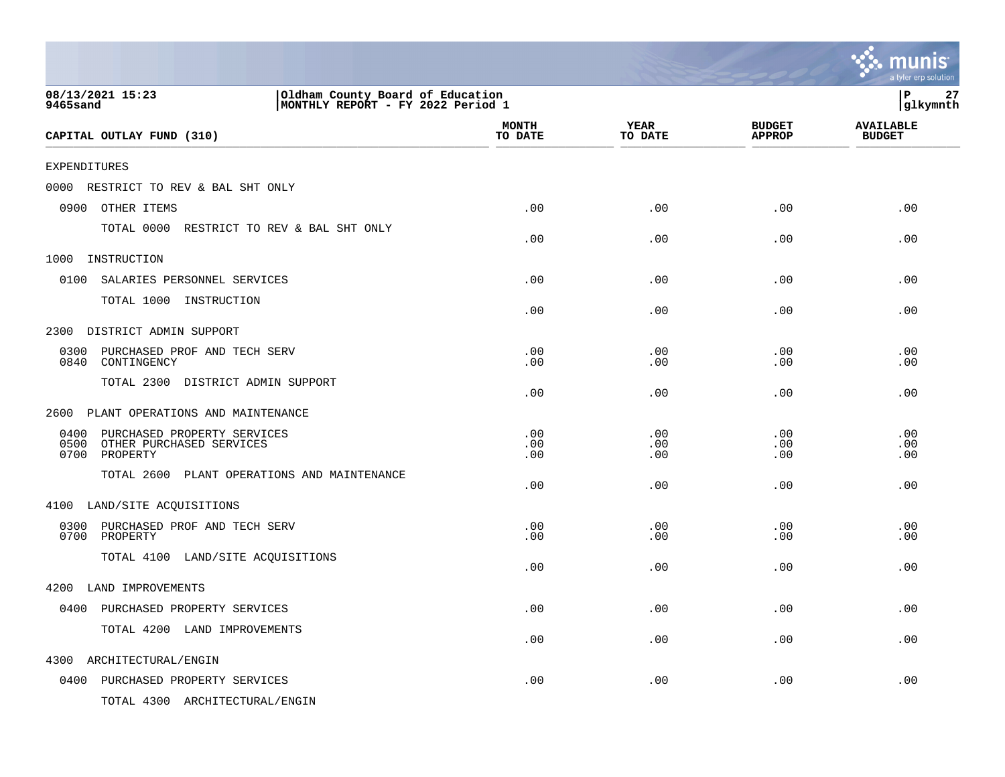|                                                                                                              |                         |                        |                                | munis<br>a tyler erp solution     |
|--------------------------------------------------------------------------------------------------------------|-------------------------|------------------------|--------------------------------|-----------------------------------|
| 08/13/2021 15:23<br>Oldham County Board of Education<br>MONTHLY REPORT - FY 2022 Period 1<br><b>9465sand</b> |                         |                        |                                | 27<br>P<br> glkymnth              |
| CAPITAL OUTLAY FUND (310)                                                                                    | <b>MONTH</b><br>TO DATE | <b>YEAR</b><br>TO DATE | <b>BUDGET</b><br><b>APPROP</b> | <b>AVAILABLE</b><br><b>BUDGET</b> |
| <b>EXPENDITURES</b>                                                                                          |                         |                        |                                |                                   |
| RESTRICT TO REV & BAL SHT ONLY<br>0000                                                                       |                         |                        |                                |                                   |
| 0900<br>OTHER ITEMS                                                                                          | .00                     | .00                    | .00                            | .00                               |
| TOTAL 0000 RESTRICT TO REV & BAL SHT ONLY                                                                    | .00                     | .00                    | .00                            | .00                               |
| 1000<br>INSTRUCTION                                                                                          |                         |                        |                                |                                   |
| 0100<br>SALARIES PERSONNEL SERVICES                                                                          | .00                     | .00                    | .00                            | .00                               |
| TOTAL 1000 INSTRUCTION                                                                                       | .00                     | .00                    | .00                            | .00                               |
| DISTRICT ADMIN SUPPORT<br>2300                                                                               |                         |                        |                                |                                   |
| 0300<br>PURCHASED PROF AND TECH SERV<br>0840<br>CONTINGENCY                                                  | .00<br>.00              | .00<br>.00             | .00<br>.00                     | .00<br>.00                        |
| TOTAL 2300 DISTRICT ADMIN SUPPORT                                                                            | .00                     | .00                    | .00                            | .00                               |
| PLANT OPERATIONS AND MAINTENANCE<br>2600                                                                     |                         |                        |                                |                                   |
| PURCHASED PROPERTY SERVICES<br>0400<br>0500 OTHER PURCHASED SERVICES<br>0700 PROPERTY                        | .00<br>.00<br>.00       | .00<br>.00<br>.00      | .00<br>.00<br>.00              | .00<br>.00<br>.00                 |
| TOTAL 2600 PLANT OPERATIONS AND MAINTENANCE                                                                  | .00                     | .00                    | .00                            | .00                               |
| 4100 LAND/SITE ACQUISITIONS                                                                                  |                         |                        |                                |                                   |
| 0300 PURCHASED PROF AND TECH SERV<br>0700 PROPERTY                                                           | .00<br>.00              | .00<br>.00             | .00<br>.00                     | .00<br>.00                        |
| TOTAL 4100 LAND/SITE ACQUISITIONS                                                                            | .00                     | .00                    | .00                            | .00                               |
| 4200 LAND IMPROVEMENTS                                                                                       |                         |                        |                                |                                   |
| 0400 PURCHASED PROPERTY SERVICES                                                                             | .00                     | .00                    | .00                            | .00                               |
| TOTAL 4200 LAND IMPROVEMENTS                                                                                 | .00                     | .00                    | .00                            | .00                               |
| 4300<br>ARCHITECTURAL/ENGIN                                                                                  |                         |                        |                                |                                   |
| 0400 PURCHASED PROPERTY SERVICES                                                                             | .00                     | .00                    | .00                            | .00                               |
| TOTAL 4300 ARCHITECTURAL/ENGIN                                                                               |                         |                        |                                |                                   |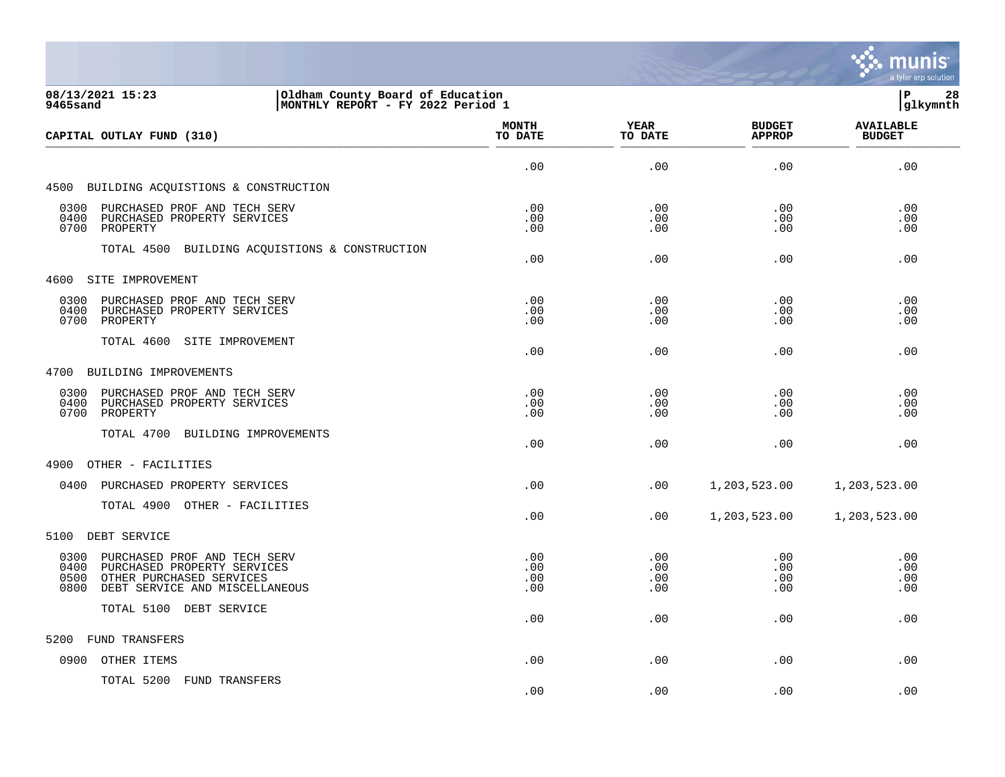

| Oldham County Board of Education<br>08/13/2021 15:23<br>MONTHLY REPORT - FY 2022 Period 1<br>9465sand                                                  |                          |                          |                                | lР<br>28<br> glkymnth             |
|--------------------------------------------------------------------------------------------------------------------------------------------------------|--------------------------|--------------------------|--------------------------------|-----------------------------------|
| CAPITAL OUTLAY FUND (310)                                                                                                                              | <b>MONTH</b><br>TO DATE  | <b>YEAR</b><br>TO DATE   | <b>BUDGET</b><br><b>APPROP</b> | <b>AVAILABLE</b><br><b>BUDGET</b> |
|                                                                                                                                                        | .00                      | .00                      | .00                            | .00                               |
| 4500 BUILDING ACQUISTIONS & CONSTRUCTION                                                                                                               |                          |                          |                                |                                   |
| 0300 PURCHASED PROF AND TECH SERV<br>0400 PURCHASED PROPERTY SERVICES<br>0700 PROPERTY                                                                 | .00<br>.00<br>.00        | .00<br>.00<br>$.00 \,$   | .00<br>.00<br>.00              | .00<br>.00<br>.00                 |
| TOTAL 4500 BUILDING ACQUISTIONS & CONSTRUCTION                                                                                                         | .00.                     | .00                      | .00                            | .00                               |
| 4600 SITE IMPROVEMENT                                                                                                                                  |                          |                          |                                |                                   |
| 0300 PURCHASED PROF AND TECH SERV<br>0400<br>PURCHASED PROPERTY SERVICES<br>0700 PROPERTY                                                              | .00<br>.00<br>.00        | .00<br>.00<br>.00        | .00<br>.00<br>.00              | .00<br>.00<br>.00                 |
| TOTAL 4600 SITE IMPROVEMENT                                                                                                                            | .00                      | .00                      | .00                            | .00                               |
| 4700 BUILDING IMPROVEMENTS                                                                                                                             |                          |                          |                                |                                   |
| 0300 PURCHASED PROF AND TECH SERV<br>0400 PURCHASED PROPERTY SERVICES<br>0700 PROPERTY                                                                 | .00<br>.00<br>.00        | .00<br>.00<br>.00        | .00<br>.00<br>.00              | .00<br>.00<br>.00                 |
| TOTAL 4700 BUILDING IMPROVEMENTS                                                                                                                       | .00                      | $.00 \,$                 | .00                            | .00                               |
| 4900 OTHER - FACILITIES                                                                                                                                |                          |                          |                                |                                   |
| 0400 PURCHASED PROPERTY SERVICES                                                                                                                       | .00.                     | .00                      | 1,203,523.00                   | 1,203,523.00                      |
| TOTAL 4900 OTHER - FACILITIES                                                                                                                          | .00                      | .00                      | 1,203,523.00                   | 1,203,523.00                      |
| 5100 DEBT SERVICE                                                                                                                                      |                          |                          |                                |                                   |
| 0300<br>PURCHASED PROF AND TECH SERV<br>0400<br>PURCHASED PROPERTY SERVICES<br>OTHER PURCHASED SERVICES<br>0500<br>0800 DEBT SERVICE AND MISCELLANEOUS | .00<br>.00<br>.00<br>.00 | .00<br>.00<br>.00<br>.00 | .00<br>.00<br>.00<br>.00       | .00<br>.00<br>.00<br>.00          |
| TOTAL 5100 DEBT SERVICE                                                                                                                                | .00                      | .00                      | .00                            | .00                               |
| 5200<br>FUND TRANSFERS                                                                                                                                 |                          |                          |                                |                                   |
| 0900<br>OTHER ITEMS                                                                                                                                    | .00                      | .00                      | .00                            | .00                               |
| TOTAL 5200 FUND TRANSFERS                                                                                                                              |                          |                          |                                |                                   |

.00 .00 .00 .00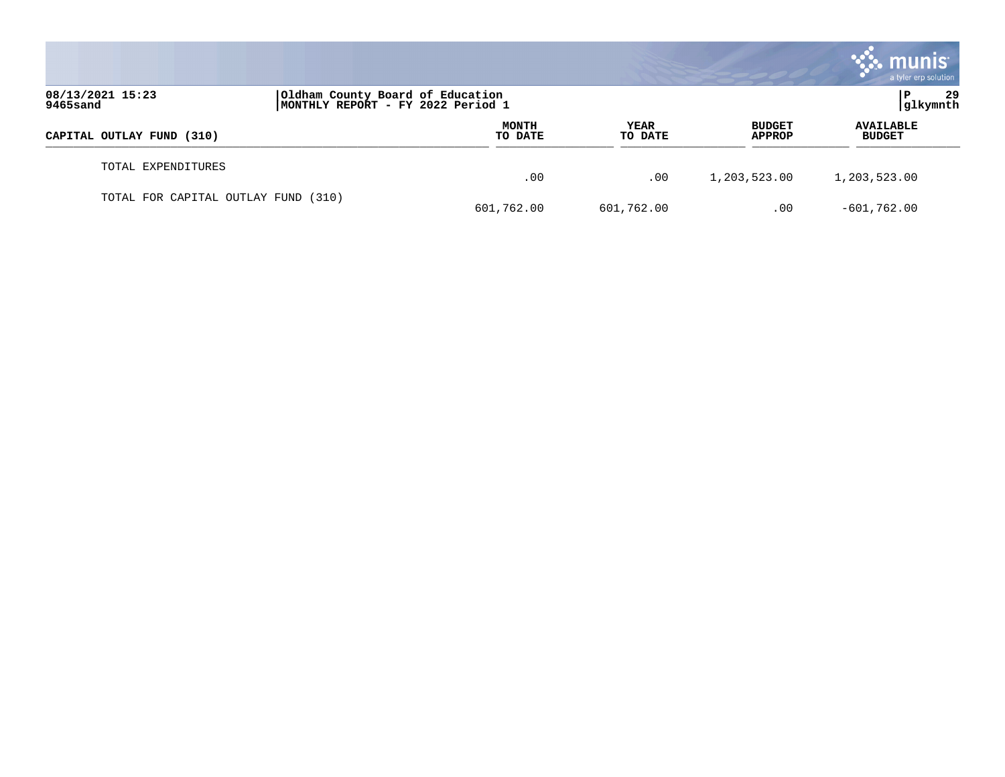|                                     |                                                                       |                         |                        |                                | munis<br>a tyler erp solution     |
|-------------------------------------|-----------------------------------------------------------------------|-------------------------|------------------------|--------------------------------|-----------------------------------|
| 08/13/2021 15:23<br>9465sand        | Oldham County Board of Education<br>MONTHLY REPORT - FY 2022 Period 1 |                         |                        |                                | 29<br>P<br> glkymnth              |
| CAPITAL OUTLAY FUND (310)           |                                                                       | <b>MONTH</b><br>TO DATE | <b>YEAR</b><br>TO DATE | <b>BUDGET</b><br><b>APPROP</b> | <b>AVAILABLE</b><br><b>BUDGET</b> |
| TOTAL EXPENDITURES                  |                                                                       | .00                     | .00                    | 1,203,523.00                   | 1,203,523.00                      |
| TOTAL FOR CAPITAL OUTLAY FUND (310) |                                                                       | 601,762.00              | 601,762.00             | .00                            | $-601,762.00$                     |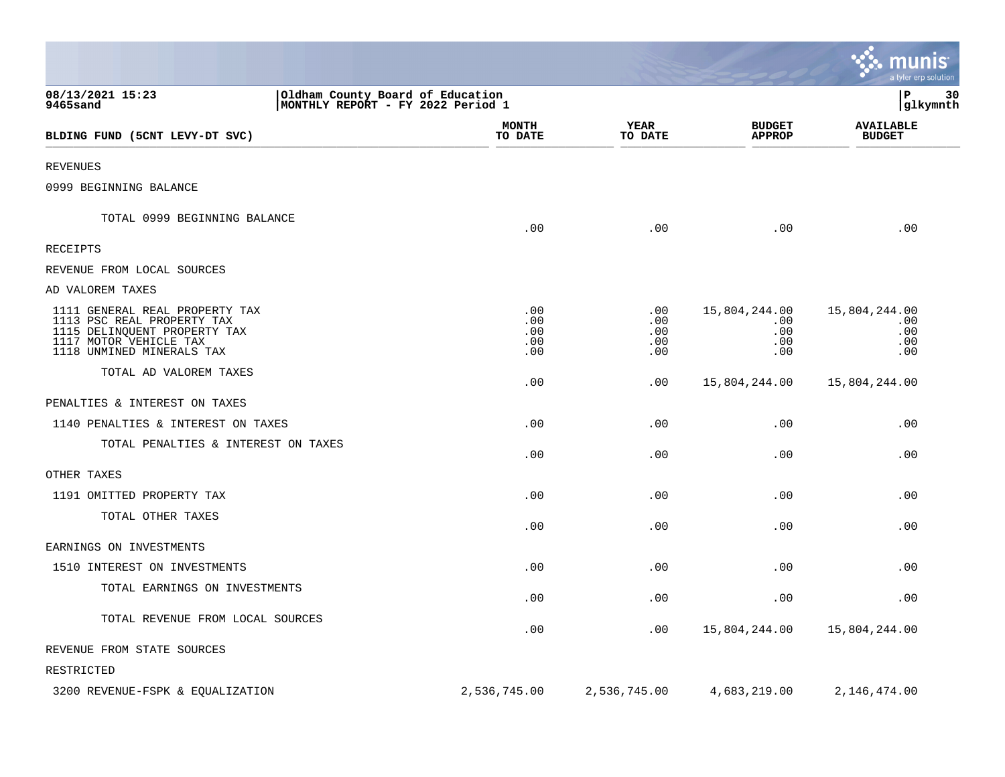|                                                                                                                                                     |                                                                       |                                 |                                           | munis<br>a tyler erp solution             |
|-----------------------------------------------------------------------------------------------------------------------------------------------------|-----------------------------------------------------------------------|---------------------------------|-------------------------------------------|-------------------------------------------|
| 08/13/2021 15:23<br><b>9465sand</b>                                                                                                                 | Oldham County Board of Education<br>MONTHLY REPORT - FY 2022 Period 1 |                                 |                                           | lР<br>30<br> glkymnth                     |
| BLDING FUND (5CNT LEVY-DT SVC)                                                                                                                      | <b>MONTH</b><br>TO DATE                                               | YEAR<br>TO DATE                 | <b>BUDGET</b><br><b>APPROP</b>            | <b>AVAILABLE</b><br><b>BUDGET</b>         |
| <b>REVENUES</b>                                                                                                                                     |                                                                       |                                 |                                           |                                           |
| 0999 BEGINNING BALANCE                                                                                                                              |                                                                       |                                 |                                           |                                           |
| TOTAL 0999 BEGINNING BALANCE                                                                                                                        | .00                                                                   | .00                             | .00                                       | .00                                       |
| <b>RECEIPTS</b>                                                                                                                                     |                                                                       |                                 |                                           |                                           |
| REVENUE FROM LOCAL SOURCES                                                                                                                          |                                                                       |                                 |                                           |                                           |
| AD VALOREM TAXES                                                                                                                                    |                                                                       |                                 |                                           |                                           |
| 1111 GENERAL REAL PROPERTY TAX<br>1113 PSC REAL PROPERTY TAX<br>1115 DELINQUENT PROPERTY TAX<br>1117 MOTOR VEHICLE TAX<br>1118 UNMINED MINERALS TAX | .00<br>.00<br>.00<br>.00<br>.00                                       | .00<br>.00<br>.00<br>.00<br>.00 | 15,804,244.00<br>.00<br>.00<br>.00<br>.00 | 15,804,244.00<br>.00<br>.00<br>.00<br>.00 |
| TOTAL AD VALOREM TAXES                                                                                                                              | .00                                                                   | .00                             | 15,804,244.00                             | 15,804,244.00                             |
| PENALTIES & INTEREST ON TAXES                                                                                                                       |                                                                       |                                 |                                           |                                           |
| 1140 PENALTIES & INTEREST ON TAXES                                                                                                                  | .00                                                                   | .00                             | .00                                       | .00                                       |
| TOTAL PENALTIES & INTEREST ON TAXES                                                                                                                 | .00                                                                   | .00                             | .00                                       | .00                                       |
| OTHER TAXES                                                                                                                                         |                                                                       |                                 |                                           |                                           |
| 1191 OMITTED PROPERTY TAX                                                                                                                           | .00                                                                   | .00                             | .00                                       | .00                                       |
| TOTAL OTHER TAXES                                                                                                                                   | .00                                                                   | .00                             | .00                                       | .00                                       |
| EARNINGS ON INVESTMENTS                                                                                                                             |                                                                       |                                 |                                           |                                           |
| 1510 INTEREST ON INVESTMENTS                                                                                                                        | .00                                                                   | .00                             | .00                                       | .00                                       |
| TOTAL EARNINGS ON INVESTMENTS                                                                                                                       | .00                                                                   | .00                             | .00                                       | .00                                       |
| TOTAL REVENUE FROM LOCAL SOURCES                                                                                                                    | .00                                                                   | .00                             | 15,804,244.00                             | 15,804,244.00                             |
| REVENUE FROM STATE SOURCES                                                                                                                          |                                                                       |                                 |                                           |                                           |
| RESTRICTED                                                                                                                                          |                                                                       |                                 |                                           |                                           |
| 3200 REVENUE-FSPK & EQUALIZATION                                                                                                                    | 2,536,745.00                                                          | 2,536,745.00                    | 4,683,219.00                              | 2,146,474.00                              |

**Contract Contract Contract Contract Contract Contract Contract Contract Contract Contract Contract Contract Co**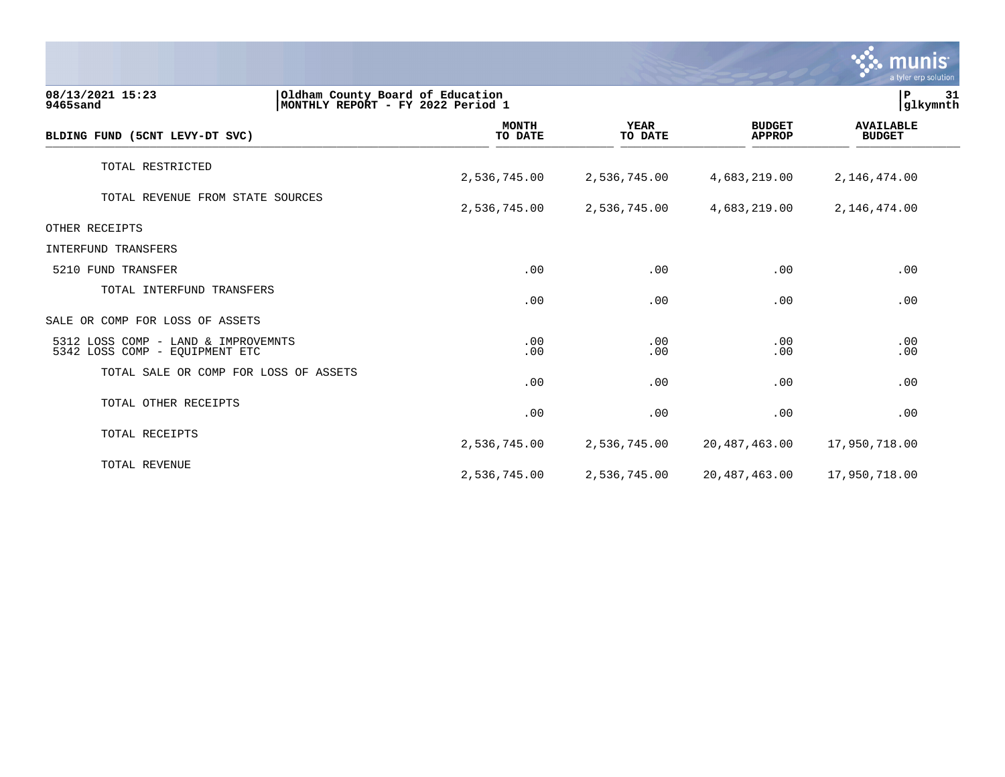|                                                                                                       |                         |                        |                                | munis<br>a tyler erp solution     |    |
|-------------------------------------------------------------------------------------------------------|-------------------------|------------------------|--------------------------------|-----------------------------------|----|
| 08/13/2021 15:23<br>Oldham County Board of Education<br>9465sand<br>MONTHLY REPORT - FY 2022 Period 1 |                         |                        |                                | P.<br> glkymnth                   | 31 |
| BLDING FUND (5CNT LEVY-DT SVC)                                                                        | <b>MONTH</b><br>TO DATE | <b>YEAR</b><br>TO DATE | <b>BUDGET</b><br><b>APPROP</b> | <b>AVAILABLE</b><br><b>BUDGET</b> |    |
| TOTAL RESTRICTED                                                                                      | 2,536,745.00            | 2,536,745.00           | 4,683,219.00                   | 2,146,474.00                      |    |
| TOTAL REVENUE FROM STATE SOURCES                                                                      | 2,536,745.00            | 2,536,745.00           | 4,683,219.00                   | 2,146,474.00                      |    |
| OTHER RECEIPTS                                                                                        |                         |                        |                                |                                   |    |
| INTERFUND TRANSFERS                                                                                   |                         |                        |                                |                                   |    |
| 5210 FUND TRANSFER                                                                                    | .00                     | .00                    | .00                            | .00                               |    |
| TOTAL INTERFUND TRANSFERS                                                                             | .00                     | .00                    | .00                            | .00                               |    |
| SALE OR COMP FOR LOSS OF ASSETS                                                                       |                         |                        |                                |                                   |    |
| 5312 LOSS COMP - LAND & IMPROVEMNTS<br>5342 LOSS COMP - EQUIPMENT ETC                                 | .00<br>.00              | .00<br>.00             | .00<br>.00                     | .00<br>.00                        |    |
| TOTAL SALE OR COMP FOR LOSS OF ASSETS                                                                 | .00                     | .00                    | .00                            | .00                               |    |
| TOTAL OTHER RECEIPTS                                                                                  | .00                     | .00                    | .00                            | .00                               |    |
| TOTAL RECEIPTS                                                                                        | 2,536,745.00            | 2,536,745.00           | 20,487,463.00                  | 17,950,718.00                     |    |
| TOTAL REVENUE                                                                                         | 2,536,745.00            | 2,536,745.00           | 20, 487, 463.00                | 17,950,718.00                     |    |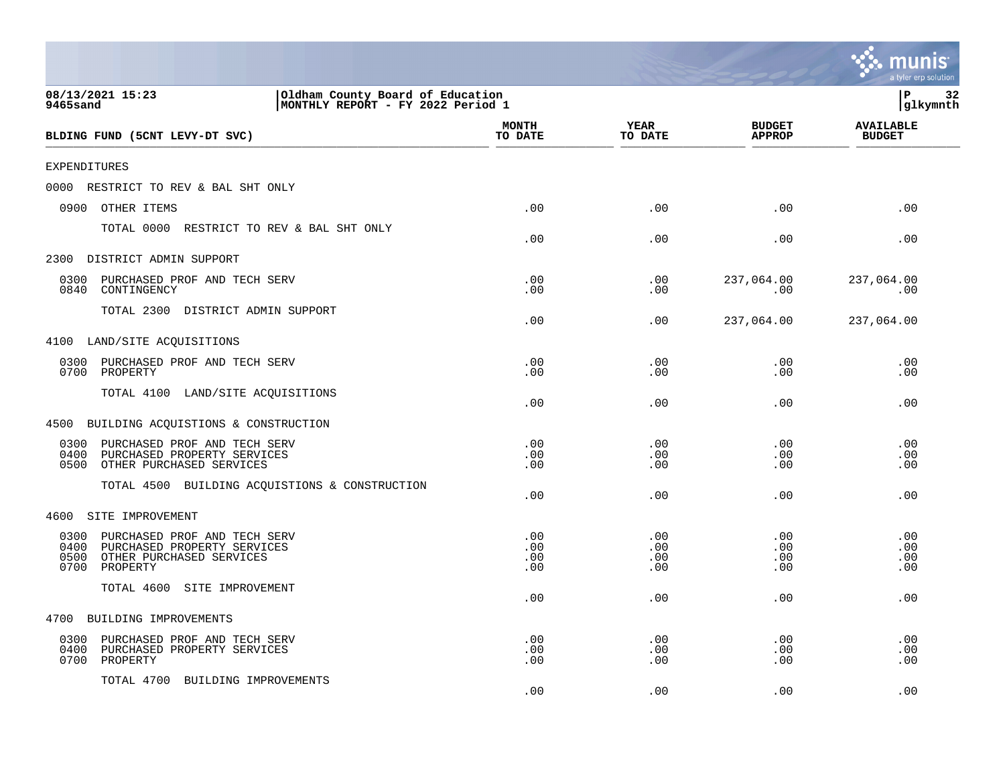|                                                                                                                                     |                                                                       |                          |                          |                                | a tyler erp solution              |
|-------------------------------------------------------------------------------------------------------------------------------------|-----------------------------------------------------------------------|--------------------------|--------------------------|--------------------------------|-----------------------------------|
| 08/13/2021 15:23<br>9465sand                                                                                                        | Oldham County Board of Education<br>MONTHLY REPORT - FY 2022 Period 1 |                          |                          |                                | P<br>32<br>glkymnth               |
| BLDING FUND (5CNT LEVY-DT SVC)                                                                                                      |                                                                       | <b>MONTH</b><br>TO DATE  | YEAR<br>TO DATE          | <b>BUDGET</b><br><b>APPROP</b> | <b>AVAILABLE</b><br><b>BUDGET</b> |
| <b>EXPENDITURES</b>                                                                                                                 |                                                                       |                          |                          |                                |                                   |
| 0000<br>RESTRICT TO REV & BAL SHT ONLY                                                                                              |                                                                       |                          |                          |                                |                                   |
| 0900<br>OTHER ITEMS                                                                                                                 |                                                                       | .00                      | .00                      | .00                            | .00                               |
| TOTAL 0000                                                                                                                          | RESTRICT TO REV & BAL SHT ONLY                                        | .00                      | .00                      | .00                            | .00                               |
| 2300<br>DISTRICT ADMIN SUPPORT                                                                                                      |                                                                       |                          |                          |                                |                                   |
| PURCHASED PROF AND TECH SERV<br>0300<br>0840<br>CONTINGENCY                                                                         |                                                                       | .00<br>.00               | .00<br>.00               | 237,064.00<br>.00              | 237,064.00<br>.00                 |
| TOTAL 2300<br>DISTRICT ADMIN SUPPORT                                                                                                |                                                                       | .00                      | .00                      | 237,064.00                     | 237,064.00                        |
| 4100 LAND/SITE ACQUISITIONS                                                                                                         |                                                                       |                          |                          |                                |                                   |
| PURCHASED PROF AND TECH SERV<br>0300<br>0700<br>PROPERTY                                                                            |                                                                       | .00<br>.00               | .00<br>.00               | .00<br>.00                     | .00<br>.00                        |
| TOTAL 4100<br>LAND/SITE ACQUISITIONS                                                                                                |                                                                       | .00                      | .00                      | .00                            | .00                               |
| BUILDING ACQUISTIONS & CONSTRUCTION<br>4500                                                                                         |                                                                       |                          |                          |                                |                                   |
| 0300<br>PURCHASED PROF AND TECH SERV<br>0400<br>PURCHASED PROPERTY SERVICES<br>0500<br>OTHER PURCHASED SERVICES                     |                                                                       | .00<br>.00<br>.00        | .00<br>.00<br>.00        | .00<br>.00<br>.00              | .00<br>.00<br>.00                 |
| TOTAL 4500                                                                                                                          | BUILDING ACQUISTIONS & CONSTRUCTION                                   | .00                      | .00                      | .00                            | .00                               |
| SITE IMPROVEMENT<br>4600                                                                                                            |                                                                       |                          |                          |                                |                                   |
| 0300<br>PURCHASED PROF AND TECH SERV<br>0400<br>PURCHASED PROPERTY SERVICES<br>0500<br>OTHER PURCHASED SERVICES<br>PROPERTY<br>0700 |                                                                       | .00<br>.00<br>.00<br>.00 | .00<br>.00<br>.00<br>.00 | .00<br>.00<br>.00<br>.00       | .00<br>.00<br>.00<br>.00          |
| TOTAL 4600<br>SITE IMPROVEMENT                                                                                                      |                                                                       | .00                      | .00                      | .00                            | .00                               |
| 4700<br>BUILDING IMPROVEMENTS                                                                                                       |                                                                       |                          |                          |                                |                                   |
| PURCHASED PROF AND TECH SERV<br>0300<br>0400<br>PURCHASED PROPERTY SERVICES<br>0700<br>PROPERTY                                     |                                                                       | .00<br>.00<br>.00        | .00<br>.00<br>.00        | .00<br>.00<br>.00              | .00<br>.00<br>.00                 |
| TOTAL 4700<br>BUILDING IMPROVEMENTS                                                                                                 |                                                                       | .00                      | .00                      | .00                            | .00                               |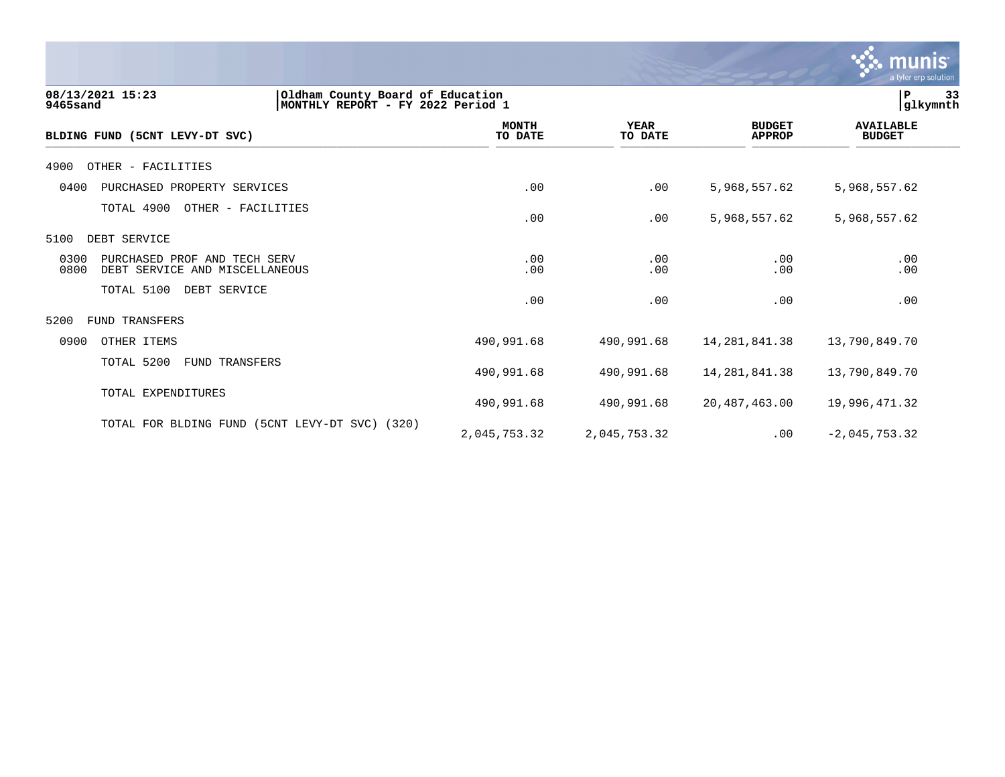

| 08/13/2021 15:23<br>Oldham County Board of Education<br>9465sand<br>MONTHLY REPORT - FY 2022 Period 1 |                         |                        |                                | 33<br>P<br> glkymnth              |
|-------------------------------------------------------------------------------------------------------|-------------------------|------------------------|--------------------------------|-----------------------------------|
| BLDING FUND (5CNT LEVY-DT SVC)                                                                        | <b>MONTH</b><br>TO DATE | <b>YEAR</b><br>TO DATE | <b>BUDGET</b><br><b>APPROP</b> | <b>AVAILABLE</b><br><b>BUDGET</b> |
| 4900<br>OTHER - FACILITIES                                                                            |                         |                        |                                |                                   |
| 0400<br>PURCHASED PROPERTY SERVICES                                                                   | .00                     | .00                    | 5,968,557.62                   | 5,968,557.62                      |
| TOTAL 4900<br>OTHER - FACILITIES                                                                      | .00                     | .00                    | 5,968,557.62                   | 5,968,557.62                      |
| 5100<br>DEBT SERVICE                                                                                  |                         |                        |                                |                                   |
| 0300<br>PURCHASED PROF AND TECH SERV<br>0800<br>DEBT SERVICE AND MISCELLANEOUS                        | .00<br>.00              | .00<br>.00             | .00<br>.00                     | .00<br>.00                        |
| TOTAL 5100<br>DEBT SERVICE                                                                            | .00                     | .00                    | .00                            | .00                               |
| 5200<br><b>FUND TRANSFERS</b>                                                                         |                         |                        |                                |                                   |
| 0900<br>OTHER ITEMS                                                                                   | 490,991.68              | 490,991.68             | 14,281,841.38                  | 13,790,849.70                     |
| TOTAL 5200<br>FUND TRANSFERS                                                                          | 490,991.68              | 490,991.68             | 14, 281, 841.38                | 13,790,849.70                     |
| TOTAL EXPENDITURES                                                                                    | 490,991.68              | 490,991.68             | 20, 487, 463.00                | 19,996,471.32                     |
| TOTAL FOR BLDING FUND<br>(5CNT LEVY-DT SVC)<br>(320)                                                  | 2,045,753.32            | 2,045,753.32           | $.00 \,$                       | $-2,045,753.32$                   |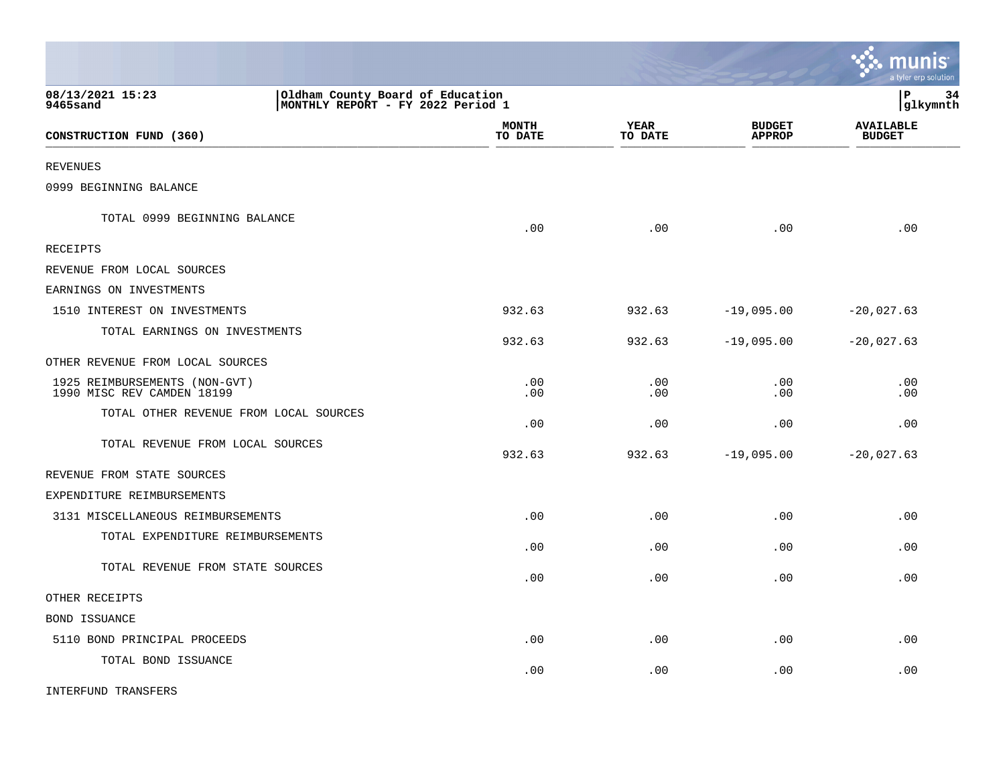|                                                             |                                                                       |                 |                                | munis<br>a tyler erp solution     |
|-------------------------------------------------------------|-----------------------------------------------------------------------|-----------------|--------------------------------|-----------------------------------|
| 08/13/2021 15:23<br>9465sand                                | Oldham County Board of Education<br>MONTHLY REPORT - FY 2022 Period 1 |                 |                                | lР<br>34<br> glkymnth             |
| CONSTRUCTION FUND (360)                                     | <b>MONTH</b><br>TO DATE                                               | YEAR<br>TO DATE | <b>BUDGET</b><br><b>APPROP</b> | <b>AVAILABLE</b><br><b>BUDGET</b> |
| <b>REVENUES</b>                                             |                                                                       |                 |                                |                                   |
| 0999 BEGINNING BALANCE                                      |                                                                       |                 |                                |                                   |
| TOTAL 0999 BEGINNING BALANCE                                | .00                                                                   | .00             | .00                            | .00                               |
| RECEIPTS                                                    |                                                                       |                 |                                |                                   |
| REVENUE FROM LOCAL SOURCES                                  |                                                                       |                 |                                |                                   |
| EARNINGS ON INVESTMENTS                                     |                                                                       |                 |                                |                                   |
| 1510 INTEREST ON INVESTMENTS                                | 932.63                                                                | 932.63          | $-19,095.00$                   | $-20,027.63$                      |
| TOTAL EARNINGS ON INVESTMENTS                               | 932.63                                                                | 932.63          | $-19,095.00$                   | $-20,027.63$                      |
| OTHER REVENUE FROM LOCAL SOURCES                            |                                                                       |                 |                                |                                   |
| 1925 REIMBURSEMENTS (NON-GVT)<br>1990 MISC REV CAMDEN 18199 | .00<br>.00                                                            | .00<br>.00      | .00<br>.00                     | .00<br>.00.                       |
| TOTAL OTHER REVENUE FROM LOCAL SOURCES                      | .00                                                                   | .00             | .00                            | .00                               |
| TOTAL REVENUE FROM LOCAL SOURCES                            | 932.63                                                                | 932.63          | $-19,095.00$                   | $-20,027.63$                      |
| REVENUE FROM STATE SOURCES                                  |                                                                       |                 |                                |                                   |
| EXPENDITURE REIMBURSEMENTS                                  |                                                                       |                 |                                |                                   |
| 3131 MISCELLANEOUS REIMBURSEMENTS                           | .00                                                                   | .00             | .00                            | .00                               |
| TOTAL EXPENDITURE REIMBURSEMENTS                            | .00                                                                   | .00             | .00                            | .00                               |
| TOTAL REVENUE FROM STATE SOURCES                            | .00                                                                   | .00             | .00                            | .00                               |
| OTHER RECEIPTS                                              |                                                                       |                 |                                |                                   |
| BOND ISSUANCE                                               |                                                                       |                 |                                |                                   |
| 5110 BOND PRINCIPAL PROCEEDS                                | .00                                                                   | .00             | .00                            | .00                               |
| TOTAL BOND ISSUANCE                                         | .00                                                                   | .00             | .00                            | .00                               |
| INTERFUND TRANSFERS                                         |                                                                       |                 |                                |                                   |

 $\mathcal{L}$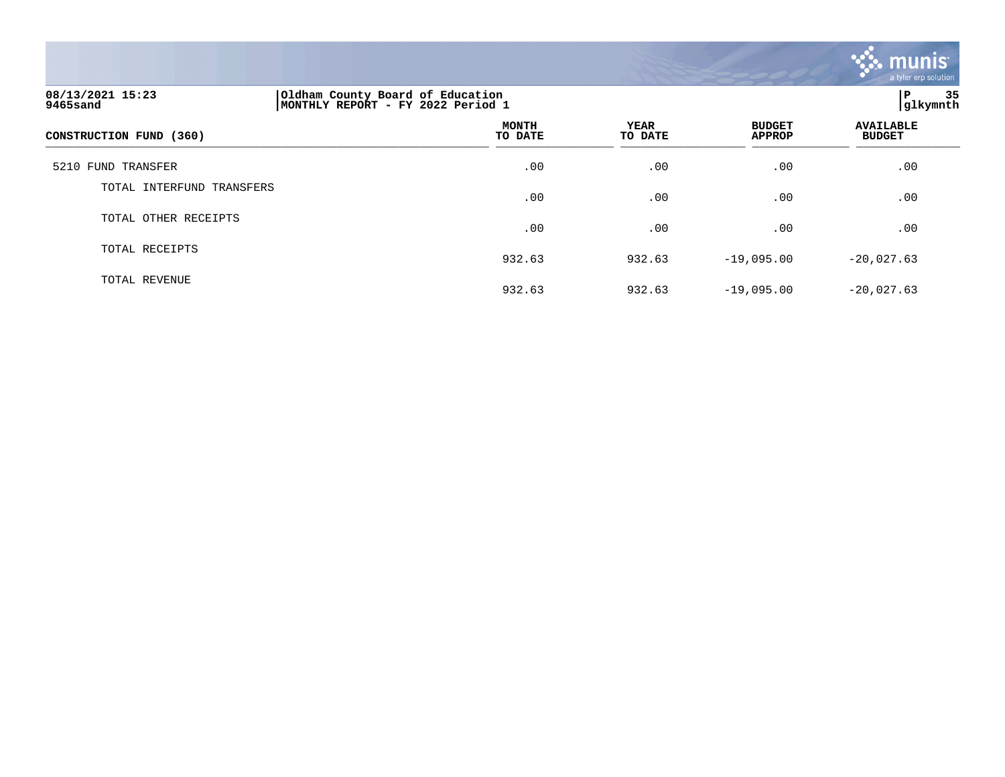

# **08/13/2021 15:23 |Oldham County Board of Education |P 35 9465sand |MONTHLY REPORT - FY 2022 Period 1 |glkymnth MONTH AVAILABLE YEAR BUDGET** AVAILABLE **CONSTRUCTION FUND (360) TO DATE TO DATE APPROP BUDGET**   $\overline{10 \text{ MHz}}$  and  $\overline{10 \text{ MHz}}$  and  $\overline{10 \text{ MHz}}$  and  $\overline{10 \text{ MHz}}$  and  $\overline{10 \text{ MHz}}$  and  $\overline{10 \text{ MHz}}$  and  $\overline{10 \text{ MHz}}$  and  $\overline{10 \text{ MHz}}$  and  $\overline{10 \text{ MHz}}$  and  $\overline{10 \text{ MHz}}$  and  $\overline{10 \text{ MHz}}$  and  $\overline{10 \text{ MHz}}$  and  $\overline{$ 5210 FUND TRANSFER .00 .00 .00 .00 TOTAL INTERFUND TRANSFERS  $.00$  .  $.00$  .  $.00$  .  $.00$  .  $.00$  .  $.00$  .  $.00$  .  $.00$  .  $.00$  .  $.00$  .  $.00$  .  $.00$  .  $.00$  .  $.00$  .  $.00$  .  $.00$  .  $.00$  .  $.00$  .  $.00$  .  $.00$  .  $.00$  .  $.00$  .  $.00$  .  $.00$  .  $.00$  .  $.00$  .  $.00$  .  $.00$ TOTAL OTHER RECEIPTS  $.00$  .  $.00$  .  $.00$  .  $.00$  .  $.00$  .  $.00$  .  $.00$  .  $.00$  .  $.00$  .  $.00$  .  $.00$  .  $.00$  .  $.00$  .  $.00$  .  $.00$  .  $.00$  .  $.00$  .  $.00$  .  $.00$  .  $.00$  .  $.00$  .  $.00$  .  $.00$  .  $.00$  .  $.00$  .  $.00$  .  $.00$  .  $.00$ TOTAL RECEIPTS 932.63 932.63 -19,095.00 -20,027.63 TOTAL REVENUE

932.63 932.63 -19,095.00 -20,027.63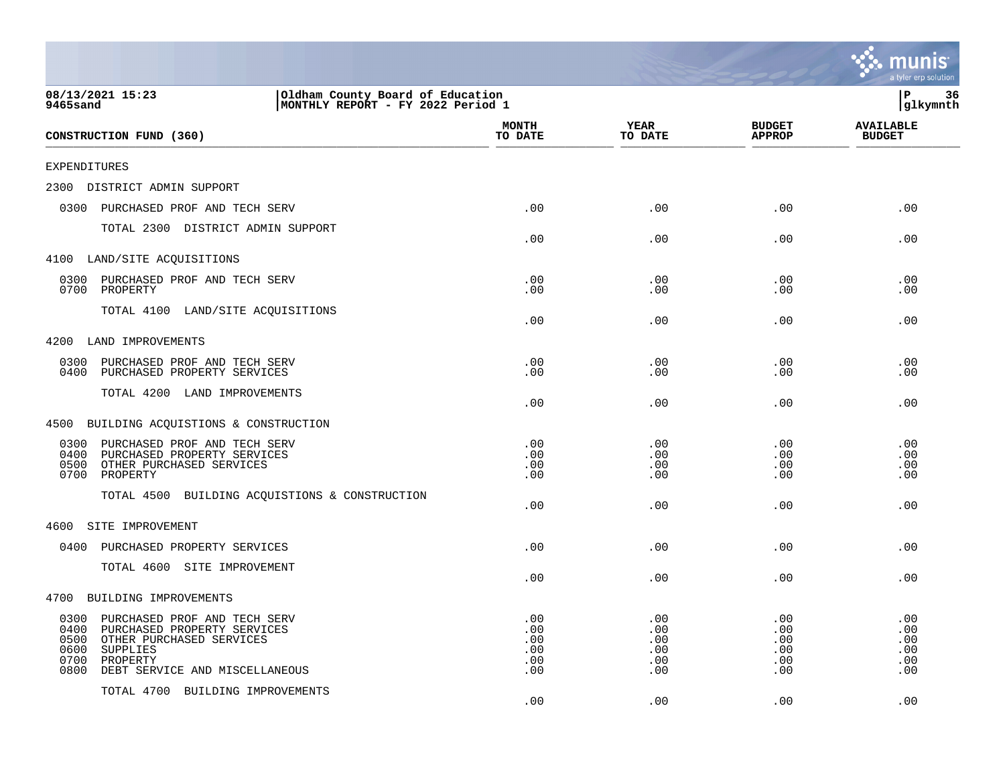|                                                                                                                                                                                                   |                                                                       |                                        |                                        | mu<br>a tyler erp solution             |
|---------------------------------------------------------------------------------------------------------------------------------------------------------------------------------------------------|-----------------------------------------------------------------------|----------------------------------------|----------------------------------------|----------------------------------------|
| 08/13/2021 15:23<br>9465sand                                                                                                                                                                      | Oldham County Board of Education<br>MONTHLY REPORT - FY 2022 Period 1 |                                        |                                        | ΙP<br>36<br>glkymnth                   |
| CONSTRUCTION FUND (360)                                                                                                                                                                           | <b>MONTH</b><br>TO DATE                                               | <b>YEAR</b><br>TO DATE                 | <b>BUDGET</b><br><b>APPROP</b>         | <b>AVAILABLE</b><br><b>BUDGET</b>      |
| EXPENDITURES                                                                                                                                                                                      |                                                                       |                                        |                                        |                                        |
| 2300<br>DISTRICT ADMIN SUPPORT                                                                                                                                                                    |                                                                       |                                        |                                        |                                        |
| 0300<br>PURCHASED PROF AND TECH SERV                                                                                                                                                              | .00                                                                   | .00                                    | .00                                    | .00                                    |
| TOTAL 2300 DISTRICT ADMIN SUPPORT                                                                                                                                                                 | .00                                                                   | .00                                    | .00                                    | .00                                    |
| 4100 LAND/SITE ACQUISITIONS                                                                                                                                                                       |                                                                       |                                        |                                        |                                        |
| 0300<br>PURCHASED PROF AND TECH SERV<br>0700<br>PROPERTY                                                                                                                                          | .00<br>.00                                                            | .00<br>.00                             | .00<br>.00                             | .00<br>.00                             |
| TOTAL 4100 LAND/SITE ACQUISITIONS                                                                                                                                                                 | .00                                                                   | .00                                    | .00                                    | .00                                    |
| 4200<br>LAND IMPROVEMENTS                                                                                                                                                                         |                                                                       |                                        |                                        |                                        |
| 0300<br>PURCHASED PROF AND TECH SERV<br>0400<br>PURCHASED PROPERTY SERVICES                                                                                                                       | .00<br>.00                                                            | .00<br>.00                             | .00<br>.00                             | .00<br>.00                             |
| TOTAL 4200 LAND IMPROVEMENTS                                                                                                                                                                      | .00                                                                   | .00                                    | .00                                    | .00                                    |
| 4500<br>BUILDING ACQUISTIONS & CONSTRUCTION                                                                                                                                                       |                                                                       |                                        |                                        |                                        |
| 0300<br>PURCHASED PROF AND TECH SERV<br>0400<br>PURCHASED PROPERTY SERVICES<br>0500<br>OTHER PURCHASED SERVICES<br>0700<br>PROPERTY<br>TOTAL 4500<br>BUILDING ACQUISTIONS & CONSTRUCTION          | .00<br>.00<br>.00<br>.00                                              | .00<br>.00<br>.00<br>.00               | .00<br>.00<br>.00<br>.00               | .00<br>.00<br>.00<br>.00               |
|                                                                                                                                                                                                   | .00                                                                   | .00                                    | .00                                    | .00                                    |
| SITE IMPROVEMENT<br>4600                                                                                                                                                                          |                                                                       |                                        |                                        |                                        |
| 0400<br>PURCHASED PROPERTY SERVICES                                                                                                                                                               | .00                                                                   | .00                                    | .00                                    | .00                                    |
| TOTAL 4600 SITE IMPROVEMENT                                                                                                                                                                       | .00                                                                   | .00                                    | .00                                    | .00                                    |
| 4700<br>BUILDING IMPROVEMENTS                                                                                                                                                                     |                                                                       |                                        |                                        |                                        |
| 0300<br>PURCHASED PROF AND TECH SERV<br>0400<br>PURCHASED PROPERTY SERVICES<br>0500<br>OTHER PURCHASED SERVICES<br>0600<br>SUPPLIES<br>0700<br>PROPERTY<br>0800<br>DEBT SERVICE AND MISCELLANEOUS | .00<br>.00<br>.00<br>.00<br>.00<br>.00                                | .00<br>.00<br>.00<br>.00<br>.00<br>.00 | .00<br>.00<br>.00<br>.00<br>.00<br>.00 | .00<br>.00<br>.00<br>.00<br>.00<br>.00 |
| TOTAL 4700<br>BUILDING IMPROVEMENTS                                                                                                                                                               | .00                                                                   | .00                                    | .00                                    | .00                                    |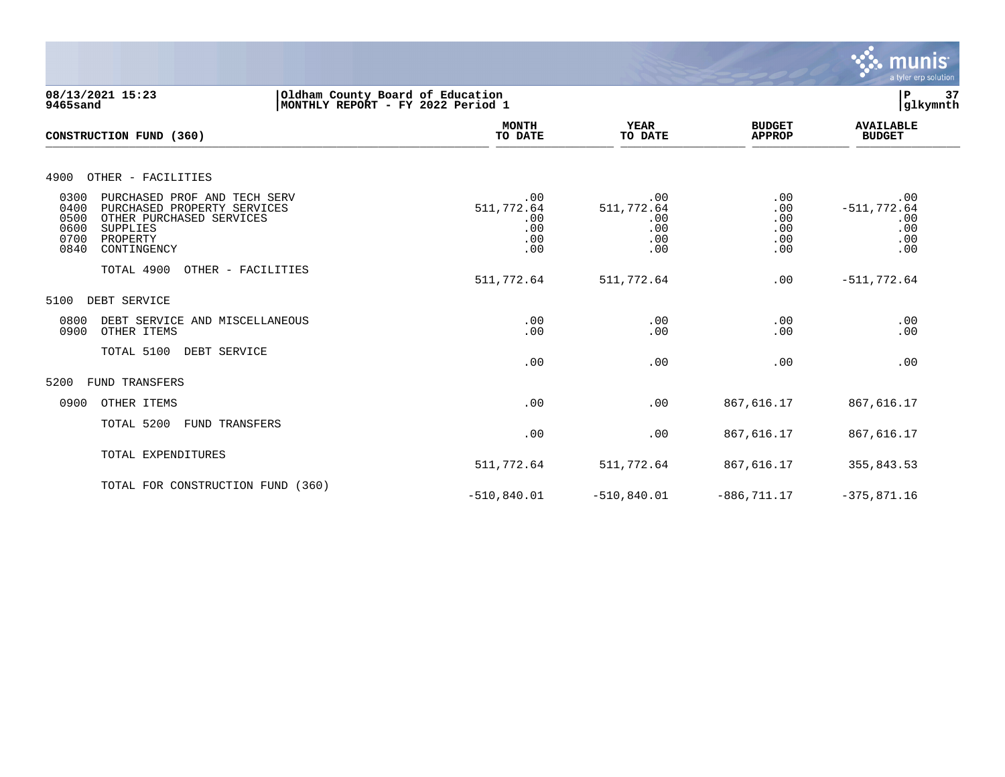

## **08/13/2021 15:23 |Oldham County Board of Education |P 37 9465sand |MONTHLY REPORT - FY 2022 Period 1 |glkymnth**

| CONSTRUCTION FUND (360)                                                                                                                                                        | <b>MONTH</b><br>TO DATE                       | <b>YEAR</b><br>TO DATE                        | <b>BUDGET</b><br><b>APPROP</b>         | <b>AVAILABLE</b><br><b>BUDGET</b>                 |
|--------------------------------------------------------------------------------------------------------------------------------------------------------------------------------|-----------------------------------------------|-----------------------------------------------|----------------------------------------|---------------------------------------------------|
| 4900<br>OTHER - FACILITIES                                                                                                                                                     |                                               |                                               |                                        |                                                   |
| 0300<br>PURCHASED PROF AND TECH SERV<br>0400<br>PURCHASED PROPERTY SERVICES<br>0500<br>OTHER PURCHASED SERVICES<br>0600<br>SUPPLIES<br>0700<br>PROPERTY<br>0840<br>CONTINGENCY | .00<br>511,772.64<br>.00<br>.00<br>.00<br>.00 | .00<br>511,772.64<br>.00<br>.00<br>.00<br>.00 | .00<br>.00<br>.00<br>.00<br>.00<br>.00 | .00<br>$-511, 772.64$<br>.00<br>.00<br>.00<br>.00 |
| TOTAL 4900<br>OTHER - FACILITIES                                                                                                                                               | 511,772.64                                    | 511,772.64                                    | .00                                    | $-511,772.64$                                     |
| DEBT SERVICE<br>5100                                                                                                                                                           |                                               |                                               |                                        |                                                   |
| 0800<br>DEBT SERVICE AND MISCELLANEOUS<br>0900<br>OTHER ITEMS                                                                                                                  | .00<br>.00                                    | .00<br>.00                                    | .00<br>.00                             | .00<br>.00                                        |
| TOTAL 5100 DEBT SERVICE                                                                                                                                                        | .00                                           | .00                                           | .00                                    | .00                                               |
| 5200<br>FUND TRANSFERS                                                                                                                                                         |                                               |                                               |                                        |                                                   |
| 0900<br>OTHER ITEMS                                                                                                                                                            | .00                                           | .00                                           | 867,616.17                             | 867,616.17                                        |
| TOTAL 5200<br>FUND TRANSFERS                                                                                                                                                   | .00                                           | .00                                           | 867,616.17                             | 867,616.17                                        |
| TOTAL EXPENDITURES                                                                                                                                                             | 511,772.64                                    | 511,772.64                                    | 867,616.17                             | 355,843.53                                        |
| TOTAL FOR CONSTRUCTION FUND (360)                                                                                                                                              | $-510, 840.01$                                | $-510,840.01$                                 | $-886, 711.17$                         | $-375,871.16$                                     |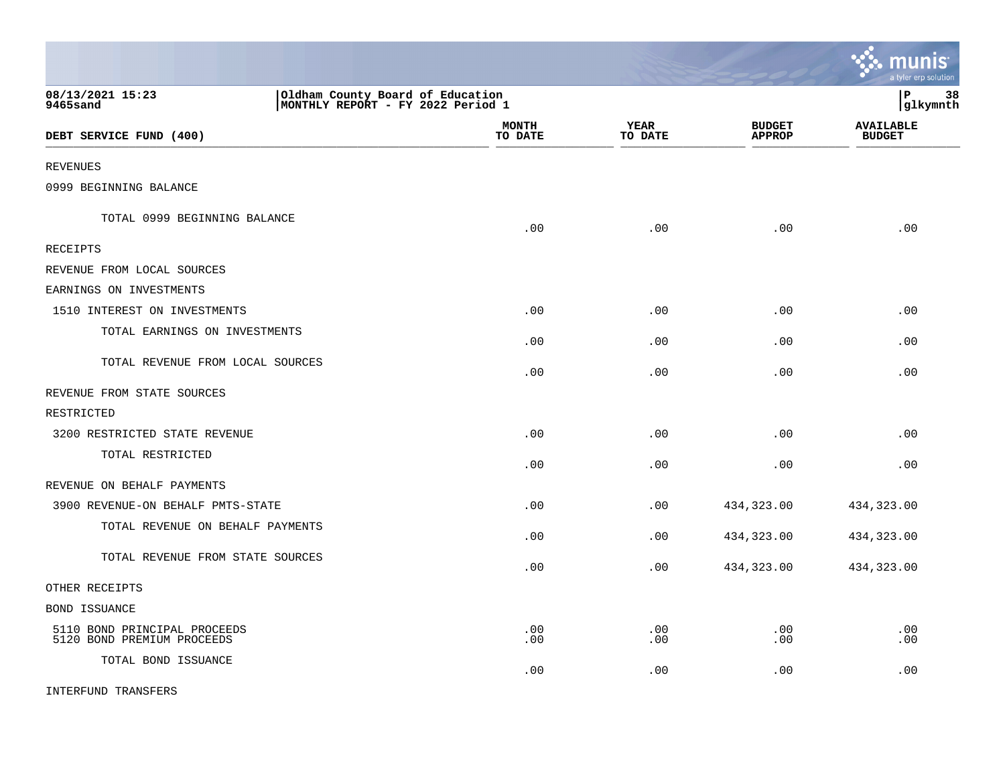|                                                                                                       |                         |                 |                                | munis<br>a tyler erp solution     |
|-------------------------------------------------------------------------------------------------------|-------------------------|-----------------|--------------------------------|-----------------------------------|
| 08/13/2021 15:23<br>Oldham County Board of Education<br>MONTHLY REPORT - FY 2022 Period 1<br>9465sand |                         |                 |                                | l P<br>38<br> glkymnth            |
| DEBT SERVICE FUND (400)                                                                               | <b>MONTH</b><br>TO DATE | YEAR<br>TO DATE | <b>BUDGET</b><br><b>APPROP</b> | <b>AVAILABLE</b><br><b>BUDGET</b> |
| <b>REVENUES</b>                                                                                       |                         |                 |                                |                                   |
| 0999 BEGINNING BALANCE                                                                                |                         |                 |                                |                                   |
| TOTAL 0999 BEGINNING BALANCE                                                                          | .00                     | .00             | .00                            | .00                               |
| RECEIPTS                                                                                              |                         |                 |                                |                                   |
| REVENUE FROM LOCAL SOURCES                                                                            |                         |                 |                                |                                   |
| EARNINGS ON INVESTMENTS                                                                               |                         |                 |                                |                                   |
| 1510 INTEREST ON INVESTMENTS                                                                          | .00                     | .00             | .00                            | .00                               |
| TOTAL EARNINGS ON INVESTMENTS                                                                         | .00                     | .00             | .00                            | .00                               |
| TOTAL REVENUE FROM LOCAL SOURCES                                                                      | .00                     | .00             | .00                            | .00                               |
| REVENUE FROM STATE SOURCES                                                                            |                         |                 |                                |                                   |
| RESTRICTED                                                                                            |                         |                 |                                |                                   |
| 3200 RESTRICTED STATE REVENUE                                                                         | .00                     | .00             | .00                            | .00                               |
| TOTAL RESTRICTED                                                                                      | .00                     | .00             | .00                            | .00                               |
| REVENUE ON BEHALF PAYMENTS                                                                            |                         |                 |                                |                                   |
| 3900 REVENUE-ON BEHALF PMTS-STATE                                                                     | .00                     | .00             | 434,323.00                     | 434,323.00                        |
| TOTAL REVENUE ON BEHALF PAYMENTS                                                                      | .00                     | .00             | 434,323.00                     | 434,323.00                        |
| TOTAL REVENUE FROM STATE SOURCES                                                                      | .00                     | .00             | 434,323.00                     | 434,323.00                        |
| OTHER RECEIPTS                                                                                        |                         |                 |                                |                                   |
| BOND ISSUANCE                                                                                         |                         |                 |                                |                                   |
| 5110 BOND PRINCIPAL PROCEEDS<br>5120 BOND PREMIUM PROCEEDS                                            | .00<br>.00              | .00<br>.00      | .00<br>.00                     | .00<br>.00                        |
| TOTAL BOND ISSUANCE                                                                                   | .00                     | .00             | .00                            | .00                               |
| INTERFUND TRANSFERS                                                                                   |                         |                 |                                |                                   |

 $\mathcal{L}$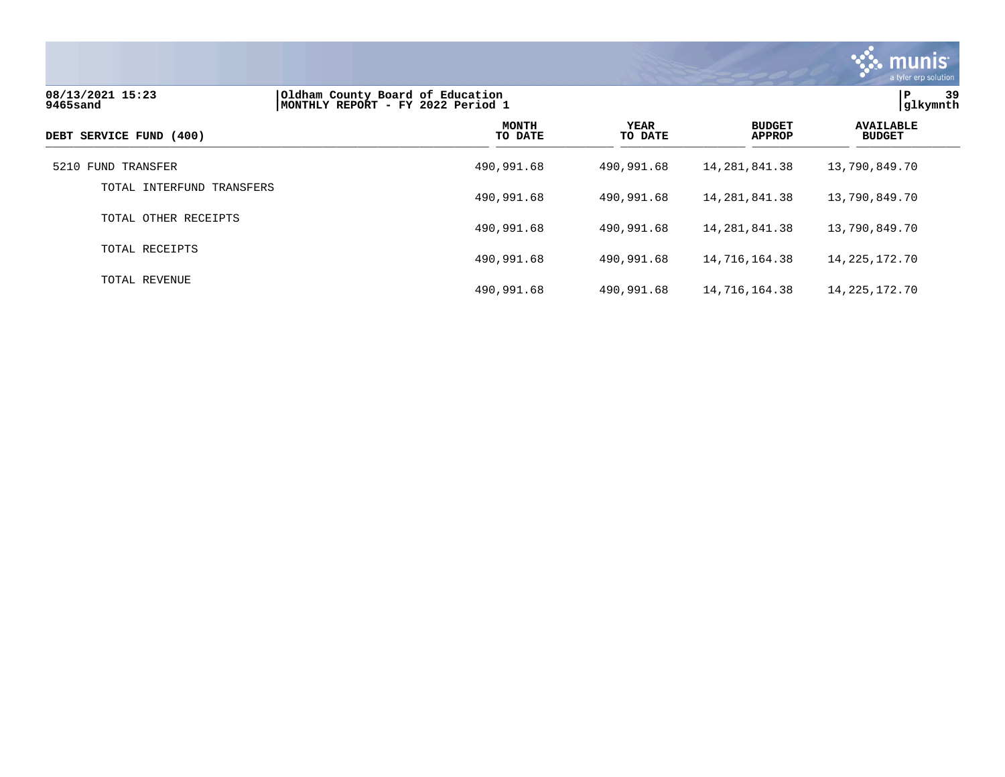

# **08/13/2021 15:23 |Oldham County Board of Education |P 39 9465sand |MONTHLY REPORT - FY 2022 Period 1 |glkymnth MONTH AVAILABLE YEAR BUDGET** AVAILABLE **DEBT SERVICE FUND (400) TO DATE TO DATE APPROP BUDGET**  \_\_\_\_\_\_\_\_\_\_\_\_\_\_\_\_\_\_\_\_\_\_\_\_\_\_\_\_\_\_\_\_\_\_\_\_\_\_\_\_\_\_\_\_\_\_\_\_\_\_\_\_\_\_\_\_\_\_\_\_\_\_\_\_ \_\_\_\_\_\_\_\_\_\_\_\_\_\_\_\_\_ \_\_\_\_\_\_\_\_\_\_\_\_\_\_\_\_\_\_ \_\_\_\_\_\_\_\_\_\_\_\_\_\_ \_\_\_\_\_\_\_\_\_\_\_\_\_\_\_ 5210 FUND TRANSFER 490,991.68 490,991.68 14,281,841.38 13,790,849.70 TOTAL INTERFUND TRANSFERS 490,991.68 490,991.68 14,281,841.38 13,790,849.70 TOTAL OTHER RECEIPTS 490,991.68 490,991.68 14,281,841.38 13,790,849.70 TOTAL RECEIPTS 490,991.68 490,991.68 14,716,164.38 14,225,172.70 TOTAL REVENUE 490,991.68 490,991.68 14,716,164.38 14,225,172.70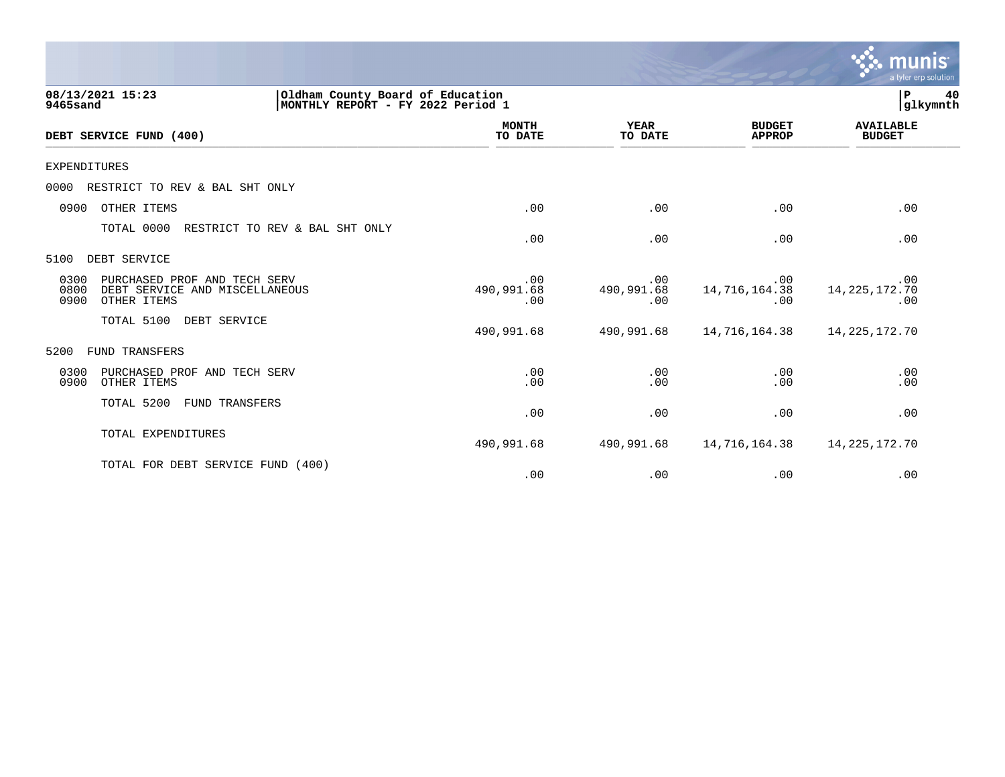|                      |                                                                                           |                          |                          |                                | <b>munis</b><br>a tyler erp solution |
|----------------------|-------------------------------------------------------------------------------------------|--------------------------|--------------------------|--------------------------------|--------------------------------------|
| 9465sand             | 08/13/2021 15:23<br>Oldham County Board of Education<br>MONTHLY REPORT - FY 2022 Period 1 |                          |                          |                                | $\mathbf P$<br>40<br>glkymnth        |
|                      | DEBT SERVICE FUND (400)                                                                   | <b>MONTH</b><br>TO DATE  | <b>YEAR</b><br>TO DATE   | <b>BUDGET</b><br><b>APPROP</b> | <b>AVAILABLE</b><br><b>BUDGET</b>    |
| <b>EXPENDITURES</b>  |                                                                                           |                          |                          |                                |                                      |
| 0000                 | RESTRICT TO REV & BAL SHT ONLY                                                            |                          |                          |                                |                                      |
| 0900                 | OTHER ITEMS                                                                               | .00                      | .00                      | .00                            | .00                                  |
|                      | TOTAL 0000<br>RESTRICT TO REV & BAL SHT ONLY                                              | .00                      | .00                      | .00                            | .00                                  |
| 5100                 | DEBT SERVICE                                                                              |                          |                          |                                |                                      |
| 0300<br>0800<br>0900 | PURCHASED PROF AND TECH SERV<br>DEBT SERVICE AND MISCELLANEOUS<br>OTHER ITEMS             | .00<br>490,991.68<br>.00 | .00<br>490,991.68<br>.00 | .00<br>14,716,164.38<br>.00    | .00<br>14, 225, 172. 70<br>.00       |
|                      | TOTAL 5100<br>DEBT SERVICE                                                                | 490,991.68               | 490,991.68               | 14,716,164.38                  | 14, 225, 172. 70                     |
| 5200                 | FUND TRANSFERS                                                                            |                          |                          |                                |                                      |
| 0300<br>0900         | PURCHASED PROF AND TECH SERV<br>OTHER ITEMS                                               | .00<br>.00               | .00<br>.00               | .00<br>.00                     | .00<br>.00                           |
|                      | TOTAL 5200<br>FUND TRANSFERS                                                              | .00                      | .00                      | .00                            | .00                                  |
|                      | TOTAL EXPENDITURES                                                                        | 490,991.68               | 490,991.68               | 14,716,164.38                  | 14, 225, 172. 70                     |
|                      | TOTAL FOR DEBT SERVICE FUND (400)                                                         | .00                      | .00                      | .00                            | .00                                  |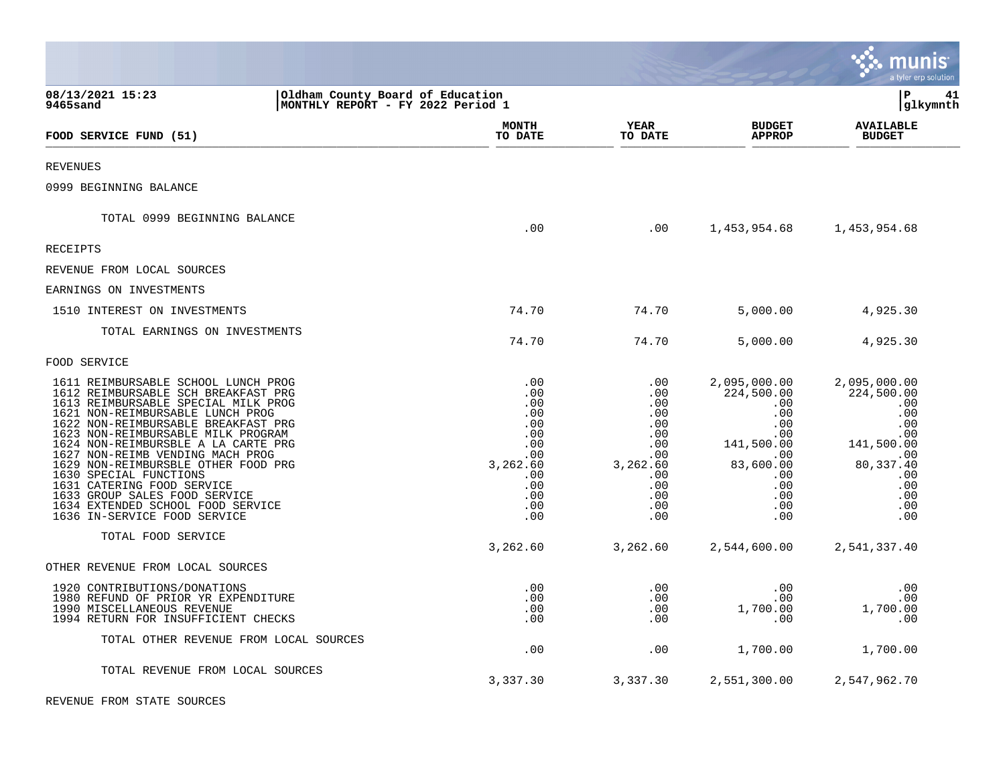|                                                                                                                                                                                                                                                                                                                                                                                                                                                                                                                    |                                                                                                     |                                                                                                     |                                                                                                                             | munis<br>a tyler erp solution                                                                                                |
|--------------------------------------------------------------------------------------------------------------------------------------------------------------------------------------------------------------------------------------------------------------------------------------------------------------------------------------------------------------------------------------------------------------------------------------------------------------------------------------------------------------------|-----------------------------------------------------------------------------------------------------|-----------------------------------------------------------------------------------------------------|-----------------------------------------------------------------------------------------------------------------------------|------------------------------------------------------------------------------------------------------------------------------|
| 08/13/2021 15:23<br>Oldham County Board of Education<br>MONTHLY REPORT - FY 2022 Period 1<br>9465sand                                                                                                                                                                                                                                                                                                                                                                                                              |                                                                                                     |                                                                                                     |                                                                                                                             | lР<br>41<br> glkymnth                                                                                                        |
| FOOD SERVICE FUND (51)                                                                                                                                                                                                                                                                                                                                                                                                                                                                                             | <b>MONTH</b><br>TO DATE                                                                             | YEAR<br>TO DATE                                                                                     | <b>BUDGET</b><br><b>APPROP</b>                                                                                              | <b>AVAILABLE</b><br><b>BUDGET</b>                                                                                            |
| <b>REVENUES</b>                                                                                                                                                                                                                                                                                                                                                                                                                                                                                                    |                                                                                                     |                                                                                                     |                                                                                                                             |                                                                                                                              |
| 0999 BEGINNING BALANCE                                                                                                                                                                                                                                                                                                                                                                                                                                                                                             |                                                                                                     |                                                                                                     |                                                                                                                             |                                                                                                                              |
| TOTAL 0999 BEGINNING BALANCE                                                                                                                                                                                                                                                                                                                                                                                                                                                                                       | .00                                                                                                 | .00                                                                                                 | 1,453,954.68                                                                                                                | 1,453,954.68                                                                                                                 |
| <b>RECEIPTS</b>                                                                                                                                                                                                                                                                                                                                                                                                                                                                                                    |                                                                                                     |                                                                                                     |                                                                                                                             |                                                                                                                              |
| REVENUE FROM LOCAL SOURCES                                                                                                                                                                                                                                                                                                                                                                                                                                                                                         |                                                                                                     |                                                                                                     |                                                                                                                             |                                                                                                                              |
| EARNINGS ON INVESTMENTS                                                                                                                                                                                                                                                                                                                                                                                                                                                                                            |                                                                                                     |                                                                                                     |                                                                                                                             |                                                                                                                              |
| 1510 INTEREST ON INVESTMENTS                                                                                                                                                                                                                                                                                                                                                                                                                                                                                       | 74.70                                                                                               | 74.70                                                                                               | 5,000.00                                                                                                                    | 4,925.30                                                                                                                     |
| TOTAL EARNINGS ON INVESTMENTS                                                                                                                                                                                                                                                                                                                                                                                                                                                                                      | 74.70                                                                                               | 74.70                                                                                               | 5,000.00                                                                                                                    | 4,925.30                                                                                                                     |
| FOOD SERVICE                                                                                                                                                                                                                                                                                                                                                                                                                                                                                                       |                                                                                                     |                                                                                                     |                                                                                                                             |                                                                                                                              |
| 1611 REIMBURSABLE SCHOOL LUNCH PROG<br>1612 REIMBURSABLE SCH BREAKFAST PRG<br>1613 REIMBURSABLE SPECIAL MILK PROG<br>1621 NON-REIMBURSABLE LUNCH PROG<br>1622 NON-REIMBURSABLE BREAKFAST PRG<br>1623 NON-REIMBURSABLE MILK PROGRAM<br>1624 NON-REIMBURSBLE A LA CARTE PRG<br>1627 NON-REIMB VENDING MACH PROG<br>1629 NON-REIMBURSBLE OTHER FOOD PRG<br>1630 SPECIAL FUNCTIONS<br>1631 CATERING FOOD SERVICE<br>1633 GROUP SALES FOOD SERVICE<br>1634 EXTENDED SCHOOL FOOD SERVICE<br>1636 IN-SERVICE FOOD SERVICE | .00<br>.00<br>.00<br>.00<br>.00<br>.00<br>.00<br>.00<br>3,262.60<br>.00<br>.00<br>.00<br>.00<br>.00 | .00<br>.00<br>.00<br>.00<br>.00<br>.00<br>.00<br>.00<br>3,262.60<br>.00<br>.00<br>.00<br>.00<br>.00 | 2,095,000.00<br>224,500.00<br>.00<br>.00<br>.00<br>.00<br>141,500.00<br>.00<br>83,600.00<br>.00<br>.00<br>.00<br>.00<br>.00 | 2,095,000.00<br>224,500.00<br>.00<br>.00<br>.00<br>.00<br>141,500.00<br>.00<br>80, 337.40<br>.00<br>.00<br>.00<br>.00<br>.00 |
| TOTAL FOOD SERVICE                                                                                                                                                                                                                                                                                                                                                                                                                                                                                                 | 3,262.60                                                                                            | 3,262.60                                                                                            | 2,544,600.00                                                                                                                | 2,541,337.40                                                                                                                 |
| OTHER REVENUE FROM LOCAL SOURCES                                                                                                                                                                                                                                                                                                                                                                                                                                                                                   |                                                                                                     |                                                                                                     |                                                                                                                             |                                                                                                                              |
| 1920 CONTRIBUTIONS/DONATIONS<br>1980 REFUND OF PRIOR YR EXPENDITURE<br>1990 MISCELLANEOUS REVENUE<br>1994 RETURN FOR INSUFFICIENT CHECKS                                                                                                                                                                                                                                                                                                                                                                           | .00<br>.00<br>.00<br>.00                                                                            | .00<br>.00<br>.00<br>.00                                                                            | .00<br>.00<br>1,700.00<br>.00                                                                                               | .00<br>.00<br>1,700.00<br>.00                                                                                                |
| TOTAL OTHER REVENUE FROM LOCAL SOURCES                                                                                                                                                                                                                                                                                                                                                                                                                                                                             | .00                                                                                                 | .00                                                                                                 | 1,700.00                                                                                                                    | 1,700.00                                                                                                                     |
| TOTAL REVENUE FROM LOCAL SOURCES                                                                                                                                                                                                                                                                                                                                                                                                                                                                                   | 3,337.30                                                                                            | 3,337.30                                                                                            | 2,551,300.00                                                                                                                | 2,547,962.70                                                                                                                 |

 $\bullet$ 

REVENUE FROM STATE SOURCES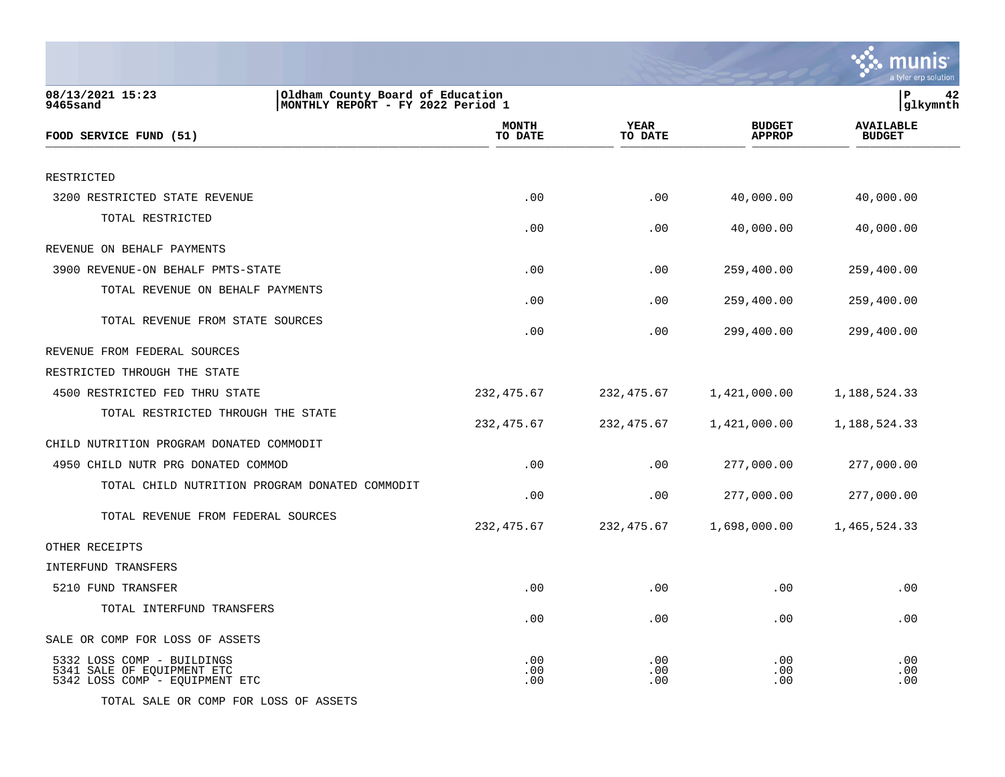|                                                                                                       |                         |                        |                                | a tyler erp solution              |
|-------------------------------------------------------------------------------------------------------|-------------------------|------------------------|--------------------------------|-----------------------------------|
| 08/13/2021 15:23<br>Oldham County Board of Education<br>MONTHLY REPORT - FY 2022 Period 1<br>9465sand |                         |                        |                                | P<br>42<br> glkymnth              |
| FOOD SERVICE FUND (51)                                                                                | <b>MONTH</b><br>TO DATE | <b>YEAR</b><br>TO DATE | <b>BUDGET</b><br><b>APPROP</b> | <b>AVAILABLE</b><br><b>BUDGET</b> |
| RESTRICTED                                                                                            |                         |                        |                                |                                   |
| 3200 RESTRICTED STATE REVENUE                                                                         | .00                     | .00                    | 40,000.00                      | 40,000.00                         |
| TOTAL RESTRICTED                                                                                      | .00                     | .00                    | 40,000.00                      | 40,000.00                         |
| REVENUE ON BEHALF PAYMENTS                                                                            |                         |                        |                                |                                   |
| 3900 REVENUE-ON BEHALF PMTS-STATE                                                                     | .00                     | .00                    | 259,400.00                     | 259,400.00                        |
| TOTAL REVENUE ON BEHALF PAYMENTS                                                                      | .00                     | .00                    | 259,400.00                     | 259,400.00                        |
| TOTAL REVENUE FROM STATE SOURCES                                                                      | .00                     | .00                    | 299,400.00                     | 299,400.00                        |
| REVENUE FROM FEDERAL SOURCES                                                                          |                         |                        |                                |                                   |
| RESTRICTED THROUGH THE STATE                                                                          |                         |                        |                                |                                   |
| 4500 RESTRICTED FED THRU STATE                                                                        | 232, 475.67             | 232, 475.67            | 1,421,000.00                   | 1,188,524.33                      |
| TOTAL RESTRICTED THROUGH THE STATE                                                                    | 232, 475.67             | 232,475.67             | 1,421,000.00                   | 1,188,524.33                      |
| CHILD NUTRITION PROGRAM DONATED COMMODIT                                                              |                         |                        |                                |                                   |
| 4950 CHILD NUTR PRG DONATED COMMOD                                                                    | .00                     | .00                    | 277,000.00                     | 277,000.00                        |
| TOTAL CHILD NUTRITION PROGRAM DONATED COMMODIT                                                        | .00                     | .00                    | 277,000.00                     | 277,000.00                        |
| TOTAL REVENUE FROM FEDERAL SOURCES                                                                    | 232, 475.67             | 232,475.67             | 1,698,000.00                   | 1,465,524.33                      |
| OTHER RECEIPTS                                                                                        |                         |                        |                                |                                   |
| INTERFUND TRANSFERS                                                                                   |                         |                        |                                |                                   |
| 5210 FUND TRANSFER                                                                                    | .00                     | .00                    | .00                            | .00                               |
| TOTAL INTERFUND TRANSFERS                                                                             | .00                     | .00                    | .00                            | .00                               |
| SALE OR COMP FOR LOSS OF ASSETS                                                                       |                         |                        |                                |                                   |
| 5332 LOSS COMP - BUILDINGS<br>5341 SALE OF EQUIPMENT ETC<br>5342 LOSS COMP - EQUIPMENT ETC            | .00<br>.00<br>.00       | .00<br>.00<br>.00      | .00<br>.00<br>.00              | .00<br>.00<br>.00                 |
| TOTAL SALE OR COMP FOR LOSS OF ASSETS                                                                 |                         |                        |                                |                                   |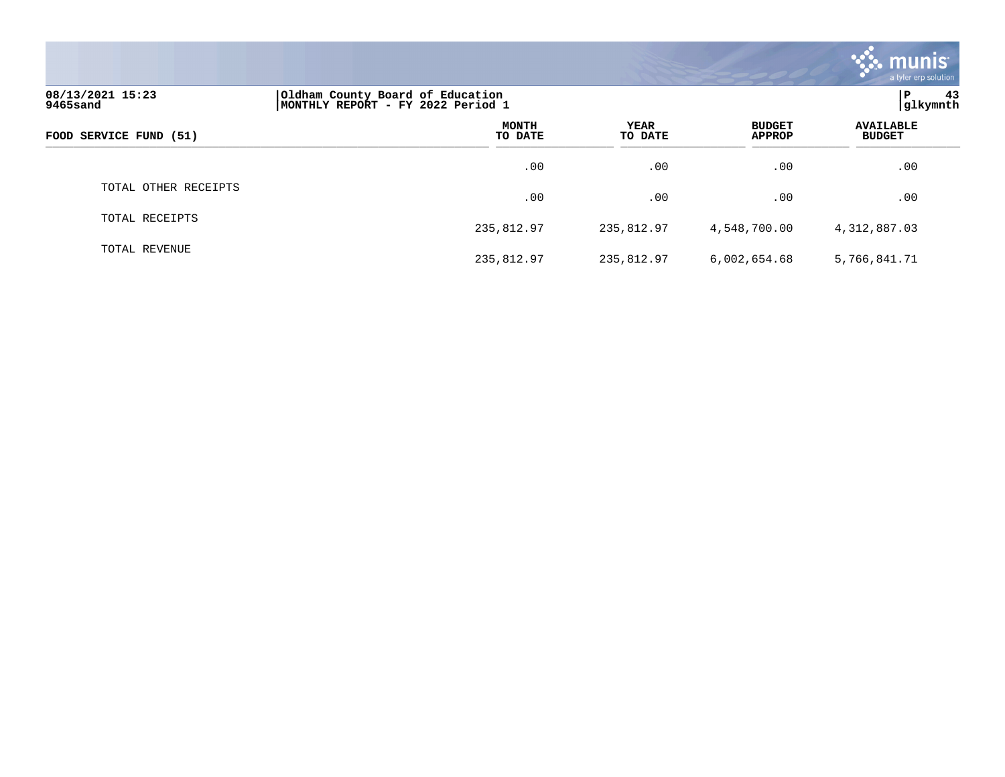|                                                                                                       |                         |                        |                                | <b>munis</b><br>a tyler erp solution |  |
|-------------------------------------------------------------------------------------------------------|-------------------------|------------------------|--------------------------------|--------------------------------------|--|
| 08/13/2021 15:23<br>Oldham County Board of Education<br>MONTHLY REPORT - FY 2022 Period 1<br>9465sand |                         |                        |                                |                                      |  |
| FOOD SERVICE FUND (51)                                                                                | <b>MONTH</b><br>TO DATE | <b>YEAR</b><br>TO DATE | <b>BUDGET</b><br><b>APPROP</b> | <b>AVAILABLE</b><br><b>BUDGET</b>    |  |
|                                                                                                       | .00                     | .00                    | .00                            | .00                                  |  |
| TOTAL OTHER RECEIPTS                                                                                  | .00                     | .00                    | .00                            | .00                                  |  |
| TOTAL RECEIPTS                                                                                        | 235,812.97              | 235,812.97             | 4,548,700.00                   | 4,312,887.03                         |  |
| TOTAL REVENUE                                                                                         | 235,812.97              | 235,812.97             | 6,002,654.68                   | 5,766,841.71                         |  |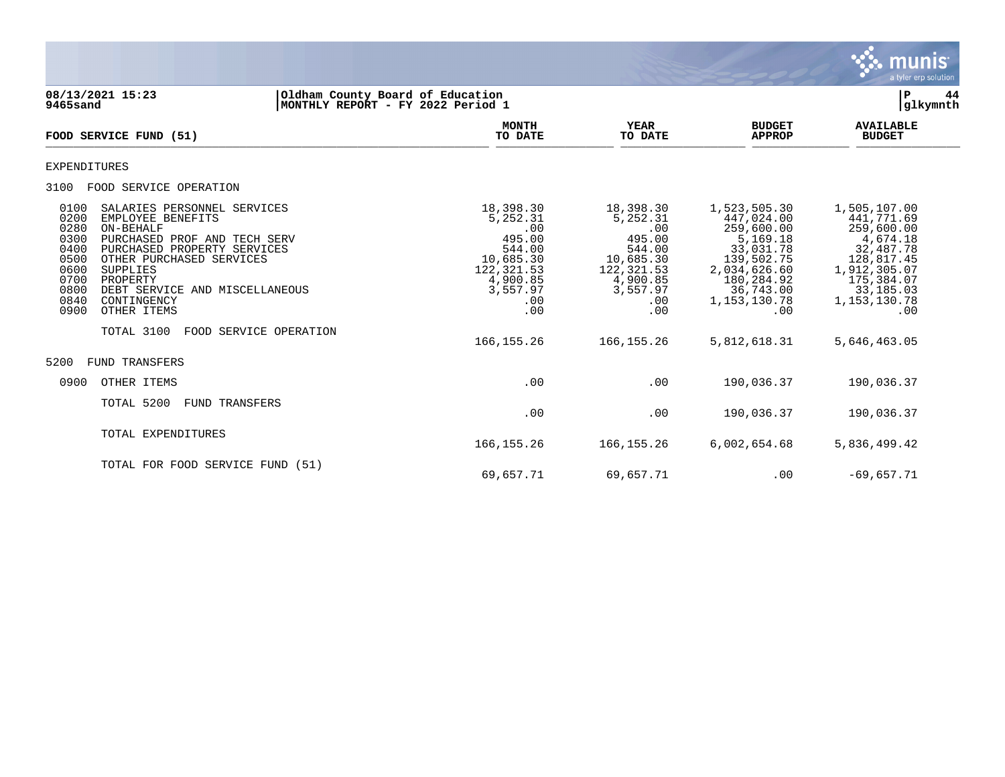

**08/13/2021 15:23 |Oldham County Board of Education |P 44 9465sand |MONTHLY REPORT - FY 2022 Period 1 |glkymnth MONTH AVAILABLE YEAR BUDGET** AVAILABLE **FOOD SERVICE FUND (51) TO DATE TO DATE APPROP BUDGET**   $\overline{10 \text{ MHz}}$  and  $\overline{10 \text{ MHz}}$  is the set of  $\overline{10 \text{ MHz}}$  and  $\overline{10 \text{ MHz}}$  and  $\overline{10 \text{ MHz}}$  and  $\overline{10 \text{ MHz}}$  and  $\overline{10 \text{ MHz}}$  and  $\overline{10 \text{ MHz}}$  and  $\overline{10 \text{ MHz}}$  and  $\overline{10 \text{ MHz}}$  and  $\overline{10 \text{ MHz}}$  and  $\overline{10 \text{ MHz}}$ EXPENDITURES 3100 FOOD SERVICE OPERATION 0100 SALARIES PERSONNEL SERVICES (18,398.30 18,398.30 1,523,505.30 1,505,107.00 0200 EMPLOYEE BENEFITS 5,252.31 5,252.31 447,024.00 441,771.69 0280 ON-BEHALF .00 .00 259,600.00 259,600.00 0300 PURCHASED PROF AND TECH SERV 495.00 495.00 495.00 495.00 5,169.18 4,674.18 4,674.18<br>0400 PURCHASED PROPERTY SERVICES 4 544.00 544.00 544.00 53,031.78 32,487.78<br>0500 OTHER PURCHASED SERVICES 4 4 4,685.30 10,685.30 10,6 0400 PURCHASED PROPERTY SERVICES 644.00 544.00 544.00 544.00<br>10,685.30 10,685.30 0500 OTHER PURCHASED SERVICES (10,685.30 10,685.30 139,502.75 128,817.45 128,817.45 128,817.45 128,817.45 128,<br>122,321.53 122,321.53 2,034,626.60 1,912,305.07 0600 SUPPLIES 122,321.53 122,321.53 2,034,626.60 1,912,305.07 0700 PROPERTY 4,900.85 4,900.85 180,284.92 175,384.07 0800 DEBT SERVICE AND MISCELLANEOUS (3,557.97 3,557.97 3,557.97 36,743.00 33,185.03<br>07.153,130.78 1,153,130.78 0840 00NTINGENCY 0840 CONTINGENCY .00 .00 1,153,130.78 1,153,130.78 0900 OTHER ITEMS .00 .00 .00 .00 TOTAL 3100 FOOD SERVICE OPERATION 166,155.26 166,155.26 5,812,618.31 5,646,463.05 5200 FUND TRANSFERS 0900 OTHER ITEMS .00 .00 190,036.37 190,036.37 TOTAL 5200 FUND TRANSFERS .00 .00 190,036.37 190,036.37 TOTAL EXPENDITURES 166,155.26 166,155.26 6,002,654.68 5,836,499.42 TOTAL FOR FOOD SERVICE FUND (51)

69,657.71 69,657.71 .00 -69,657.71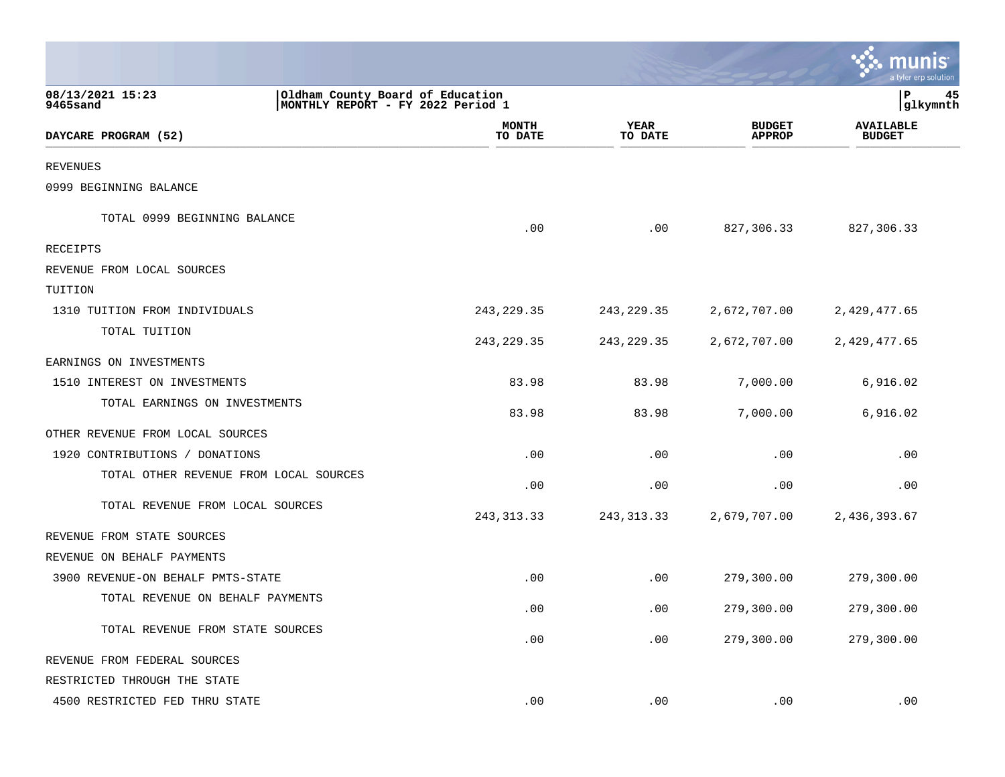|                                        |                                                                       |                        |                                | a tyler erp solution              |
|----------------------------------------|-----------------------------------------------------------------------|------------------------|--------------------------------|-----------------------------------|
| 08/13/2021 15:23<br>9465sand           | Oldham County Board of Education<br>MONTHLY REPORT - FY 2022 Period 1 |                        |                                | ${\bf P}$<br>45<br>glkymnth       |
| DAYCARE PROGRAM (52)                   | <b>MONTH</b><br>TO DATE                                               | <b>YEAR</b><br>TO DATE | <b>BUDGET</b><br><b>APPROP</b> | <b>AVAILABLE</b><br><b>BUDGET</b> |
| <b>REVENUES</b>                        |                                                                       |                        |                                |                                   |
| 0999 BEGINNING BALANCE                 |                                                                       |                        |                                |                                   |
| TOTAL 0999 BEGINNING BALANCE           | .00                                                                   | .00                    | 827,306.33                     | 827,306.33                        |
| RECEIPTS                               |                                                                       |                        |                                |                                   |
| REVENUE FROM LOCAL SOURCES             |                                                                       |                        |                                |                                   |
| TUITION                                |                                                                       |                        |                                |                                   |
| 1310 TUITION FROM INDIVIDUALS          | 243, 229.35                                                           | 243, 229.35            | 2,672,707.00                   | 2,429,477.65                      |
| TOTAL TUITION                          | 243, 229.35                                                           | 243, 229.35            | 2,672,707.00                   | 2,429,477.65                      |
| EARNINGS ON INVESTMENTS                |                                                                       |                        |                                |                                   |
| 1510 INTEREST ON INVESTMENTS           | 83.98                                                                 | 83.98                  | 7,000.00                       | 6,916.02                          |
| TOTAL EARNINGS ON INVESTMENTS          | 83.98                                                                 | 83.98                  | 7,000.00                       | 6,916.02                          |
| OTHER REVENUE FROM LOCAL SOURCES       |                                                                       |                        |                                |                                   |
| 1920 CONTRIBUTIONS / DONATIONS         | .00                                                                   | .00                    | .00                            | .00                               |
| TOTAL OTHER REVENUE FROM LOCAL SOURCES | .00                                                                   | .00                    | .00                            | .00                               |
| TOTAL REVENUE FROM LOCAL SOURCES       | 243, 313. 33                                                          | 243, 313. 33           | 2,679,707.00                   | 2,436,393.67                      |
| REVENUE FROM STATE SOURCES             |                                                                       |                        |                                |                                   |
| REVENUE ON BEHALF PAYMENTS             |                                                                       |                        |                                |                                   |
| 3900 REVENUE-ON BEHALF PMTS-STATE      | .00                                                                   | .00                    | 279,300.00                     | 279,300.00                        |
| TOTAL REVENUE ON BEHALF PAYMENTS       | .00                                                                   | .00                    | 279,300.00                     | 279,300.00                        |
| TOTAL REVENUE FROM STATE SOURCES       | .00                                                                   | .00                    | 279,300.00                     | 279,300.00                        |
| REVENUE FROM FEDERAL SOURCES           |                                                                       |                        |                                |                                   |
| RESTRICTED THROUGH THE STATE           |                                                                       |                        |                                |                                   |
| 4500 RESTRICTED FED THRU STATE         | .00                                                                   | .00                    | .00                            | .00                               |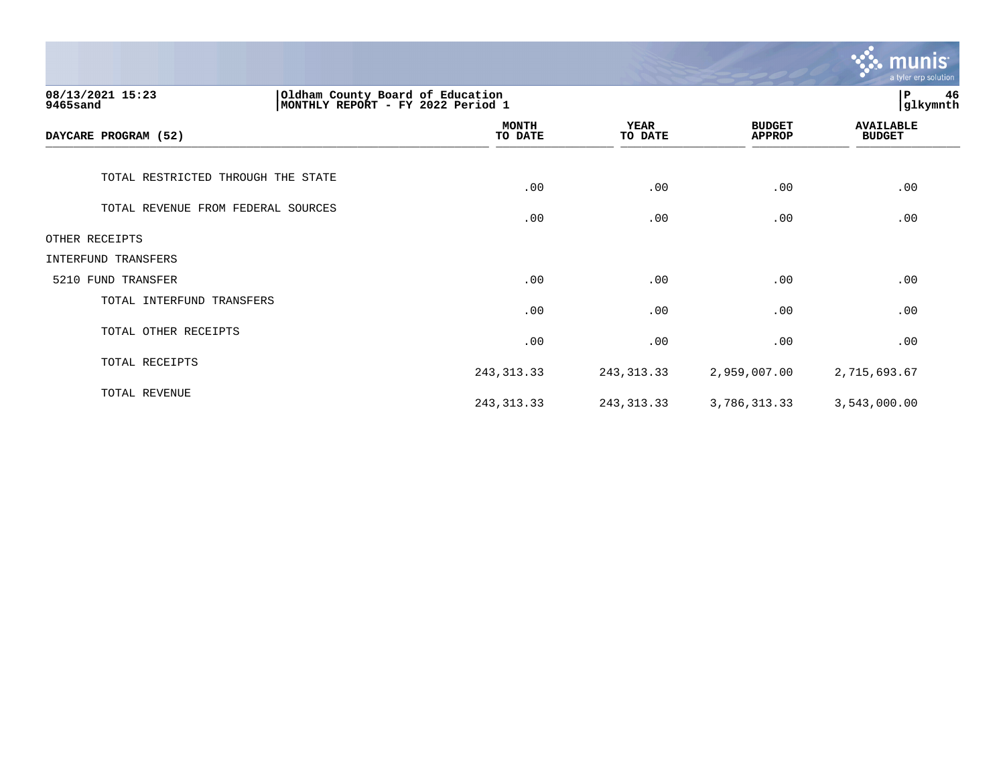|                                                                                                       |                         |                        |                                | <b>munis</b><br>a tyler erp solution |
|-------------------------------------------------------------------------------------------------------|-------------------------|------------------------|--------------------------------|--------------------------------------|
| 08/13/2021 15:23<br>Oldham County Board of Education<br>9465sand<br>MONTHLY REPORT - FY 2022 Period 1 |                         | 46<br>P<br>glkymnth    |                                |                                      |
| DAYCARE PROGRAM (52)                                                                                  | <b>MONTH</b><br>TO DATE | <b>YEAR</b><br>TO DATE | <b>BUDGET</b><br><b>APPROP</b> | <b>AVAILABLE</b><br><b>BUDGET</b>    |
| TOTAL RESTRICTED THROUGH THE STATE                                                                    | .00                     | .00                    | .00                            | .00                                  |
| TOTAL REVENUE FROM FEDERAL SOURCES                                                                    | .00                     | .00                    | .00                            | .00                                  |
| OTHER RECEIPTS                                                                                        |                         |                        |                                |                                      |
| INTERFUND TRANSFERS                                                                                   |                         |                        |                                |                                      |
| 5210 FUND TRANSFER                                                                                    | .00                     | .00                    | .00                            | .00                                  |
| TOTAL INTERFUND TRANSFERS                                                                             | .00                     | .00                    | .00                            | .00                                  |
| TOTAL OTHER RECEIPTS                                                                                  | .00                     | .00                    | .00                            | .00                                  |
| TOTAL RECEIPTS                                                                                        | 243, 313. 33            | 243, 313. 33           | 2,959,007.00                   | 2,715,693.67                         |
| TOTAL REVENUE                                                                                         | 243, 313. 33            | 243, 313. 33           | 3,786,313.33                   | 3,543,000.00                         |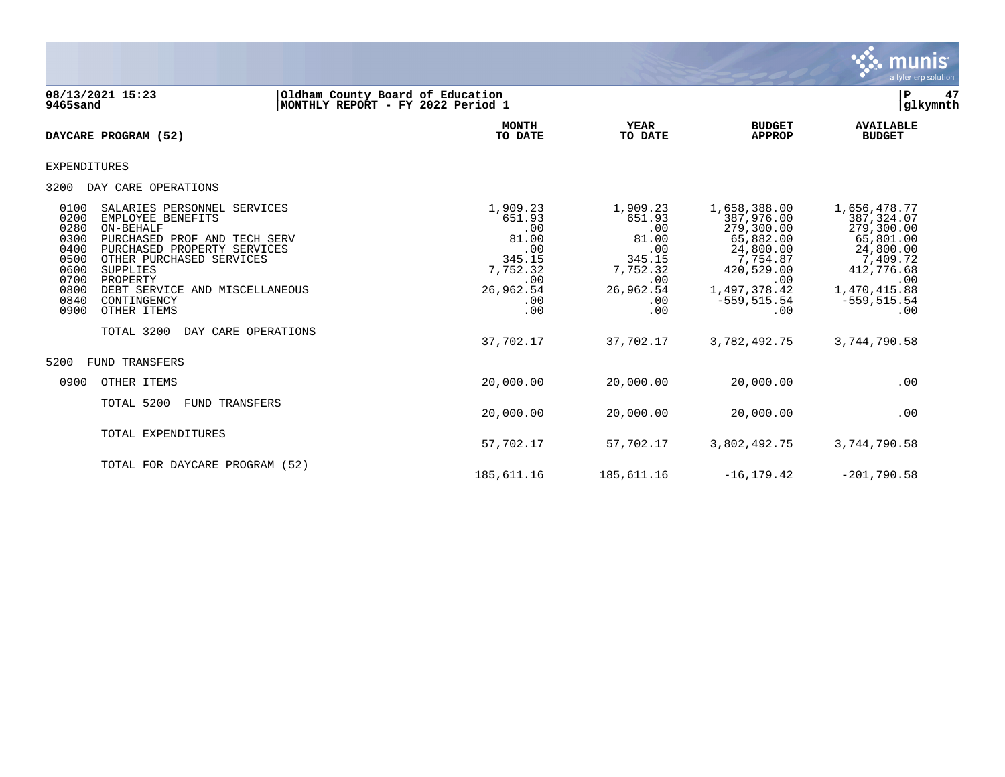

### **08/13/2021 15:23 |Oldham County Board of Education |P 47 9465sand |MONTHLY REPORT - FY 2022 Period 1 |glkymnth**

| DAYCARE PROGRAM (52)                                                                                                                                                                                                                                                                                                                                                          | <b>MONTH</b><br>TO DATE                                                                           | <b>YEAR</b><br>TO DATE                                                                            | <b>BUDGET</b><br><b>APPROP</b>                                                                                                               | <b>AVAILABLE</b><br><b>BUDGET</b>                                                                                                             |
|-------------------------------------------------------------------------------------------------------------------------------------------------------------------------------------------------------------------------------------------------------------------------------------------------------------------------------------------------------------------------------|---------------------------------------------------------------------------------------------------|---------------------------------------------------------------------------------------------------|----------------------------------------------------------------------------------------------------------------------------------------------|-----------------------------------------------------------------------------------------------------------------------------------------------|
| EXPENDITURES                                                                                                                                                                                                                                                                                                                                                                  |                                                                                                   |                                                                                                   |                                                                                                                                              |                                                                                                                                               |
| DAY CARE OPERATIONS<br>3200                                                                                                                                                                                                                                                                                                                                                   |                                                                                                   |                                                                                                   |                                                                                                                                              |                                                                                                                                               |
| 0100<br>SALARIES PERSONNEL SERVICES<br>0200<br>EMPLOYEE BENEFITS<br>0280<br>ON-BEHALF<br>0300<br>PURCHASED PROF AND TECH SERV<br>0400<br>PURCHASED PROPERTY SERVICES<br>0500<br>OTHER PURCHASED SERVICES<br>0600<br>SUPPLIES<br>0700<br>PROPERTY<br>0800<br>DEBT SERVICE AND MISCELLANEOUS<br>0840<br>CONTINGENCY<br>0900<br>OTHER ITEMS<br>TOTAL 3200<br>DAY CARE OPERATIONS | 1,909.23<br>651.93<br>.00<br>81.00<br>.00<br>345.15<br>7,752.32<br>.00<br>26,962.54<br>.00<br>.00 | 1,909.23<br>651.93<br>.00<br>81.00<br>.00<br>345.15<br>7,752.32<br>.00<br>26,962.54<br>.00<br>.00 | 1,658,388.00<br>387,976.00<br>279,300.00<br>65,882.00<br>24,800.00<br>7,754.87<br>420,529.00<br>.00<br>1,497,378.42<br>$-559, 515.54$<br>.00 | 1,656,478.77<br>387, 324.07<br>279,300.00<br>65,801.00<br>24,800.00<br>7,409.72<br>412,776.68<br>.00<br>1,470,415.88<br>$-559, 515.54$<br>.00 |
|                                                                                                                                                                                                                                                                                                                                                                               | 37,702.17                                                                                         | 37,702.17                                                                                         | 3,782,492.75                                                                                                                                 | 3,744,790.58                                                                                                                                  |
| 5200<br><b>FUND TRANSFERS</b>                                                                                                                                                                                                                                                                                                                                                 |                                                                                                   |                                                                                                   |                                                                                                                                              |                                                                                                                                               |
| OTHER ITEMS<br>0900                                                                                                                                                                                                                                                                                                                                                           | 20,000.00                                                                                         | 20,000.00                                                                                         | 20,000.00                                                                                                                                    | .00                                                                                                                                           |
| TOTAL 5200<br><b>FUND TRANSFERS</b>                                                                                                                                                                                                                                                                                                                                           | 20,000.00                                                                                         | 20,000.00                                                                                         | 20,000.00                                                                                                                                    | .00                                                                                                                                           |
| TOTAL EXPENDITURES                                                                                                                                                                                                                                                                                                                                                            | 57,702.17                                                                                         | 57,702.17                                                                                         | 3,802,492.75                                                                                                                                 | 3,744,790.58                                                                                                                                  |
| TOTAL FOR DAYCARE PROGRAM (52)                                                                                                                                                                                                                                                                                                                                                | 185,611.16                                                                                        | 185,611.16                                                                                        | $-16, 179.42$                                                                                                                                | $-201,790.58$                                                                                                                                 |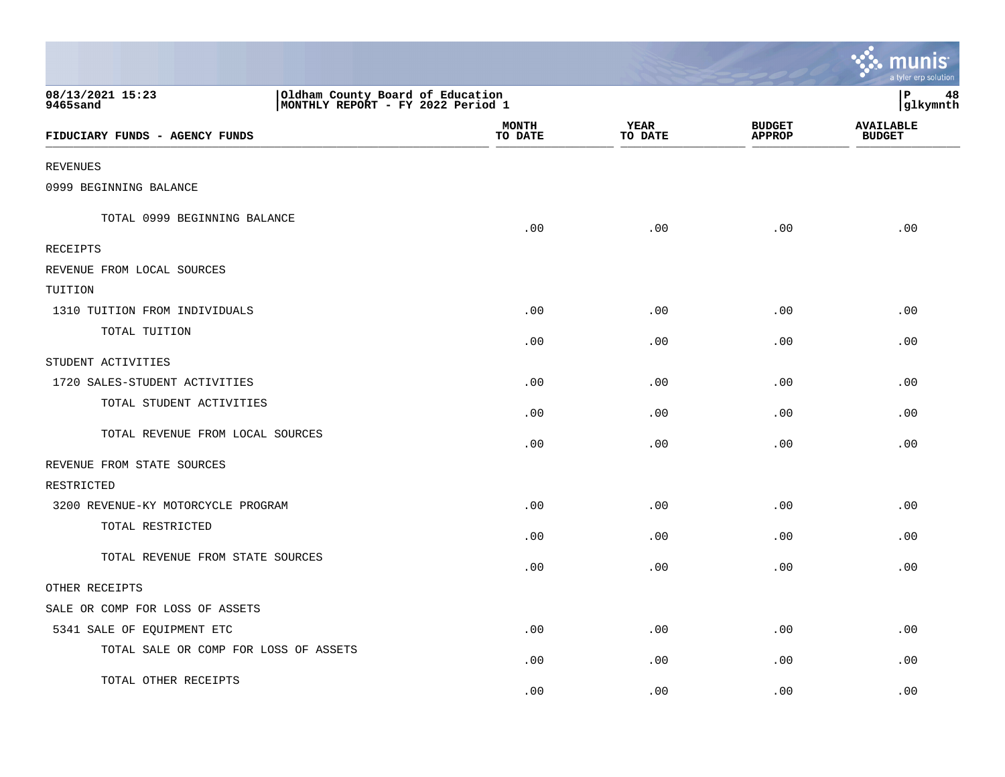|                                                                                                       |                         |                        |                                | munis<br>a tyler erp solution     |
|-------------------------------------------------------------------------------------------------------|-------------------------|------------------------|--------------------------------|-----------------------------------|
| 08/13/2021 15:23<br>Oldham County Board of Education<br>MONTHLY REPORT - FY 2022 Period 1<br>9465sand |                         |                        |                                | l P<br>48<br> glkymnth            |
| FIDUCIARY FUNDS - AGENCY FUNDS                                                                        | <b>MONTH</b><br>TO DATE | <b>YEAR</b><br>TO DATE | <b>BUDGET</b><br><b>APPROP</b> | <b>AVAILABLE</b><br><b>BUDGET</b> |
| <b>REVENUES</b>                                                                                       |                         |                        |                                |                                   |
| 0999 BEGINNING BALANCE                                                                                |                         |                        |                                |                                   |
| TOTAL 0999 BEGINNING BALANCE                                                                          | .00                     | .00                    | .00                            | .00                               |
| <b>RECEIPTS</b>                                                                                       |                         |                        |                                |                                   |
| REVENUE FROM LOCAL SOURCES                                                                            |                         |                        |                                |                                   |
| TUITION                                                                                               |                         |                        |                                |                                   |
| 1310 TUITION FROM INDIVIDUALS                                                                         | .00                     | .00                    | .00                            | .00                               |
| TOTAL TUITION                                                                                         | .00                     | .00                    | .00                            | .00                               |
| STUDENT ACTIVITIES                                                                                    |                         |                        |                                |                                   |
| 1720 SALES-STUDENT ACTIVITIES                                                                         | .00                     | .00                    | .00                            | .00                               |
| TOTAL STUDENT ACTIVITIES                                                                              | .00                     | .00                    | .00                            | .00                               |
| TOTAL REVENUE FROM LOCAL SOURCES                                                                      | .00                     | .00                    | .00                            | .00                               |
| REVENUE FROM STATE SOURCES                                                                            |                         |                        |                                |                                   |
| RESTRICTED                                                                                            |                         |                        |                                |                                   |
| 3200 REVENUE-KY MOTORCYCLE PROGRAM                                                                    | .00                     | .00                    | .00                            | .00                               |
| TOTAL RESTRICTED                                                                                      | .00                     | .00                    | .00                            | .00                               |
| TOTAL REVENUE FROM STATE SOURCES                                                                      | .00                     | .00                    | .00                            | .00                               |
| OTHER RECEIPTS                                                                                        |                         |                        |                                |                                   |
| SALE OR COMP FOR LOSS OF ASSETS                                                                       |                         |                        |                                |                                   |
| 5341 SALE OF EQUIPMENT ETC                                                                            | .00                     | .00                    | .00                            | .00                               |
| TOTAL SALE OR COMP FOR LOSS OF ASSETS                                                                 | .00                     | .00                    | .00                            | .00                               |
| TOTAL OTHER RECEIPTS                                                                                  | .00                     | .00                    | .00                            | .00                               |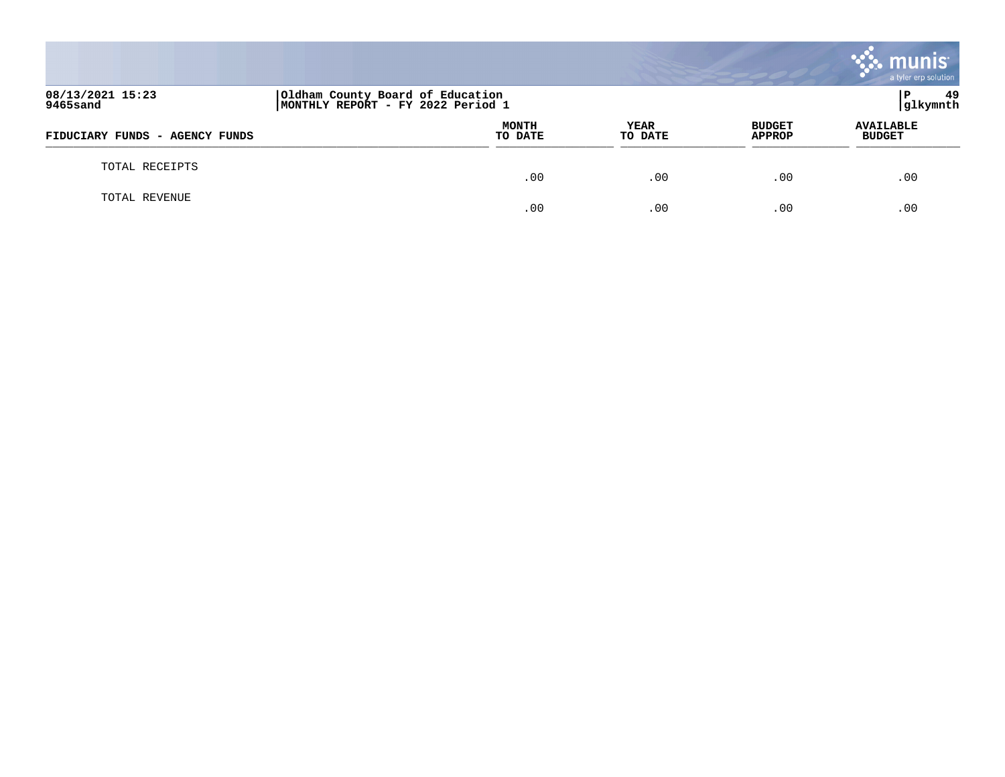|                                |                                                                       |                        |                         | muı<br>a tyler erp solution       |
|--------------------------------|-----------------------------------------------------------------------|------------------------|-------------------------|-----------------------------------|
| 08/13/2021 15:23<br>9465sand   | Oldham County Board of Education<br>MONTHLY REPORT - FY 2022 Period 1 |                        |                         | 49<br>Р<br> glkymnth              |
| FIDUCIARY FUNDS - AGENCY FUNDS | MONTH<br>TO DATE                                                      | <b>YEAR</b><br>TO DATE | <b>BUDGET</b><br>APPROP | <b>AVAILABLE</b><br><b>BUDGET</b> |
| TOTAL RECEIPTS                 | .00                                                                   | .00                    | .00                     | .00                               |
| TOTAL REVENUE                  | .00                                                                   | .00                    | .00                     | .00                               |

and the contract of the contract of the contract of the contract of the contract of the contract of the contract of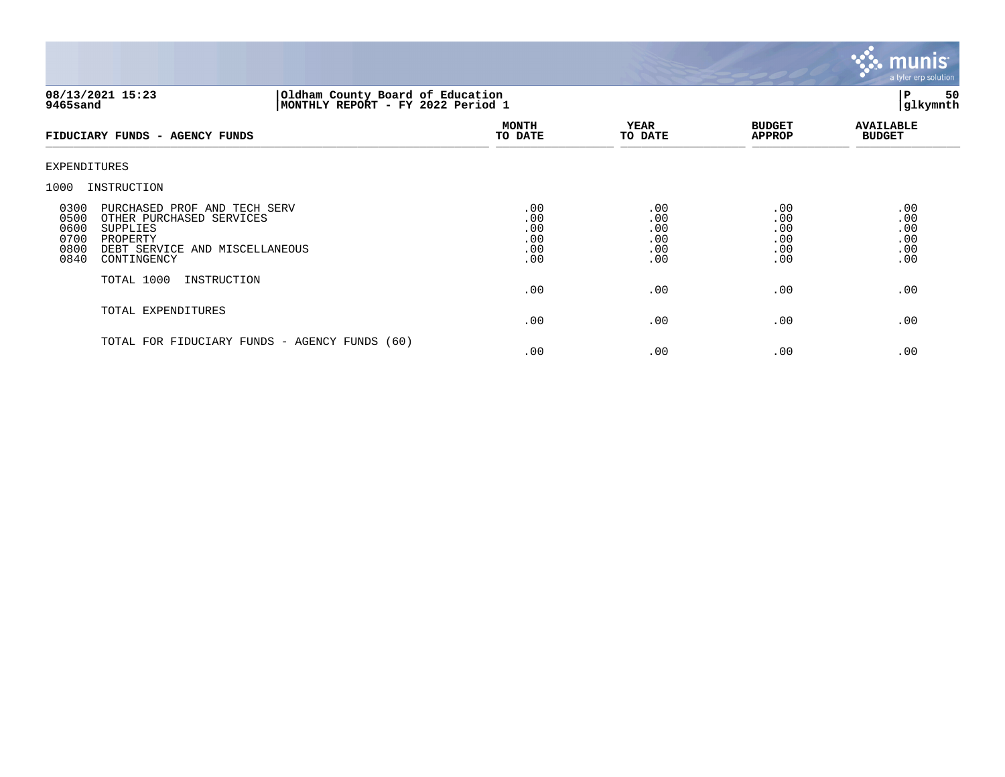

#### **08/13/2021 15:23 |Oldham County Board of Education |P 50 9465sand |MONTHLY REPORT - FY 2022 Period 1 |glkymnth**

| FIDUCIARY FUNDS - AGENCY FUNDS                                                                                                                                                    | <b>MONTH</b><br>TO DATE                | YEAR<br>TO DATE                        | <b>BUDGET</b><br><b>APPROP</b>         | <b>AVAILABLE</b><br><b>BUDGET</b>      |
|-----------------------------------------------------------------------------------------------------------------------------------------------------------------------------------|----------------------------------------|----------------------------------------|----------------------------------------|----------------------------------------|
| EXPENDITURES                                                                                                                                                                      |                                        |                                        |                                        |                                        |
| 1000<br>INSTRUCTION                                                                                                                                                               |                                        |                                        |                                        |                                        |
| 0300<br>PURCHASED PROF AND TECH SERV<br>0500<br>OTHER PURCHASED SERVICES<br>0600<br>SUPPLIES<br>0700<br>PROPERTY<br>0800<br>DEBT SERVICE AND MISCELLANEOUS<br>0840<br>CONTINGENCY | .00<br>.00<br>.00<br>.00<br>.00<br>.00 | .00<br>.00<br>.00<br>.00<br>.00<br>.00 | .00<br>.00<br>.00<br>.00<br>.00<br>.00 | .00<br>.00<br>.00<br>.00<br>.00<br>.00 |
| TOTAL 1000<br>INSTRUCTION                                                                                                                                                         | .00                                    | .00                                    | .00                                    | .00                                    |
| TOTAL EXPENDITURES                                                                                                                                                                | .00                                    | .00                                    | .00                                    | .00                                    |
| TOTAL FOR FIDUCIARY FUNDS - AGENCY FUNDS (60)                                                                                                                                     | .00                                    | .00                                    | .00                                    | .00                                    |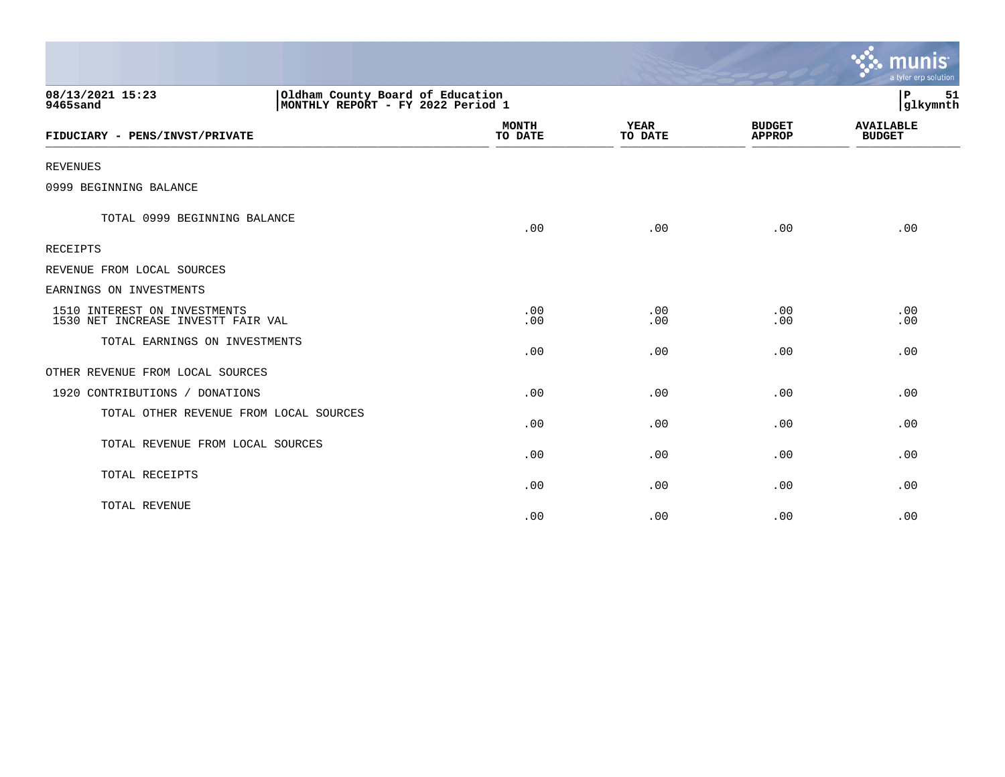|                                                                                                       |                         |                        |                                | munis<br>a tyler erp solution     |
|-------------------------------------------------------------------------------------------------------|-------------------------|------------------------|--------------------------------|-----------------------------------|
| 08/13/2021 15:23<br>Oldham County Board of Education<br>MONTHLY REPORT - FY 2022 Period 1<br>9465sand |                         |                        |                                | 51<br>∣P<br>glkymnth              |
| FIDUCIARY - PENS/INVST/PRIVATE                                                                        | <b>MONTH</b><br>TO DATE | <b>YEAR</b><br>TO DATE | <b>BUDGET</b><br><b>APPROP</b> | <b>AVAILABLE</b><br><b>BUDGET</b> |
| <b>REVENUES</b>                                                                                       |                         |                        |                                |                                   |
| 0999 BEGINNING BALANCE                                                                                |                         |                        |                                |                                   |
| TOTAL 0999 BEGINNING BALANCE                                                                          | .00                     | .00                    | .00                            | .00                               |
| <b>RECEIPTS</b>                                                                                       |                         |                        |                                |                                   |
| REVENUE FROM LOCAL SOURCES                                                                            |                         |                        |                                |                                   |
| EARNINGS ON INVESTMENTS                                                                               |                         |                        |                                |                                   |
| 1510 INTEREST ON INVESTMENTS<br>1530 NET INCREASE INVESTT FAIR VAL                                    | .00<br>.00              | .00<br>.00             | .00<br>.00                     | .00<br>.00                        |
| TOTAL EARNINGS ON INVESTMENTS                                                                         | .00                     | .00                    | .00                            | .00                               |
| OTHER REVENUE FROM LOCAL SOURCES                                                                      |                         |                        |                                |                                   |
| 1920 CONTRIBUTIONS / DONATIONS                                                                        | .00                     | .00                    | .00                            | .00                               |
| TOTAL OTHER REVENUE FROM LOCAL SOURCES                                                                | .00                     | .00                    | .00                            | .00                               |
| TOTAL REVENUE FROM LOCAL SOURCES                                                                      | .00                     | .00                    | .00                            | .00                               |
| TOTAL RECEIPTS                                                                                        | .00                     | .00                    | .00                            | .00                               |
| TOTAL REVENUE                                                                                         | .00                     | .00                    | .00                            | .00                               |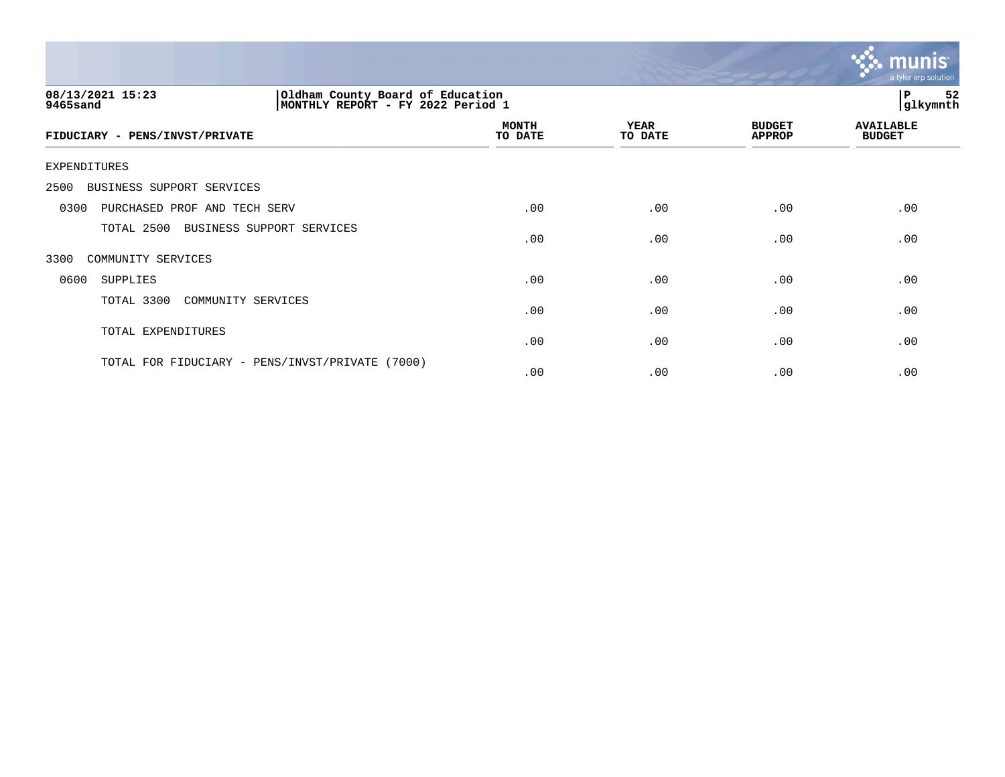

| 08/13/2021 15:23<br>Oldham County Board of Education<br>MONTHLY REPORT - FY 2022 Period 1<br>9465sand |                         |                        |                                | 52<br>ΙP<br>glkymnth              |
|-------------------------------------------------------------------------------------------------------|-------------------------|------------------------|--------------------------------|-----------------------------------|
| FIDUCIARY - PENS/INVST/PRIVATE                                                                        | <b>MONTH</b><br>TO DATE | <b>YEAR</b><br>TO DATE | <b>BUDGET</b><br><b>APPROP</b> | <b>AVAILABLE</b><br><b>BUDGET</b> |
| EXPENDITURES                                                                                          |                         |                        |                                |                                   |
| 2500<br>BUSINESS SUPPORT SERVICES                                                                     |                         |                        |                                |                                   |
| 0300<br>PURCHASED PROF AND TECH SERV                                                                  | .00                     | .00                    | .00                            | .00                               |
| TOTAL 2500<br>BUSINESS SUPPORT SERVICES                                                               | .00                     | .00                    | .00                            | .00                               |
| 3300<br>COMMUNITY SERVICES                                                                            |                         |                        |                                |                                   |
| 0600<br>SUPPLIES                                                                                      | .00                     | .00                    | .00                            | .00                               |
| TOTAL 3300<br>COMMUNITY SERVICES                                                                      | .00                     | .00                    | .00                            | .00                               |
| TOTAL EXPENDITURES                                                                                    | .00                     | .00                    | .00                            | .00                               |
| TOTAL FOR FIDUCIARY - PENS/INVST/PRIVATE (7000)                                                       | .00                     | .00                    | .00                            | .00                               |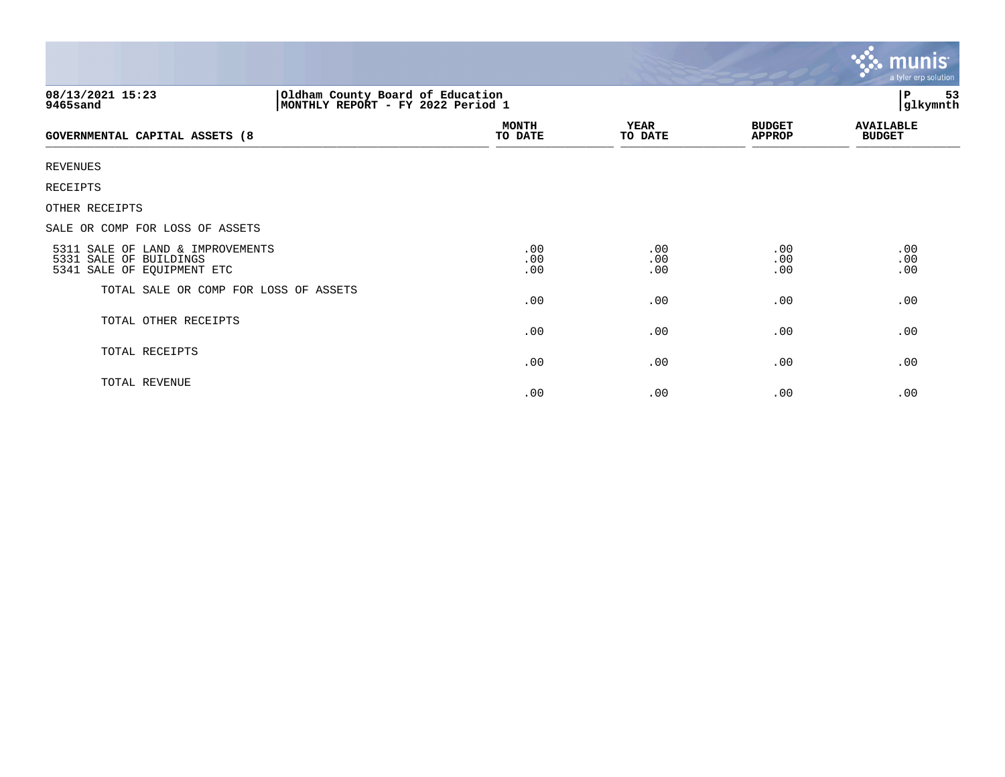|                                                                                                       |                         |                        |                                | <b>munis</b><br>a tyler erp solution |  |
|-------------------------------------------------------------------------------------------------------|-------------------------|------------------------|--------------------------------|--------------------------------------|--|
| 08/13/2021 15:23<br>Oldham County Board of Education<br>MONTHLY REPORT - FY 2022 Period 1<br>9465sand |                         |                        |                                | P<br>53<br>glkymnth                  |  |
| <b>GOVERNMENTAL CAPITAL ASSETS (8</b>                                                                 | <b>MONTH</b><br>TO DATE | <b>YEAR</b><br>TO DATE | <b>BUDGET</b><br><b>APPROP</b> | <b>AVAILABLE</b><br><b>BUDGET</b>    |  |
| <b>REVENUES</b>                                                                                       |                         |                        |                                |                                      |  |
| RECEIPTS                                                                                              |                         |                        |                                |                                      |  |
| OTHER RECEIPTS                                                                                        |                         |                        |                                |                                      |  |
| SALE OR COMP FOR LOSS OF ASSETS                                                                       |                         |                        |                                |                                      |  |
| 5311 SALE OF LAND & IMPROVEMENTS<br>5331 SALE OF BUILDINGS<br>5341 SALE OF EQUIPMENT ETC              | .00<br>.00<br>.00       | .00<br>.00<br>.00      | .00<br>.00<br>.00              | .00<br>.00<br>.00                    |  |
| TOTAL SALE OR COMP FOR LOSS OF ASSETS                                                                 | .00                     | .00                    | .00                            | .00                                  |  |
| TOTAL OTHER RECEIPTS                                                                                  | .00                     | .00                    | .00                            | .00                                  |  |
| TOTAL RECEIPTS                                                                                        | .00                     | .00                    | .00                            | .00                                  |  |
| TOTAL REVENUE                                                                                         | .00                     | .00                    | .00                            | .00                                  |  |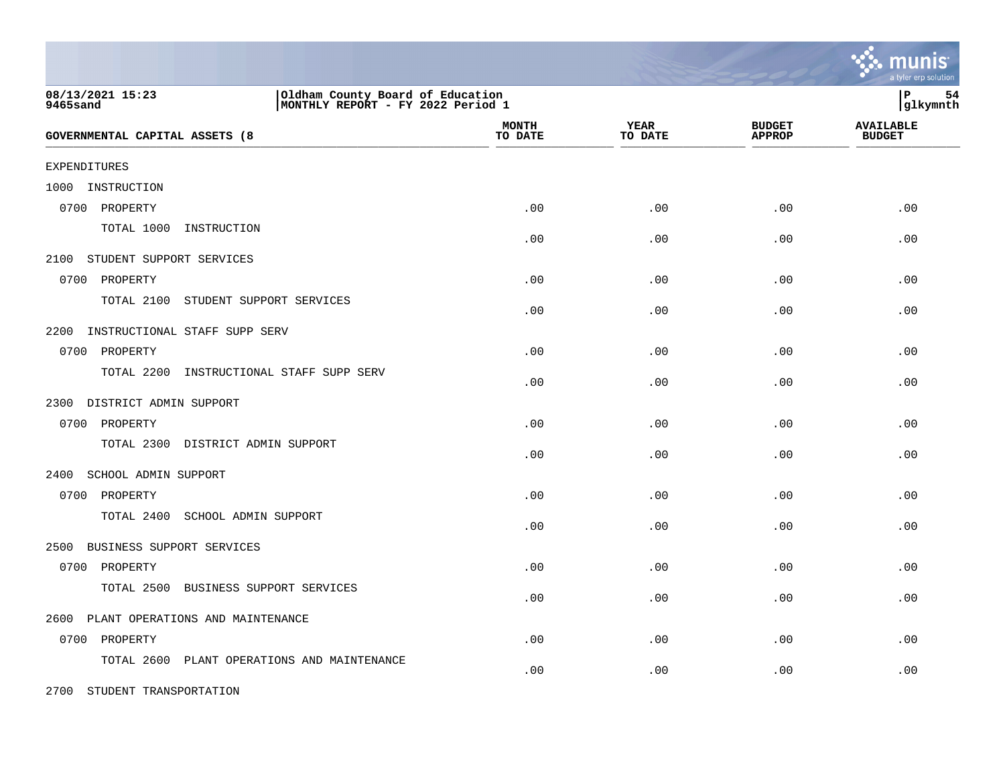|                                                                                                        |                         |                        |                                | a tyler erp solution              |
|--------------------------------------------------------------------------------------------------------|-------------------------|------------------------|--------------------------------|-----------------------------------|
| 08/13/2021 15:23<br>Oldham County Board of Education<br>9465sand<br> MONTHLY REPORT - FY 2022 Period 1 |                         |                        |                                | lР<br>54<br> glkymnth             |
| GOVERNMENTAL CAPITAL ASSETS (8                                                                         | <b>MONTH</b><br>TO DATE | <b>YEAR</b><br>TO DATE | <b>BUDGET</b><br><b>APPROP</b> | <b>AVAILABLE</b><br><b>BUDGET</b> |
| <b>EXPENDITURES</b>                                                                                    |                         |                        |                                |                                   |
| INSTRUCTION<br>1000                                                                                    |                         |                        |                                |                                   |
| 0700<br>PROPERTY                                                                                       | .00                     | .00                    | .00                            | .00                               |
| TOTAL 1000<br>INSTRUCTION                                                                              | .00                     | .00                    | .00                            | .00                               |
| STUDENT SUPPORT SERVICES<br>2100                                                                       |                         |                        |                                |                                   |
| 0700 PROPERTY                                                                                          | .00                     | .00                    | .00                            | .00                               |
| TOTAL 2100<br>STUDENT SUPPORT SERVICES                                                                 | .00                     | .00                    | .00                            | .00                               |
| 2200<br>INSTRUCTIONAL STAFF SUPP SERV                                                                  |                         |                        |                                |                                   |
| 0700 PROPERTY                                                                                          | .00                     | .00                    | .00                            | .00                               |
| TOTAL 2200<br>INSTRUCTIONAL STAFF SUPP SERV                                                            | .00                     | .00                    | .00                            | .00                               |
| DISTRICT ADMIN SUPPORT<br>2300                                                                         |                         |                        |                                |                                   |
| 0700<br>PROPERTY                                                                                       | .00                     | .00                    | .00                            | .00                               |
| TOTAL 2300 DISTRICT ADMIN SUPPORT                                                                      | .00                     | .00                    | .00                            | .00                               |
| 2400<br>SCHOOL ADMIN SUPPORT                                                                           |                         |                        |                                |                                   |
| 0700 PROPERTY                                                                                          | .00                     | .00                    | .00                            | .00                               |
| TOTAL 2400<br>SCHOOL ADMIN SUPPORT                                                                     | .00                     | .00                    | .00                            | .00                               |
| 2500<br>BUSINESS SUPPORT SERVICES                                                                      |                         |                        |                                |                                   |
| 0700 PROPERTY                                                                                          | .00                     | .00                    | .00                            | .00                               |
| TOTAL 2500<br>BUSINESS SUPPORT SERVICES                                                                | .00                     | .00                    | .00                            | .00                               |
| PLANT OPERATIONS AND MAINTENANCE<br>2600                                                               |                         |                        |                                |                                   |
| PROPERTY<br>0700                                                                                       | .00                     | .00                    | .00                            | .00                               |
| TOTAL 2600<br>PLANT OPERATIONS AND MAINTENANCE                                                         | .00                     | .00                    | .00                            | .00                               |

2700 STUDENT TRANSPORTATION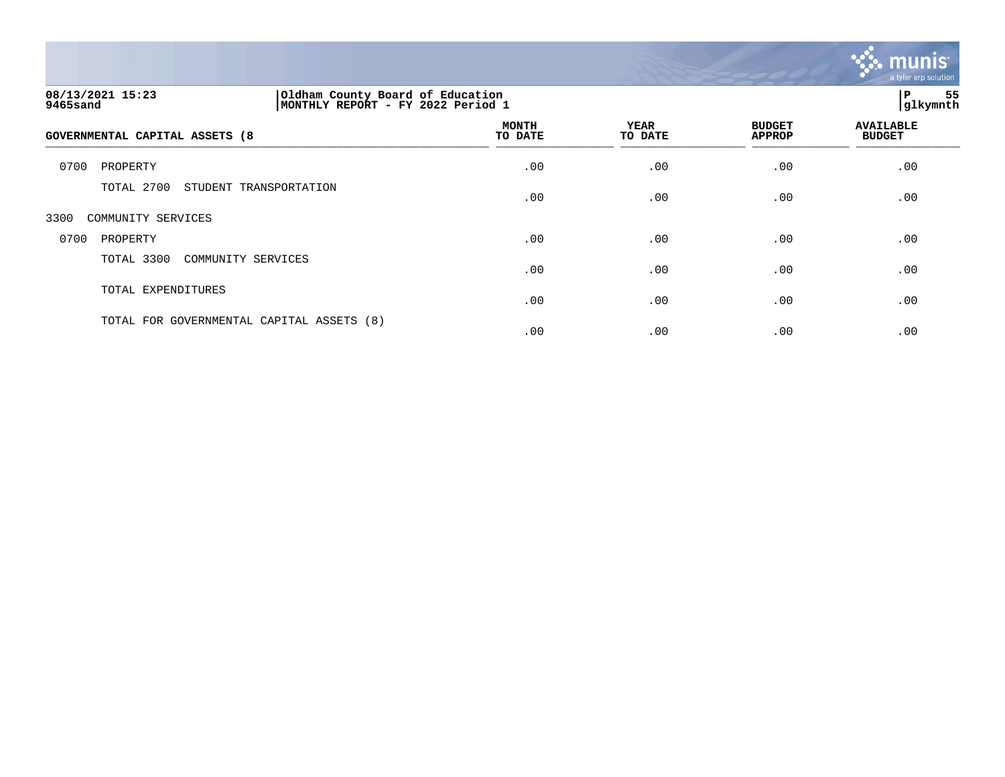

| 08/13/2021 15:23<br>Oldham County Board of Education<br>MONTHLY REPORT - FY 2022 Period 1<br>9465sand |                         |                 | 55<br>P<br> glkymnth           |                                   |  |
|-------------------------------------------------------------------------------------------------------|-------------------------|-----------------|--------------------------------|-----------------------------------|--|
| GOVERNMENTAL CAPITAL ASSETS (8                                                                        | <b>MONTH</b><br>TO DATE | YEAR<br>TO DATE | <b>BUDGET</b><br><b>APPROP</b> | <b>AVAILABLE</b><br><b>BUDGET</b> |  |
| 0700<br>PROPERTY                                                                                      | .00                     | .00             | .00                            | .00                               |  |
| TOTAL 2700<br>STUDENT TRANSPORTATION                                                                  | .00                     | .00             | .00                            | .00                               |  |
| 3300<br>COMMUNITY SERVICES                                                                            |                         |                 |                                |                                   |  |
| 0700<br>PROPERTY                                                                                      | .00                     | .00             | .00                            | .00                               |  |

| 0700 | PROPERTY                                  | .00 | .00  | .00 | $.00 \,$ |
|------|-------------------------------------------|-----|------|-----|----------|
|      | TOTAL 3300 COMMUNITY SERVICES             | .00 | .00  | .00 | .00      |
|      | TOTAL EXPENDITURES                        | .00 | .00  | .00 | .00      |
|      | TOTAL FOR GOVERNMENTAL CAPITAL ASSETS (8) | .00 | . 00 | .00 | .00      |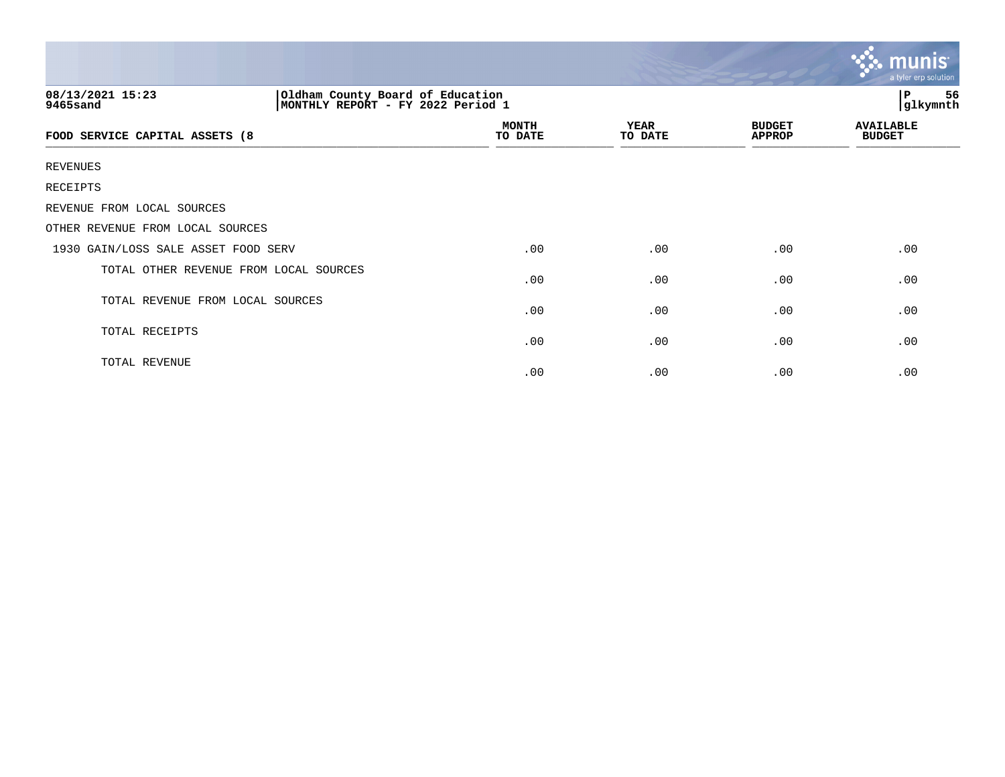|                                                                                                       |                         |                 |                                | $\ddotsc$ munis<br>a tyler erp solution |  |
|-------------------------------------------------------------------------------------------------------|-------------------------|-----------------|--------------------------------|-----------------------------------------|--|
| Oldham County Board of Education<br>08/13/2021 15:23<br>MONTHLY REPORT - FY 2022 Period 1<br>9465sand |                         |                 |                                | P<br>56<br>glkymnth                     |  |
| FOOD SERVICE CAPITAL ASSETS (8                                                                        | <b>MONTH</b><br>TO DATE | YEAR<br>TO DATE | <b>BUDGET</b><br><b>APPROP</b> | <b>AVAILABLE</b><br><b>BUDGET</b>       |  |
| <b>REVENUES</b>                                                                                       |                         |                 |                                |                                         |  |
| RECEIPTS                                                                                              |                         |                 |                                |                                         |  |
| REVENUE FROM LOCAL SOURCES                                                                            |                         |                 |                                |                                         |  |
| OTHER REVENUE FROM LOCAL SOURCES                                                                      |                         |                 |                                |                                         |  |
| 1930 GAIN/LOSS SALE ASSET FOOD SERV                                                                   | .00                     | .00             | .00                            | .00                                     |  |
| TOTAL OTHER REVENUE FROM LOCAL SOURCES                                                                | .00                     | .00             | .00                            | .00                                     |  |
| TOTAL REVENUE FROM LOCAL SOURCES                                                                      | .00                     | .00             | .00                            | .00                                     |  |
| TOTAL RECEIPTS                                                                                        | .00                     | .00             | .00                            | .00                                     |  |
| TOTAL REVENUE                                                                                         | .00                     | .00             | .00                            | .00                                     |  |

the contract of the contract of the contract of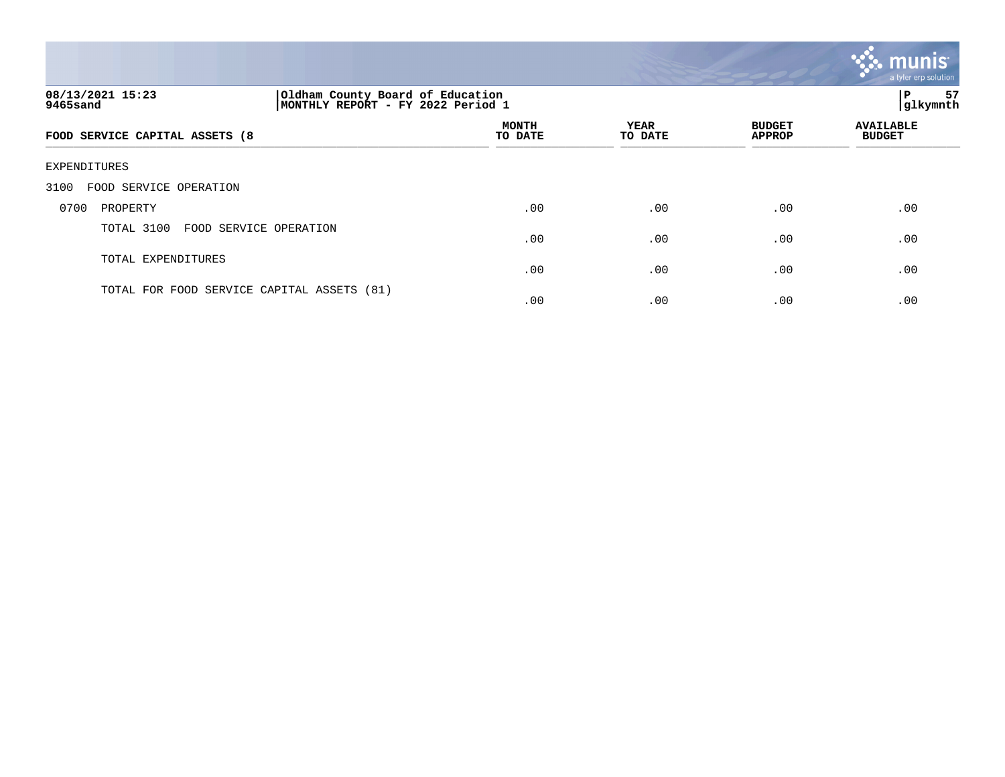

| 08/13/2021 15:23<br>9465sand               | Oldham County Board of Education<br>MONTHLY REPORT - FY 2022 Period 1 |                         |                        |                                | 57<br>l P<br>glkymnth             |  |
|--------------------------------------------|-----------------------------------------------------------------------|-------------------------|------------------------|--------------------------------|-----------------------------------|--|
| FOOD SERVICE CAPITAL ASSETS (8             |                                                                       | <b>MONTH</b><br>TO DATE | <b>YEAR</b><br>TO DATE | <b>BUDGET</b><br><b>APPROP</b> | <b>AVAILABLE</b><br><b>BUDGET</b> |  |
| <b>EXPENDITURES</b>                        |                                                                       |                         |                        |                                |                                   |  |
| FOOD SERVICE OPERATION<br>3100             |                                                                       |                         |                        |                                |                                   |  |
| 0700<br>PROPERTY                           |                                                                       | .00                     | .00                    | .00                            | .00                               |  |
| TOTAL 3100<br>FOOD SERVICE OPERATION       |                                                                       | .00                     | .00                    | .00                            | .00                               |  |
| TOTAL EXPENDITURES                         |                                                                       | .00                     | .00                    | .00                            | .00                               |  |
| TOTAL FOR FOOD SERVICE CAPITAL ASSETS (81) |                                                                       | .00                     | .00                    | .00                            | .00                               |  |